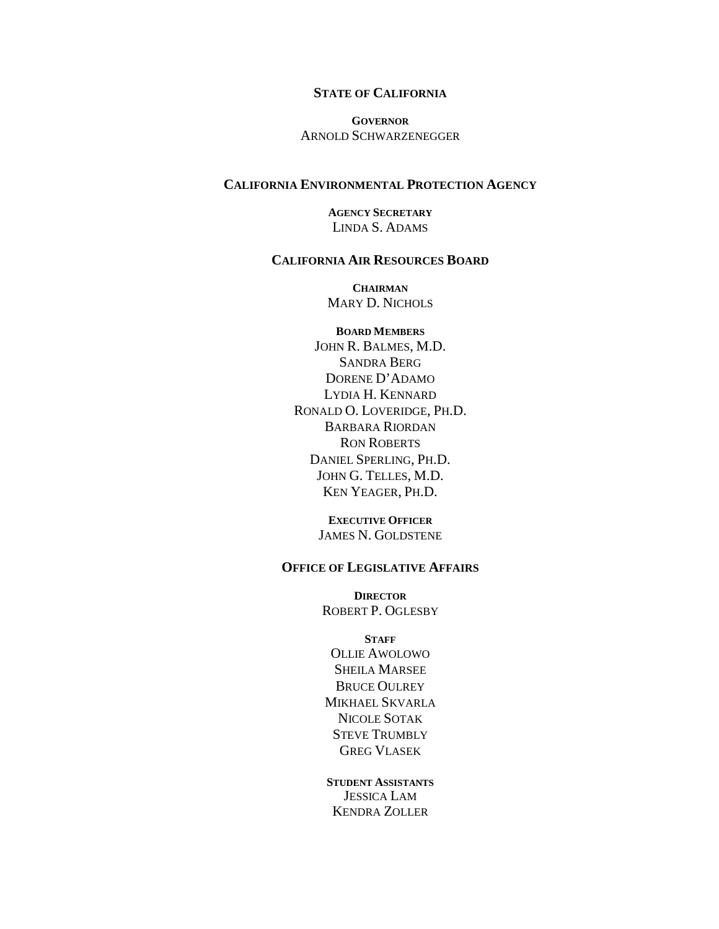#### **STATE OF CALIFORNIA**

**GOVERNOR** ARNOLD SCHWARZENEGGER

#### **CALIFORNIA ENVIRONMENTAL PROTECTION AGENCY**

**AGENCY SECRETARY** LINDA S. ADAMS

#### **CALIFORNIA AIR RESOURCES BOARD**

**CHAIRMAN**  MARY D. NICHOLS

**BOARD MEMBERS** JOHN R. BALMES, M.D. SANDRA BERG DORENE D'ADAMO LYDIA H. KENNARD RONALD O. LOVERIDGE, PH.D. BARBARA RIORDAN RON ROBERTS DANIEL SPERLING, PH.D. JOHN G. TELLES, M.D. KEN YEAGER, PH.D.

> **EXECUTIVE OFFICER** JAMES N. GOLDSTENE

#### **OFFICE OF LEGISLATIVE AFFAIRS**

**DIRECTOR** ROBERT P. OGLESBY

**STAFF** OLLIE AWOLOWO SHEILA MARSEE BRUCE OULREY MIKHAEL SKVARLA NICOLE SOTAK STEVE TRUMBLY GREG VLASEK

**STUDENT ASSISTANTS** JESSICA LAM KENDRA ZOLLER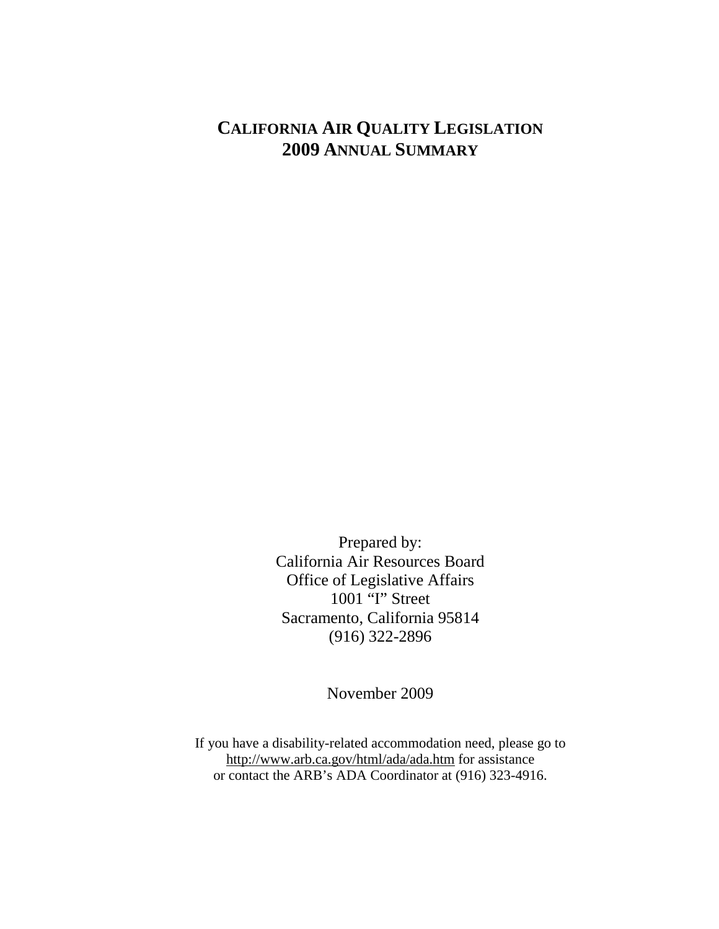# **CALIFORNIA AIR QUALITY LEGISLATION 2009 ANNUAL SUMMARY**

Prepared by: California Air Resources Board Office of Legislative Affairs 1001 "I" Street Sacramento, California 95814 (916) 322-2896

November 2009

If you have a disability-related accommodation need, please go to http://www.arb.ca.gov/html/ada/ada.htm for assistance or contact the ARB's ADA Coordinator at (916) 323-4916.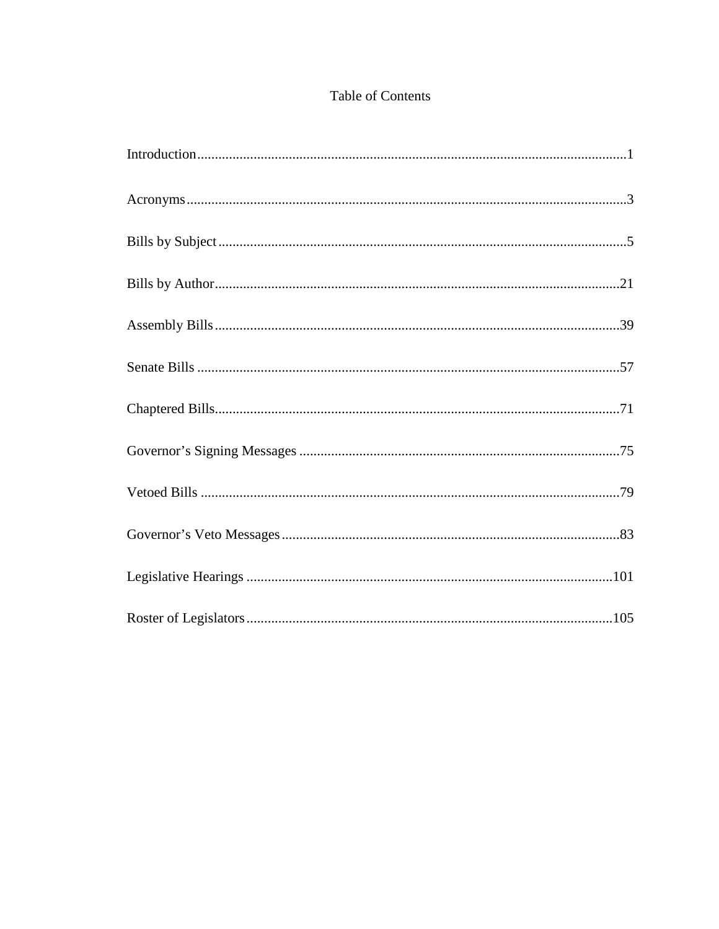## Table of Contents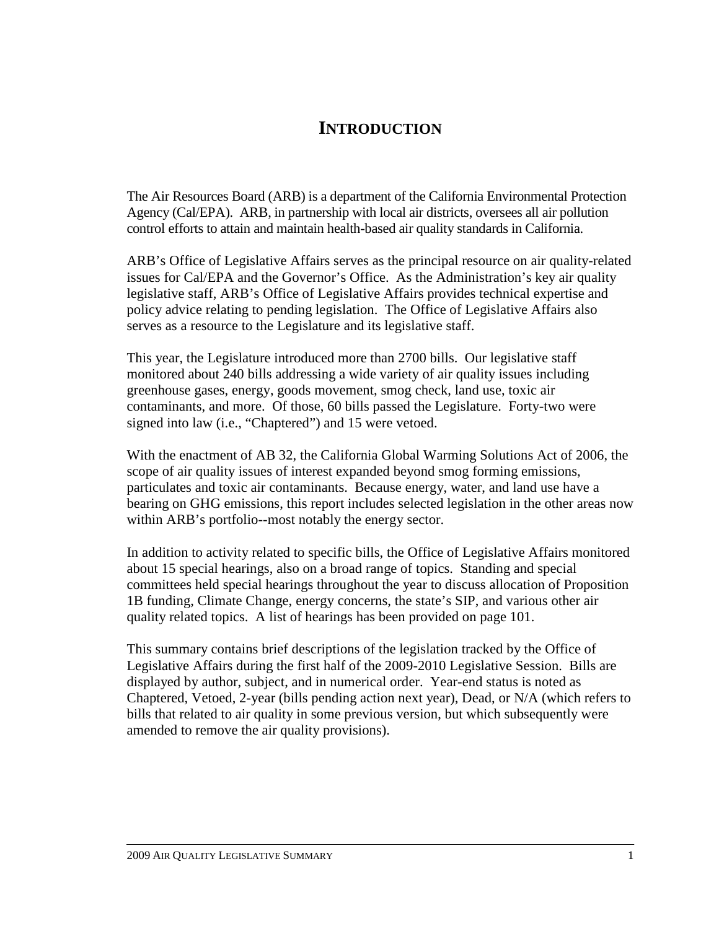# **INTRODUCTION**

The Air Resources Board (ARB) is a department of the California Environmental Protection Agency (Cal/EPA). ARB, in partnership with local air districts, oversees all air pollution control efforts to attain and maintain health-based air quality standards in California.

ARB's Office of Legislative Affairs serves as the principal resource on air quality-related issues for Cal/EPA and the Governor's Office. As the Administration's key air quality legislative staff, ARB's Office of Legislative Affairs provides technical expertise and policy advice relating to pending legislation. The Office of Legislative Affairs also serves as a resource to the Legislature and its legislative staff.

This year, the Legislature introduced more than 2700 bills. Our legislative staff monitored about 240 bills addressing a wide variety of air quality issues including greenhouse gases, energy, goods movement, smog check, land use, toxic air contaminants, and more. Of those, 60 bills passed the Legislature. Forty-two were signed into law (i.e., "Chaptered") and 15 were vetoed.

With the enactment of AB 32, the California Global Warming Solutions Act of 2006, the scope of air quality issues of interest expanded beyond smog forming emissions, particulates and toxic air contaminants. Because energy, water, and land use have a bearing on GHG emissions, this report includes selected legislation in the other areas now within ARB's portfolio--most notably the energy sector.

In addition to activity related to specific bills, the Office of Legislative Affairs monitored about 15 special hearings, also on a broad range of topics. Standing and special committees held special hearings throughout the year to discuss allocation of Proposition 1B funding, Climate Change, energy concerns, the state's SIP, and various other air quality related topics. A list of hearings has been provided on page 101.

This summary contains brief descriptions of the legislation tracked by the Office of Legislative Affairs during the first half of the 2009-2010 Legislative Session. Bills are displayed by author, subject, and in numerical order. Year-end status is noted as Chaptered, Vetoed, 2-year (bills pending action next year), Dead, or N/A (which refers to bills that related to air quality in some previous version, but which subsequently were amended to remove the air quality provisions).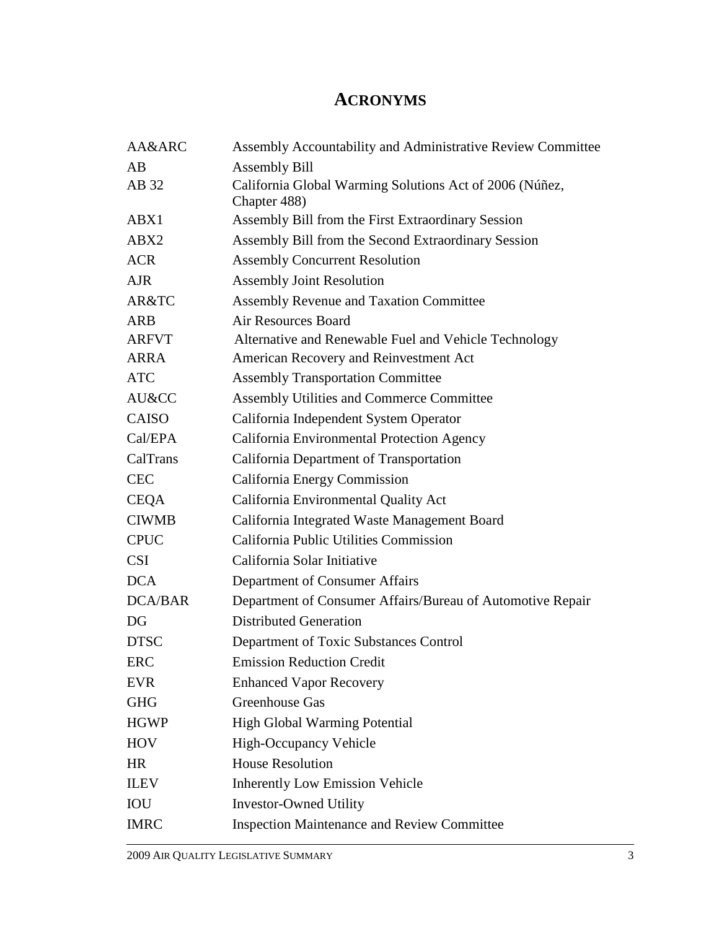# **ACRONYMS**

| AA&ARC         | Assembly Accountability and Administrative Review Committee             |
|----------------|-------------------------------------------------------------------------|
| AB             | <b>Assembly Bill</b>                                                    |
| AB 32          | California Global Warming Solutions Act of 2006 (Núñez,<br>Chapter 488) |
| ABX1           | Assembly Bill from the First Extraordinary Session                      |
| ABX2           | Assembly Bill from the Second Extraordinary Session                     |
| <b>ACR</b>     | <b>Assembly Concurrent Resolution</b>                                   |
| <b>AJR</b>     | <b>Assembly Joint Resolution</b>                                        |
| AR&TC          | <b>Assembly Revenue and Taxation Committee</b>                          |
| <b>ARB</b>     | <b>Air Resources Board</b>                                              |
| <b>ARFVT</b>   | Alternative and Renewable Fuel and Vehicle Technology                   |
| ARRA           | American Recovery and Reinvestment Act                                  |
| <b>ATC</b>     | <b>Assembly Transportation Committee</b>                                |
| AU&CC          | Assembly Utilities and Commerce Committee                               |
| <b>CAISO</b>   | California Independent System Operator                                  |
| Cal/EPA        | California Environmental Protection Agency                              |
| CalTrans       | California Department of Transportation                                 |
| <b>CEC</b>     | California Energy Commission                                            |
| <b>CEQA</b>    | California Environmental Quality Act                                    |
| <b>CIWMB</b>   | California Integrated Waste Management Board                            |
| <b>CPUC</b>    | California Public Utilities Commission                                  |
| <b>CSI</b>     | California Solar Initiative                                             |
| <b>DCA</b>     | Department of Consumer Affairs                                          |
| <b>DCA/BAR</b> | Department of Consumer Affairs/Bureau of Automotive Repair              |
| DG             | <b>Distributed Generation</b>                                           |
| <b>DTSC</b>    | Department of Toxic Substances Control                                  |
| ERC            | <b>Emission Reduction Credit</b>                                        |
| <b>EVR</b>     | <b>Enhanced Vapor Recovery</b>                                          |
| <b>GHG</b>     | Greenhouse Gas                                                          |
| <b>HGWP</b>    | <b>High Global Warming Potential</b>                                    |
| <b>HOV</b>     | <b>High-Occupancy Vehicle</b>                                           |
| <b>HR</b>      | <b>House Resolution</b>                                                 |
| <b>ILEV</b>    | <b>Inherently Low Emission Vehicle</b>                                  |
| IOU            | <b>Investor-Owned Utility</b>                                           |
| <b>IMRC</b>    | <b>Inspection Maintenance and Review Committee</b>                      |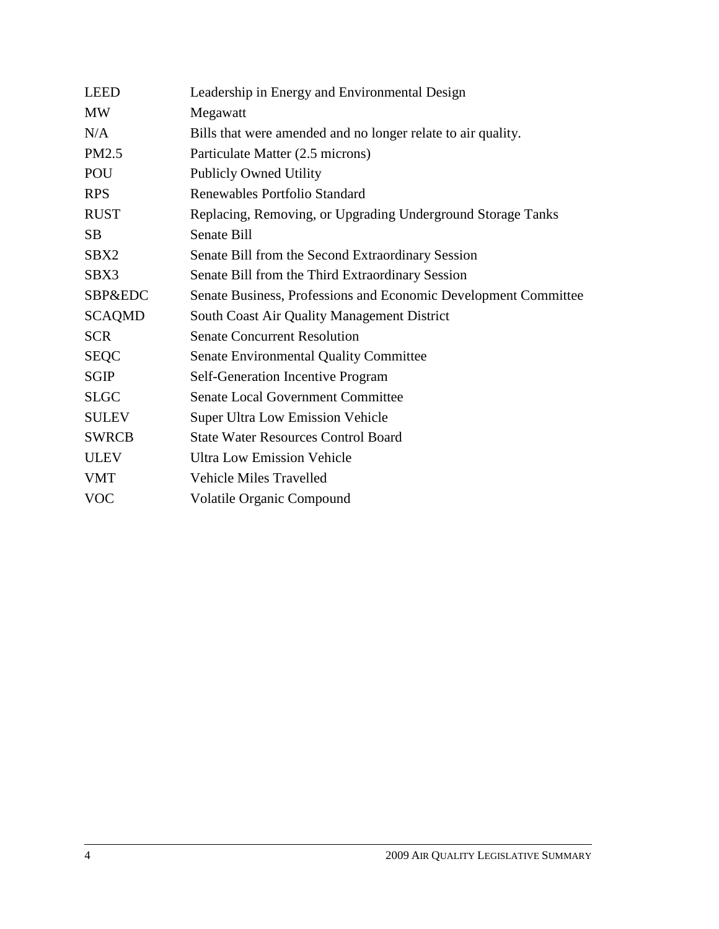| <b>LEED</b>        | Leadership in Energy and Environmental Design                   |
|--------------------|-----------------------------------------------------------------|
| <b>MW</b>          | Megawatt                                                        |
| N/A                | Bills that were amended and no longer relate to air quality.    |
| PM2.5              | Particulate Matter (2.5 microns)                                |
| POU                | <b>Publicly Owned Utility</b>                                   |
| <b>RPS</b>         | Renewables Portfolio Standard                                   |
| <b>RUST</b>        | Replacing, Removing, or Upgrading Underground Storage Tanks     |
| <b>SB</b>          | <b>Senate Bill</b>                                              |
| SBX2               | Senate Bill from the Second Extraordinary Session               |
| SBX3               | Senate Bill from the Third Extraordinary Session                |
| <b>SBP&amp;EDC</b> | Senate Business, Professions and Economic Development Committee |
| <b>SCAQMD</b>      | South Coast Air Quality Management District                     |
| <b>SCR</b>         | <b>Senate Concurrent Resolution</b>                             |
| <b>SEQC</b>        | <b>Senate Environmental Quality Committee</b>                   |
| <b>SGIP</b>        | <b>Self-Generation Incentive Program</b>                        |
| <b>SLGC</b>        | <b>Senate Local Government Committee</b>                        |
| <b>SULEV</b>       | <b>Super Ultra Low Emission Vehicle</b>                         |
| <b>SWRCB</b>       | <b>State Water Resources Control Board</b>                      |
| <b>ULEV</b>        | <b>Ultra Low Emission Vehicle</b>                               |
| <b>VMT</b>         | <b>Vehicle Miles Travelled</b>                                  |
| <b>VOC</b>         | Volatile Organic Compound                                       |
|                    |                                                                 |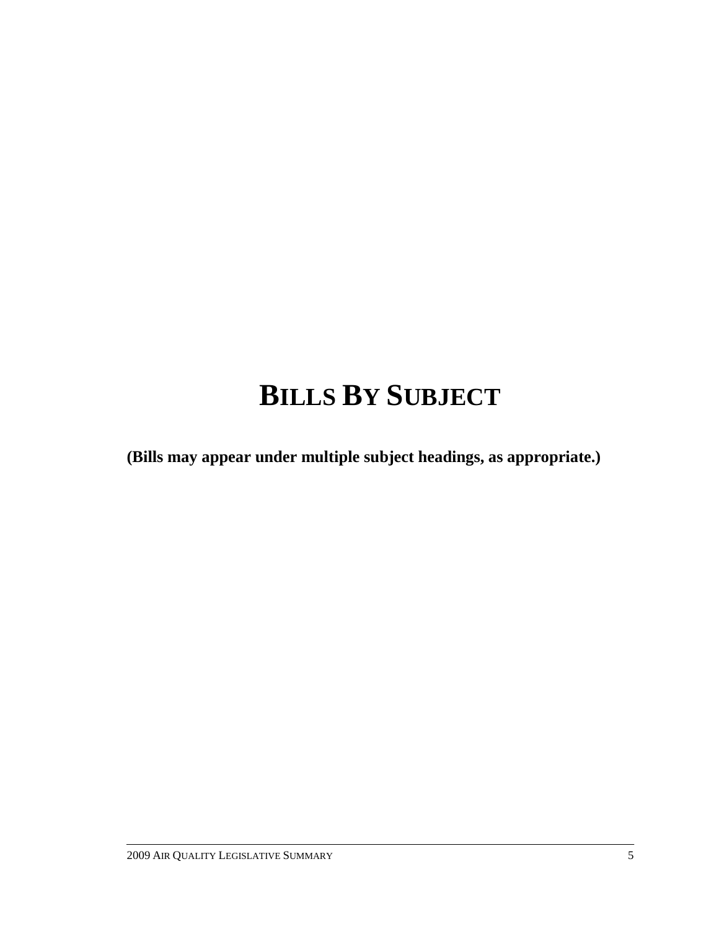# **BILLS BY SUBJECT**

**(Bills may appear under multiple subject headings, as appropriate.)**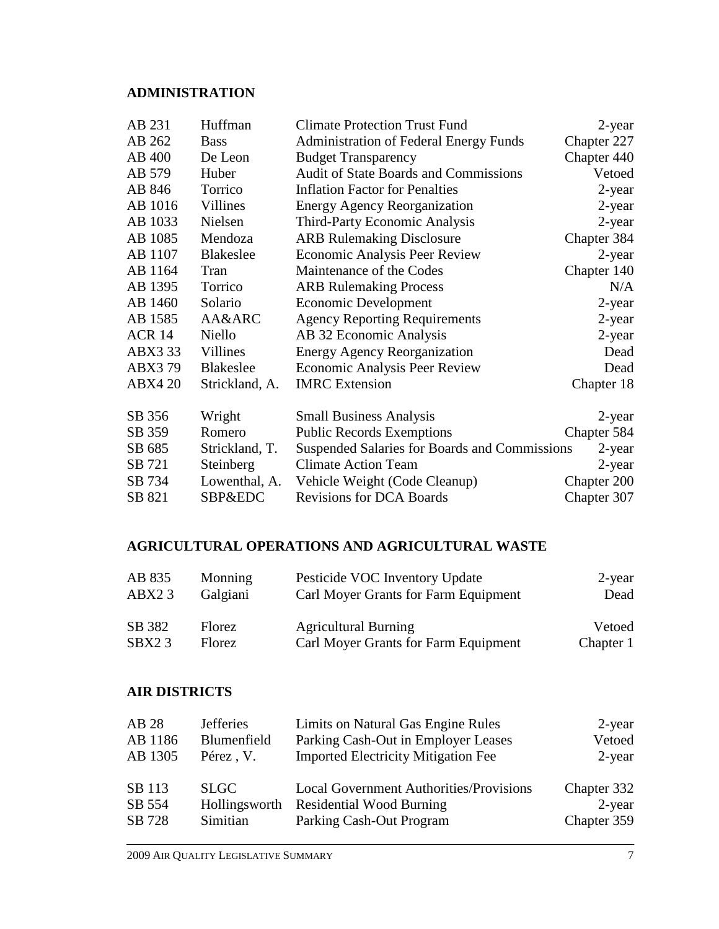# **ADMINISTRATION**

| AB 231         | Huffman          | <b>Climate Protection Trust Fund</b>          | 2-year      |
|----------------|------------------|-----------------------------------------------|-------------|
| AB 262         | <b>Bass</b>      | <b>Administration of Federal Energy Funds</b> | Chapter 227 |
| AB 400         | De Leon          | <b>Budget Transparency</b>                    | Chapter 440 |
| AB 579         | Huber            | <b>Audit of State Boards and Commissions</b>  | Vetoed      |
| AB 846         | Torrico          | <b>Inflation Factor for Penalties</b>         | 2-year      |
| AB 1016        | Villines         | <b>Energy Agency Reorganization</b>           | 2-year      |
| AB 1033        | Nielsen          | <b>Third-Party Economic Analysis</b>          | 2-year      |
| AB 1085        | Mendoza          | <b>ARB Rulemaking Disclosure</b>              | Chapter 384 |
| AB 1107        | <b>Blakeslee</b> | <b>Economic Analysis Peer Review</b>          | 2-year      |
| AB 1164        | Tran             | Maintenance of the Codes                      | Chapter 140 |
| AB 1395        | Torrico          | <b>ARB Rulemaking Process</b>                 | N/A         |
| AB 1460        | Solario          | <b>Economic Development</b>                   | 2-year      |
| AB 1585        | AA&ARC           | <b>Agency Reporting Requirements</b>          | 2-year      |
| <b>ACR 14</b>  | Niello           | AB 32 Economic Analysis                       | 2-year      |
| ABX3 33        | Villines         | <b>Energy Agency Reorganization</b>           | Dead        |
| ABX379         | <b>Blakeslee</b> | <b>Economic Analysis Peer Review</b>          | Dead        |
| <b>ABX4 20</b> | Strickland, A.   | <b>IMRC</b> Extension                         | Chapter 18  |
| SB 356         | Wright           | <b>Small Business Analysis</b>                | 2-year      |
| SB 359         | Romero           | <b>Public Records Exemptions</b>              | Chapter 584 |
| SB 685         | Strickland, T.   | Suspended Salaries for Boards and Commissions | 2-year      |
| SB 721         | Steinberg        | <b>Climate Action Team</b>                    | 2-year      |
| SB 734         | Lowenthal, A.    | Vehicle Weight (Code Cleanup)                 | Chapter 200 |
| SB 821         | SBP&EDC          | <b>Revisions for DCA Boards</b>               | Chapter 307 |

# **AGRICULTURAL OPERATIONS AND AGRICULTURAL WASTE**

| AB 835             | Monning       | Pesticide VOC Inventory Update       | $2$ -year |
|--------------------|---------------|--------------------------------------|-----------|
| ABX23              | Galgiani      | Carl Moyer Grants for Farm Equipment | Dead      |
| SB 382             | <b>Florez</b> | <b>Agricultural Burning</b>          | Vetoed    |
| SBX <sub>2</sub> 3 | <b>Florez</b> | Carl Moyer Grants for Farm Equipment | Chapter 1 |

#### **AIR DISTRICTS**

| <b>Jefferies</b> | Limits on Natural Gas Engine Rules             | $2$ -year                            |
|------------------|------------------------------------------------|--------------------------------------|
| Blumenfield      | Parking Cash-Out in Employer Leases            | Vetoed                               |
| Pérez, V.        | <b>Imported Electricity Mitigation Fee</b>     | $2$ -year                            |
|                  |                                                |                                      |
| <b>SLGC</b>      | <b>Local Government Authorities/Provisions</b> | Chapter 332                          |
| Hollingsworth    | <b>Residential Wood Burning</b>                | $2$ -year                            |
|                  |                                                | Chapter 359                          |
|                  |                                                | Parking Cash-Out Program<br>Simitian |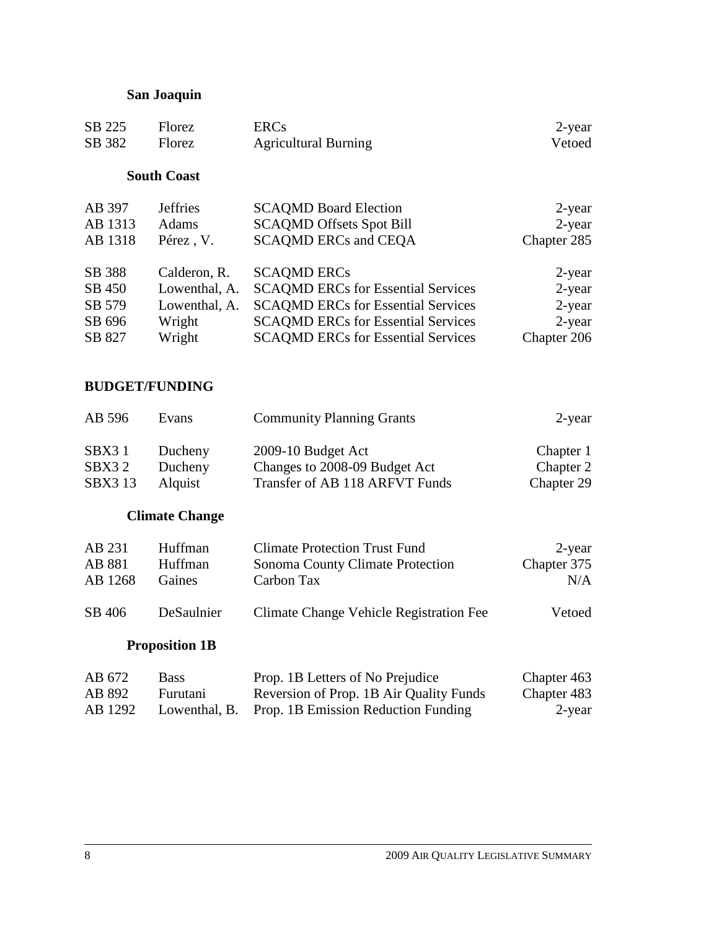# **San Joaquin**

| Florez           | <b>ERCs</b>                               | 2-year      |
|------------------|-------------------------------------------|-------------|
| Florez           | <b>Agricultural Burning</b>               | Vetoed      |
|                  |                                           |             |
|                  |                                           |             |
| <b>J</b> effries | <b>SCAQMD Board Election</b>              | 2-year      |
| Adams            | <b>SCAQMD Offsets Spot Bill</b>           | $2$ -year   |
| Pérez, V.        | <b>SCAQMD ERCs and CEQA</b>               | Chapter 285 |
| Calderon, R.     | <b>SCAQMD ERCs</b>                        | 2-year      |
| Lowenthal, A.    | <b>SCAQMD ERCs for Essential Services</b> | $2$ -year   |
| Lowenthal, A.    | <b>SCAQMD ERCs for Essential Services</b> | $2$ -year   |
| Wright           | <b>SCAQMD ERCs for Essential Services</b> | $2$ -year   |
| Wright           | <b>SCAQMD ERCs for Essential Services</b> | Chapter 206 |
|                  | <b>South Coast</b>                        |             |

# **BUDGET/FUNDING**

| AB 596  | Evans   | <b>Community Planning Grants</b> | $2$ -year  |
|---------|---------|----------------------------------|------------|
| SBX31   | Ducheny | 2009-10 Budget Act               | Chapter 1  |
| SBX32   | Ducheny | Changes to 2008-09 Budget Act    | Chapter 2  |
| SBX3 13 | Alquist | Transfer of AB 118 ARFVT Funds   | Chapter 29 |

# **Climate Change**

| AB 231  | Huffman    | <b>Climate Protection Trust Fund</b>    | 2-year      |
|---------|------------|-----------------------------------------|-------------|
| AB 881  | Huffman    | Sonoma County Climate Protection        | Chapter 375 |
| AB 1268 | Gaines     | Carbon Tax                              | N/A         |
| SB 406  | DeSaulnier | Climate Change Vehicle Registration Fee | Vetoed      |

# **Proposition 1B**

| AB 672  | <b>Bass</b> | Prop. 1B Letters of No Prejudice                  | Chapter 463 |
|---------|-------------|---------------------------------------------------|-------------|
| AB 892  | Furutani    | Reversion of Prop. 1B Air Quality Funds           | Chapter 483 |
| AB 1292 |             | Lowenthal, B. Prop. 1B Emission Reduction Funding | 2-year      |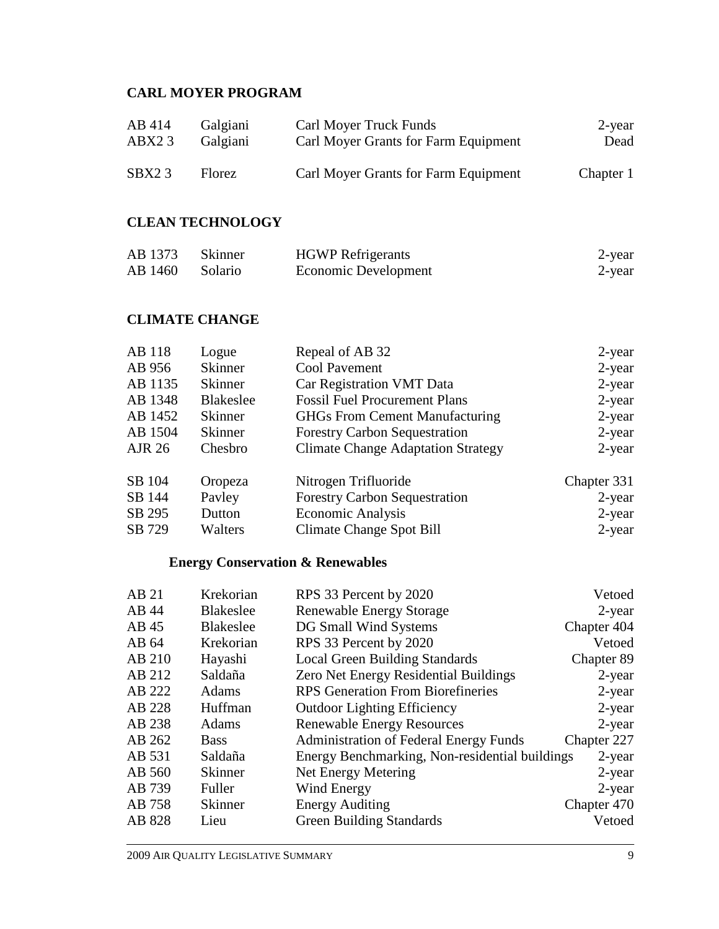# **CARL MOYER PROGRAM**

| AB 414 | Galgiani | <b>Carl Moyer Truck Funds</b>        | $2$ -year |
|--------|----------|--------------------------------------|-----------|
| ABX23  | Galgiani | Carl Moyer Grants for Farm Equipment | Dead      |
| SBX23  | Florez   | Carl Moyer Grants for Farm Equipment | Chapter 1 |

### **CLEAN TECHNOLOGY**

| AB 1373 Skinner | <b>HGWP</b> Refrigerants | 2-year |
|-----------------|--------------------------|--------|
| AB 1460 Solario | Economic Development     | 2-year |

# **CLIMATE CHANGE**

| AB 118  | Logue          | Repeal of AB 32                           | $2$ -year   |
|---------|----------------|-------------------------------------------|-------------|
| AB 956  | <b>Skinner</b> | <b>Cool Pavement</b>                      | $2$ -year   |
| AB 1135 | <b>Skinner</b> | Car Registration VMT Data                 | $2$ -year   |
| AB 1348 | Blakeslee      | <b>Fossil Fuel Procurement Plans</b>      | $2$ -year   |
| AB 1452 | <b>Skinner</b> | <b>GHGs From Cement Manufacturing</b>     | $2$ -year   |
| AB 1504 | <b>Skinner</b> | <b>Forestry Carbon Sequestration</b>      | $2$ -year   |
| AJR 26  | Chesbro        | <b>Climate Change Adaptation Strategy</b> | $2$ -year   |
| SB 104  | Oropeza        | Nitrogen Trifluoride                      | Chapter 331 |
| SB 144  | Payley         | <b>Forestry Carbon Sequestration</b>      | $2$ -year   |
| SB 295  | Dutton         | <b>Economic Analysis</b>                  | $2$ -year   |
| SB 729  | Walters        | Climate Change Spot Bill                  | $2$ -year   |

# **Energy Conservation & Renewables**

|                  |                                               | Vetoed                                                                                                      |
|------------------|-----------------------------------------------|-------------------------------------------------------------------------------------------------------------|
|                  |                                               | $2$ -year                                                                                                   |
| <b>Blakeslee</b> | DG Small Wind Systems                         | Chapter 404                                                                                                 |
| Krekorian        | RPS 33 Percent by 2020                        | Vetoed                                                                                                      |
| Hayashi          | <b>Local Green Building Standards</b>         | Chapter 89                                                                                                  |
| Saldaña          | <b>Zero Net Energy Residential Buildings</b>  | 2-year                                                                                                      |
| Adams            | <b>RPS</b> Generation From Biorefineries      | $2$ -year                                                                                                   |
| Huffman          | <b>Outdoor Lighting Efficiency</b>            | $2$ -year                                                                                                   |
| Adams            | <b>Renewable Energy Resources</b>             | $2$ -year                                                                                                   |
| <b>Bass</b>      | <b>Administration of Federal Energy Funds</b> | Chapter 227                                                                                                 |
| Saldaña          |                                               | $2$ -year                                                                                                   |
| <b>Skinner</b>   | Net Energy Metering                           | $2$ -year                                                                                                   |
| Fuller           | Wind Energy                                   | $2$ -year                                                                                                   |
| <b>Skinner</b>   | <b>Energy Auditing</b>                        | Chapter 470                                                                                                 |
| Lieu             | <b>Green Building Standards</b>               | Vetoed                                                                                                      |
|                  | Krekorian<br><b>Blakeslee</b>                 | RPS 33 Percent by 2020<br><b>Renewable Energy Storage</b><br>Energy Benchmarking, Non-residential buildings |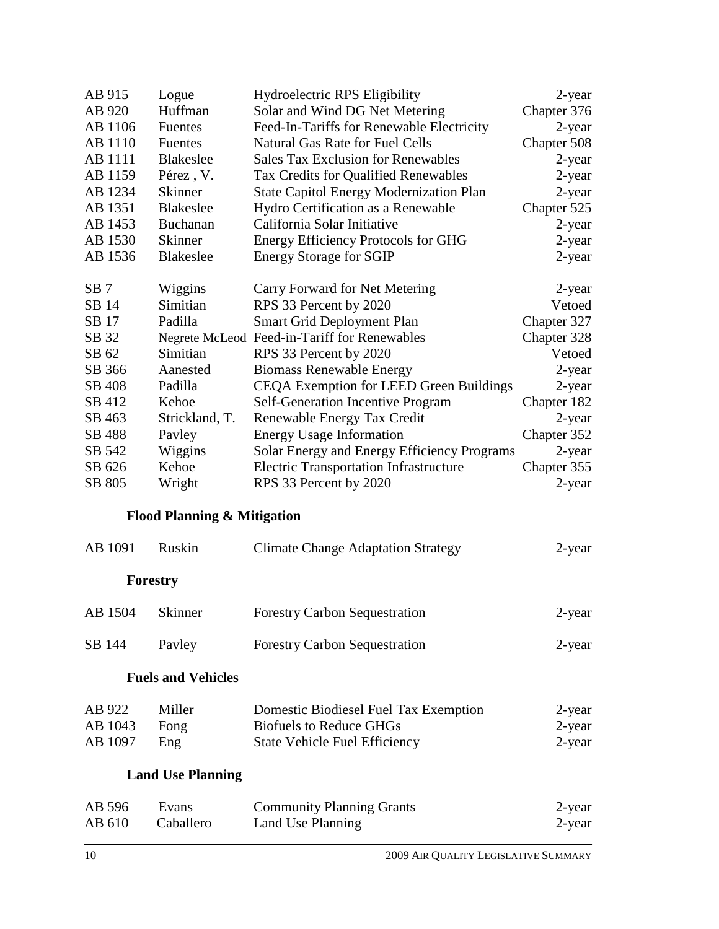| AB 915          | Logue                                  | Hydroelectric RPS Eligibility                  | 2-year      |
|-----------------|----------------------------------------|------------------------------------------------|-------------|
| AB 920          | Huffman                                | Solar and Wind DG Net Metering                 | Chapter 376 |
| AB 1106         | Fuentes                                | Feed-In-Tariffs for Renewable Electricity      | 2-year      |
| AB 1110         | Fuentes                                | <b>Natural Gas Rate for Fuel Cells</b>         | Chapter 508 |
| AB 1111         | <b>Blakeslee</b>                       | <b>Sales Tax Exclusion for Renewables</b>      | 2-year      |
| AB 1159         | Pérez, V.                              | Tax Credits for Qualified Renewables           | 2-year      |
| AB 1234         | <b>Skinner</b>                         | <b>State Capitol Energy Modernization Plan</b> | 2-year      |
| AB 1351         | <b>Blakeslee</b>                       | Hydro Certification as a Renewable             | Chapter 525 |
| AB 1453         | Buchanan                               | California Solar Initiative                    | 2-year      |
| AB 1530         | <b>Skinner</b>                         | <b>Energy Efficiency Protocols for GHG</b>     | 2-year      |
| AB 1536         | <b>Blakeslee</b>                       | <b>Energy Storage for SGIP</b>                 | 2-year      |
|                 |                                        |                                                |             |
| SB <sub>7</sub> | Wiggins                                | Carry Forward for Net Metering                 | 2-year      |
| SB 14           | Simitian                               | RPS 33 Percent by 2020                         | Vetoed      |
| SB 17           | Padilla                                | <b>Smart Grid Deployment Plan</b>              | Chapter 327 |
| SB 32           |                                        | Negrete McLeod Feed-in-Tariff for Renewables   | Chapter 328 |
| SB 62           | Simitian                               | RPS 33 Percent by 2020                         | Vetoed      |
| SB 366          | Aanested                               | <b>Biomass Renewable Energy</b>                | 2-year      |
| SB 408          | Padilla                                | CEQA Exemption for LEED Green Buildings        | 2-year      |
| SB 412          | Kehoe                                  | Self-Generation Incentive Program              | Chapter 182 |
| SB 463          | Strickland, T.                         | Renewable Energy Tax Credit                    | 2-year      |
| SB 488          | Pavley                                 | <b>Energy Usage Information</b>                | Chapter 352 |
| SB 542          | Wiggins                                | Solar Energy and Energy Efficiency Programs    | 2-year      |
| SB 626          | Kehoe                                  | <b>Electric Transportation Infrastructure</b>  | Chapter 355 |
| SB 805          | Wright                                 | RPS 33 Percent by 2020                         | 2-year      |
|                 |                                        |                                                |             |
|                 | <b>Flood Planning &amp; Mitigation</b> |                                                |             |
| AB 1091         | Ruskin                                 | <b>Climate Change Adaptation Strategy</b>      | 2-year      |
| Forestry        |                                        |                                                |             |
|                 |                                        |                                                |             |
| AB 1504         | Skinner                                | <b>Forestry Carbon Sequestration</b>           | 2-year      |
| SB 144          | Payley                                 | <b>Forestry Carbon Sequestration</b>           | 2-year      |
|                 | <b>Fuels and Vehicles</b>              |                                                |             |
|                 |                                        |                                                |             |
| AB 922          | Miller                                 | Domestic Biodiesel Fuel Tax Exemption          | 2-year      |
| AB 1043         | Fong                                   | <b>Biofuels to Reduce GHGs</b>                 | $2$ -year   |
| AB 1097         | Eng                                    | <b>State Vehicle Fuel Efficiency</b>           | 2-year      |
|                 | <b>Land Use Planning</b>               |                                                |             |
|                 |                                        |                                                |             |
| AB 596          | Evans                                  | <b>Community Planning Grants</b>               | 2-year      |
| AB 610          | Caballero                              | Land Use Planning                              | 2-year      |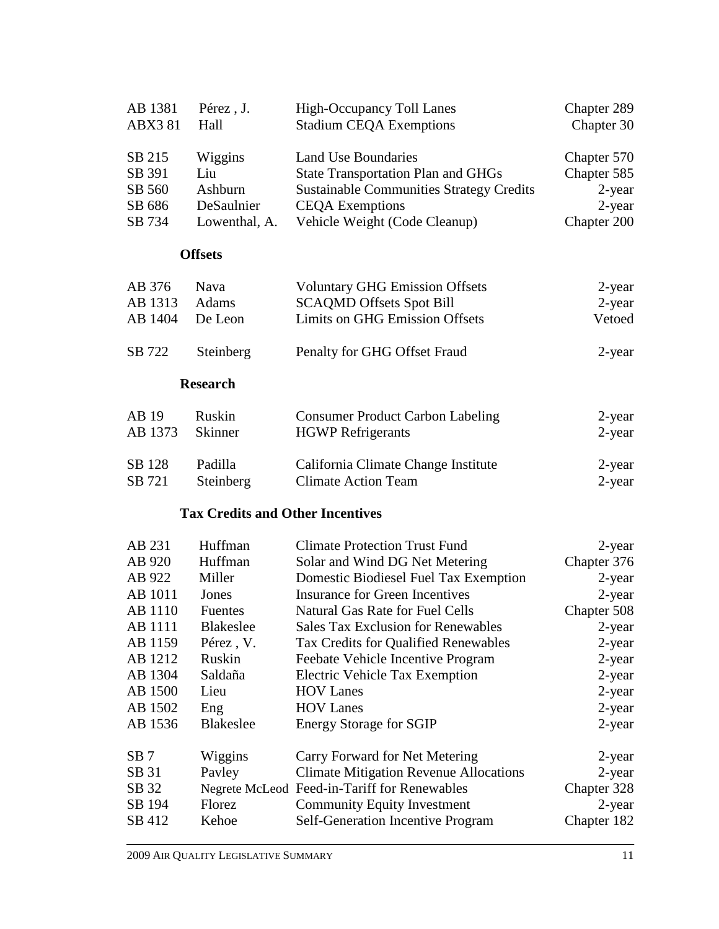| AB 1381<br><b>ABX381</b> | Pérez, J.<br>Hall                       | <b>High-Occupancy Toll Lanes</b><br><b>Stadium CEQA Exemptions</b> | Chapter 289<br>Chapter 30 |
|--------------------------|-----------------------------------------|--------------------------------------------------------------------|---------------------------|
| SB 215                   | Wiggins                                 | Land Use Boundaries                                                | Chapter 570               |
| SB 391                   | Liu                                     | <b>State Transportation Plan and GHGs</b>                          | Chapter 585               |
| SB 560                   | Ashburn                                 | <b>Sustainable Communities Strategy Credits</b>                    | 2-year                    |
| SB 686                   | DeSaulnier                              | <b>CEQA</b> Exemptions                                             | 2-year                    |
| SB 734                   | Lowenthal, A.                           | Vehicle Weight (Code Cleanup)                                      | Chapter 200               |
|                          | <b>Offsets</b>                          |                                                                    |                           |
| AB 376                   | Nava                                    | <b>Voluntary GHG Emission Offsets</b>                              | 2-year                    |
| AB 1313                  | Adams                                   | <b>SCAQMD Offsets Spot Bill</b>                                    | $2$ -year                 |
| AB 1404                  | De Leon                                 | <b>Limits on GHG Emission Offsets</b>                              | Vetoed                    |
| SB 722                   | Steinberg                               | Penalty for GHG Offset Fraud                                       | 2-year                    |
|                          | <b>Research</b>                         |                                                                    |                           |
| AB 19                    | Ruskin                                  | <b>Consumer Product Carbon Labeling</b>                            | 2-year                    |
| AB 1373                  | Skinner                                 | <b>HGWP</b> Refrigerants                                           | 2-year                    |
| SB 128                   | Padilla                                 | California Climate Change Institute                                | 2-year                    |
| SB 721                   | Steinberg                               | <b>Climate Action Team</b>                                         | $2$ -year                 |
|                          | <b>Tax Credits and Other Incentives</b> |                                                                    |                           |
| AB 231                   | Huffman                                 | <b>Climate Protection Trust Fund</b>                               | 2-year                    |
| AB 920                   | Huffman                                 | Solar and Wind DG Net Metering                                     | Chapter 376               |
| AB 922                   | Miller                                  | Domestic Biodiesel Fuel Tax Exemption                              | 2-year                    |
| AB 1011                  | Jones                                   | <b>Insurance for Green Incentives</b>                              | 2-year                    |
| AB 1110                  | Fuentes                                 | <b>Natural Gas Rate for Fuel Cells</b>                             | Chapter 508               |
| AB 1111                  | <b>Blakeslee</b>                        | <b>Sales Tax Exclusion for Renewables</b>                          | 2-year                    |
| AB 1159                  | Pérez, V.                               | Tax Credits for Qualified Renewables                               | 2-year                    |
| AB 1212                  | Ruskin                                  | Feebate Vehicle Incentive Program                                  | 2-year                    |
| AB 1304                  | Saldaña                                 | <b>Electric Vehicle Tax Exemption</b>                              | 2-year                    |
| AB 1500                  | Lieu                                    | <b>HOV</b> Lanes                                                   | 2-year                    |
| AB 1502                  | Eng                                     | <b>HOV</b> Lanes                                                   | 2-year                    |
| AB 1536                  | <b>Blakeslee</b>                        | <b>Energy Storage for SGIP</b>                                     | 2-year                    |
| SB 7                     | Wiggins                                 | Carry Forward for Net Metering                                     | 2-year                    |
| SB 31                    | Pavley                                  | <b>Climate Mitigation Revenue Allocations</b>                      | 2-year                    |
| SB 32                    |                                         | Negrete McLeod Feed-in-Tariff for Renewables                       | Chapter 328               |
| SB 194                   | Florez                                  | <b>Community Equity Investment</b>                                 | 2-year                    |

SB 412 Kehoe Self-Generation Incentive Program Chapter 182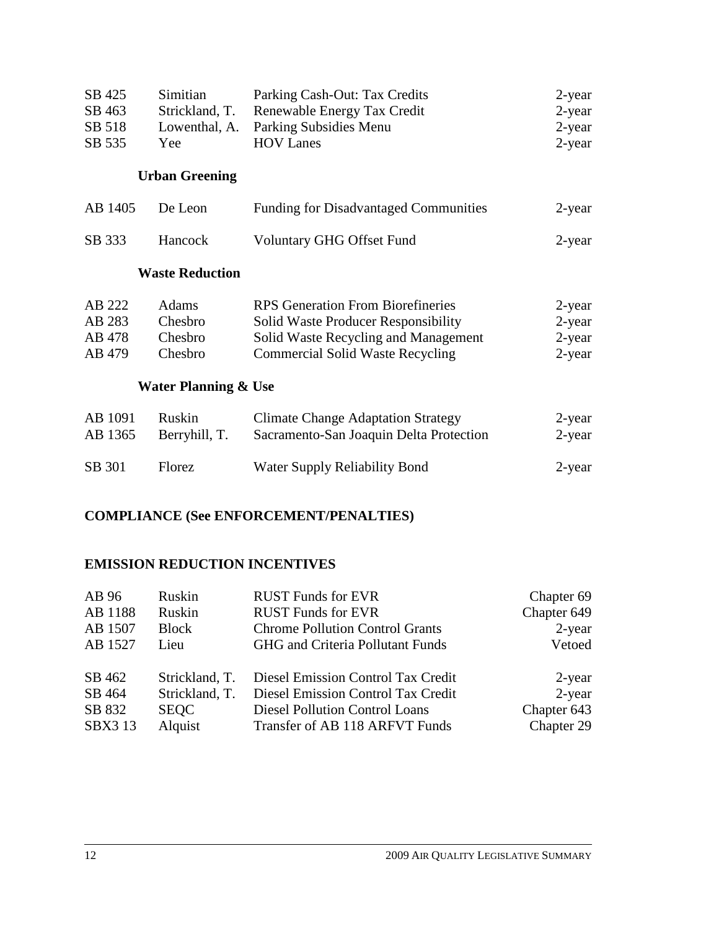| SB 425<br>SB 463<br>SB 518<br>SB 535 | Simitian<br>Strickland, T.<br>Lowenthal, A.<br>Yee | Parking Cash-Out: Tax Credits<br>Renewable Energy Tax Credit<br>Parking Subsidies Menu<br><b>HOV Lanes</b>                                                                | 2-year<br>2-year<br>2-year<br>2-year       |
|--------------------------------------|----------------------------------------------------|---------------------------------------------------------------------------------------------------------------------------------------------------------------------------|--------------------------------------------|
|                                      | <b>Urban Greening</b>                              |                                                                                                                                                                           |                                            |
| AB 1405                              | De Leon                                            | <b>Funding for Disadvantaged Communities</b>                                                                                                                              | 2-year                                     |
| SB 333                               | Hancock                                            | <b>Voluntary GHG Offset Fund</b>                                                                                                                                          | 2-year                                     |
|                                      | <b>Waste Reduction</b>                             |                                                                                                                                                                           |                                            |
| AB 222<br>AB 283<br>AB 478<br>AB 479 | Adams<br>Chesbro<br>Chesbro<br>Chesbro             | <b>RPS</b> Generation From Biorefineries<br><b>Solid Waste Producer Responsibility</b><br>Solid Waste Recycling and Management<br><b>Commercial Solid Waste Recycling</b> | 2-year<br>$2$ -year<br>2-year<br>$2$ -year |
|                                      | <b>Water Planning &amp; Use</b>                    |                                                                                                                                                                           |                                            |
| AB 1091<br>AB 1365                   | Ruskin<br>Berryhill, T.                            | <b>Climate Change Adaptation Strategy</b><br>Sacramento-San Joaquin Delta Protection                                                                                      | $2$ -year<br>$2$ -year                     |
| SB 301                               | Florez                                             | Water Supply Reliability Bond                                                                                                                                             | $2$ -year                                  |

## **COMPLIANCE (See ENFORCEMENT/PENALTIES)**

# **EMISSION REDUCTION INCENTIVES**

| AB 96          | Ruskin         | <b>RUST Funds for EVR</b>              | Chapter 69  |
|----------------|----------------|----------------------------------------|-------------|
| AB 1188        | Ruskin         | <b>RUST Funds for EVR</b>              | Chapter 649 |
| AB 1507        | <b>Block</b>   | <b>Chrome Pollution Control Grants</b> | $2$ -year   |
| AB 1527        | Lieu           | GHG and Criteria Pollutant Funds       | Vetoed      |
| SB 462         | Strickland, T. | Diesel Emission Control Tax Credit     | 2-year      |
| SB 464         | Strickland, T. | Diesel Emission Control Tax Credit     | $2$ -year   |
| SB 832         | <b>SEQC</b>    | <b>Diesel Pollution Control Loans</b>  | Chapter 643 |
| <b>SBX3 13</b> | Alquist        | Transfer of AB 118 ARFVT Funds         | Chapter 29  |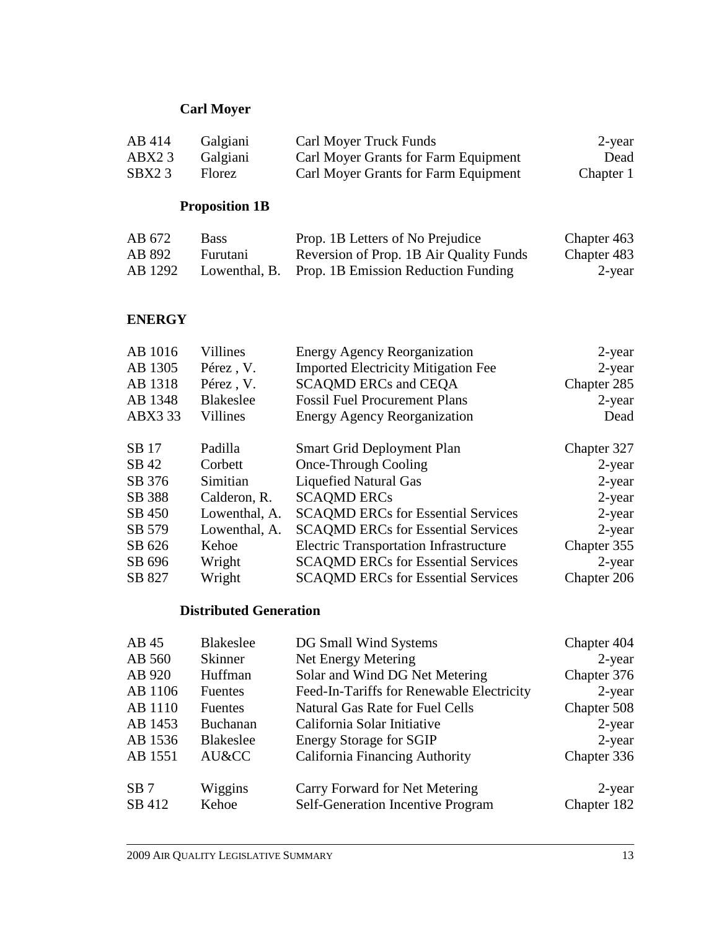# **Carl Moyer**

| AB 414 | Galgiani | <b>Carl Moyer Truck Funds</b>        | 2-year    |
|--------|----------|--------------------------------------|-----------|
| ABX23  | Galgiani | Carl Moyer Grants for Farm Equipment | Dead      |
| SBX23  | Florez   | Carl Moyer Grants for Farm Equipment | Chapter 1 |

# **Proposition 1B**

| AB 672  | <b>Bass</b> | Prop. 1B Letters of No Prejudice                  | Chapter 463 |
|---------|-------------|---------------------------------------------------|-------------|
| AB 892  | Furutani    | Reversion of Prop. 1B Air Quality Funds           | Chapter 483 |
| AB 1292 |             | Lowenthal, B. Prop. 1B Emission Reduction Funding | 2-year      |

# **ENERGY**

| Villines         | <b>Energy Agency Reorganization</b>           | 2-year      |
|------------------|-----------------------------------------------|-------------|
| Pérez, V.        | <b>Imported Electricity Mitigation Fee</b>    | $2$ -year   |
| Pérez, V.        | <b>SCAQMD ERCs and CEQA</b>                   | Chapter 285 |
| <b>Blakeslee</b> | <b>Fossil Fuel Procurement Plans</b>          | $2$ -year   |
| Villines         | <b>Energy Agency Reorganization</b>           | Dead        |
| Padilla          | <b>Smart Grid Deployment Plan</b>             | Chapter 327 |
| Corbett          | Once-Through Cooling                          | $2$ -year   |
| Simitian         | <b>Liquefied Natural Gas</b>                  | $2$ -year   |
| Calderon, R.     | <b>SCAQMD ERCs</b>                            | $2$ -year   |
| Lowenthal, A.    | <b>SCAQMD ERCs for Essential Services</b>     | $2$ -year   |
| Lowenthal, A.    | <b>SCAQMD ERCs for Essential Services</b>     | $2$ -year   |
| Kehoe            | <b>Electric Transportation Infrastructure</b> | Chapter 355 |
| Wright           | <b>SCAQMD ERCs for Essential Services</b>     | $2$ -year   |
| Wright           | <b>SCAQMD ERCs for Essential Services</b>     | Chapter 206 |
|                  |                                               |             |

# **Distributed Generation**

| AB45            | <b>Blakeslee</b> | DG Small Wind Systems                     | Chapter 404 |
|-----------------|------------------|-------------------------------------------|-------------|
| AB 560          | <b>Skinner</b>   | Net Energy Metering                       | $2$ -year   |
| AB 920          | Huffman          | Solar and Wind DG Net Metering            | Chapter 376 |
| AB 1106         | <b>Fuentes</b>   | Feed-In-Tariffs for Renewable Electricity | $2$ -year   |
| AB 1110         | <b>Fuentes</b>   | <b>Natural Gas Rate for Fuel Cells</b>    | Chapter 508 |
| AB 1453         | Buchanan         | California Solar Initiative               | $2$ -year   |
| AB 1536         | <b>Blakeslee</b> | <b>Energy Storage for SGIP</b>            | $2$ -year   |
| AB 1551         | AU&CC            | <b>California Financing Authority</b>     | Chapter 336 |
| SB <sub>7</sub> | Wiggins          | Carry Forward for Net Metering            | 2-year      |
| SB 412          | Kehoe            | <b>Self-Generation Incentive Program</b>  | Chapter 182 |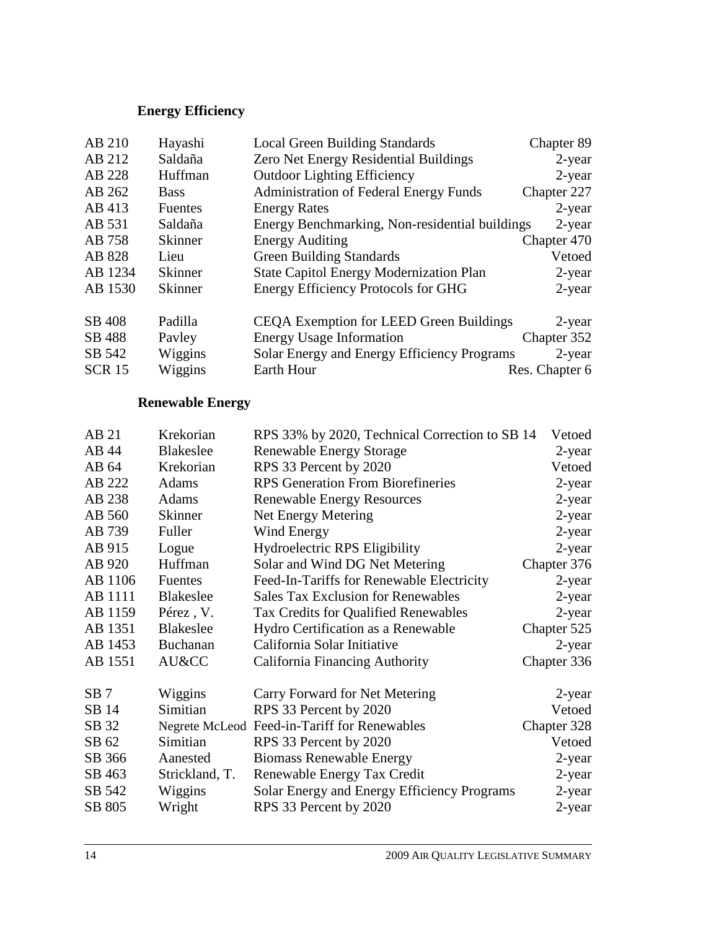# **Energy Efficiency**

| AB 210        | Hayashi        | <b>Local Green Building Standards</b>          | Chapter 89     |
|---------------|----------------|------------------------------------------------|----------------|
| AB 212        | Saldaña        | Zero Net Energy Residential Buildings          | $2$ -year      |
| AB 228        | Huffman        | <b>Outdoor Lighting Efficiency</b>             | $2$ -year      |
| AB 262        | <b>Bass</b>    | <b>Administration of Federal Energy Funds</b>  | Chapter 227    |
| AB 413        | <b>Fuentes</b> | <b>Energy Rates</b>                            | $2$ -year      |
| AB 531        | Saldaña        | Energy Benchmarking, Non-residential buildings | $2$ -year      |
| AB 758        | <b>Skinner</b> | <b>Energy Auditing</b>                         | Chapter 470    |
| AB 828        | Lieu           | <b>Green Building Standards</b>                | Vetoed         |
| AB 1234       | <b>Skinner</b> | <b>State Capitol Energy Modernization Plan</b> | $2$ -year      |
| AB 1530       | <b>Skinner</b> | <b>Energy Efficiency Protocols for GHG</b>     | $2$ -year      |
|               |                |                                                |                |
| SB 408        | Padilla        | <b>CEQA Exemption for LEED Green Buildings</b> | 2-year         |
| SB 488        | Payley         | <b>Energy Usage Information</b>                | Chapter 352    |
| SB 542        | Wiggins        | Solar Energy and Energy Efficiency Programs    | $2$ -year      |
| <b>SCR 15</b> | Wiggins        | Earth Hour                                     | Res. Chapter 6 |

# **Renewable Energy**

| AB 21           | Krekorian        | RPS 33% by 2020, Technical Correction to SB 14 | Vetoed      |
|-----------------|------------------|------------------------------------------------|-------------|
| AB 44           | <b>Blakeslee</b> | <b>Renewable Energy Storage</b>                | 2-year      |
| AB 64           | Krekorian        | RPS 33 Percent by 2020                         | Vetoed      |
| AB 222          | Adams            | <b>RPS</b> Generation From Biorefineries       | 2-year      |
| AB 238          | <b>Adams</b>     | <b>Renewable Energy Resources</b>              | 2-year      |
| AB 560          | <b>Skinner</b>   | Net Energy Metering                            | $2$ -year   |
| AB 739          | Fuller           | Wind Energy                                    | $2$ -year   |
| AB 915          | Logue            | <b>Hydroelectric RPS Eligibility</b>           | 2-year      |
| AB 920          | Huffman          | Solar and Wind DG Net Metering                 | Chapter 376 |
| AB 1106         | Fuentes          | Feed-In-Tariffs for Renewable Electricity      | $2$ -year   |
| AB 1111         | <b>Blakeslee</b> | <b>Sales Tax Exclusion for Renewables</b>      | $2$ -year   |
| AB 1159         | Pérez, V.        | Tax Credits for Qualified Renewables           | 2-year      |
| AB 1351         | <b>Blakeslee</b> | Hydro Certification as a Renewable             | Chapter 525 |
| AB 1453         | Buchanan         | California Solar Initiative                    | 2-year      |
| AB 1551         | AU&CC            | California Financing Authority                 | Chapter 336 |
| SB <sub>7</sub> | Wiggins          | Carry Forward for Net Metering                 | 2-year      |
| SB 14           | Simitian         | RPS 33 Percent by 2020                         | Vetoed      |
| SB 32           |                  | Negrete McLeod Feed-in-Tariff for Renewables   | Chapter 328 |
| SB 62           | Simitian         | RPS 33 Percent by 2020                         | Vetoed      |
| SB 366          | Aanested         | <b>Biomass Renewable Energy</b>                | $2$ -year   |
| SB 463          | Strickland, T.   | Renewable Energy Tax Credit                    | 2-year      |
| SB 542          | Wiggins          | Solar Energy and Energy Efficiency Programs    | 2-year      |
| SB 805          | Wright           | RPS 33 Percent by 2020                         | 2-year      |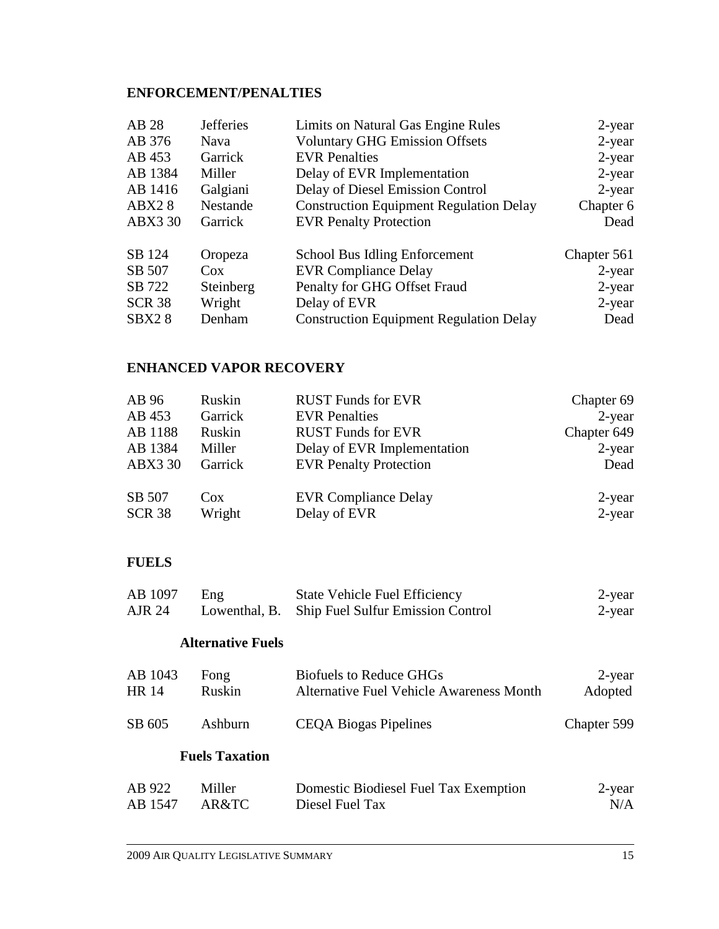# **ENFORCEMENT/PENALTIES**

| <b>Jefferies</b> | Limits on Natural Gas Engine Rules             | 2-year      |
|------------------|------------------------------------------------|-------------|
| Nava             | <b>Voluntary GHG Emission Offsets</b>          | $2$ -year   |
| Garrick          | <b>EVR</b> Penalties                           | $2$ -year   |
| Miller           | Delay of EVR Implementation                    | $2$ -year   |
| Galgiani         | Delay of Diesel Emission Control               | $2$ -year   |
| Nestande         | <b>Construction Equipment Regulation Delay</b> | Chapter 6   |
| Garrick          | <b>EVR Penalty Protection</b>                  | Dead        |
| Oropeza          | School Bus Idling Enforcement                  | Chapter 561 |
| $\cos$           | <b>EVR Compliance Delay</b>                    | $2$ -year   |
| Steinberg        | Penalty for GHG Offset Fraud                   | $2$ -year   |
| Wright           | Delay of EVR                                   | $2$ -year   |
| Denham           | <b>Construction Equipment Regulation Delay</b> | Dead        |
|                  |                                                |             |

# **ENHANCED VAPOR RECOVERY**

| AB 96          | Ruskin  | <b>RUST Funds for EVR</b>     | Chapter 69  |
|----------------|---------|-------------------------------|-------------|
| AB 453         | Garrick | <b>EVR</b> Penalties          | $2$ -year   |
| AB 1188        | Ruskin  | <b>RUST Funds for EVR</b>     | Chapter 649 |
| AB 1384        | Miller  | Delay of EVR Implementation   | $2$ -year   |
| <b>ABX3 30</b> | Garrick | <b>EVR Penalty Protection</b> | Dead        |
|                |         |                               |             |
| SB 507         | Cox     | <b>EVR Compliance Delay</b>   | 2-year      |
| <b>SCR 38</b>  | Wright  | Delay of EVR                  | $2$ -year   |

# **FUELS**

| AB 1097 | Eng | <b>State Vehicle Fuel Efficiency</b>            | 2-year |
|---------|-----|-------------------------------------------------|--------|
| AJR 24  |     | Lowenthal, B. Ship Fuel Sulfur Emission Control | 2-year |

#### **Alternative Fuels**

| AB 1043 | Fong          | Biofuels to Reduce GHGs                  | 2-year      |
|---------|---------------|------------------------------------------|-------------|
| HR 14   | <b>Ruskin</b> | Alternative Fuel Vehicle Awareness Month | Adopted     |
| SB 605  | Ashburn       | <b>CEQA Biogas Pipelines</b>             | Chapter 599 |

### **Fuels Taxation**

| AB 922        | Miller | Domestic Biodiesel Fuel Tax Exemption | 2-year |
|---------------|--------|---------------------------------------|--------|
| AB 1547 AR&TC |        | Diesel Fuel Tax                       | N/A    |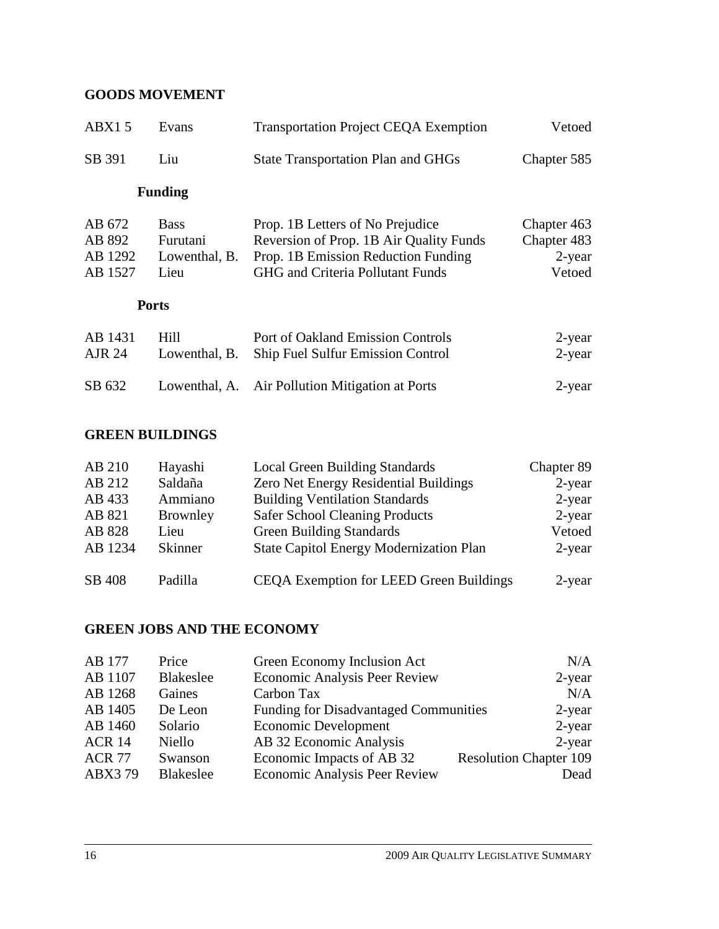# **GOODS MOVEMENT**

| ABX15                                  | Evans                                            | <b>Transportation Project CEQA Exemption</b>                                                                                                                  | Vetoed                                         |
|----------------------------------------|--------------------------------------------------|---------------------------------------------------------------------------------------------------------------------------------------------------------------|------------------------------------------------|
| SB 391                                 | Liu                                              | <b>State Transportation Plan and GHGs</b>                                                                                                                     | Chapter 585                                    |
|                                        | <b>Funding</b>                                   |                                                                                                                                                               |                                                |
| AB 672<br>AB 892<br>AB 1292<br>AB 1527 | <b>Bass</b><br>Furutani<br>Lowenthal, B.<br>Lieu | Prop. 1B Letters of No Prejudice<br>Reversion of Prop. 1B Air Quality Funds<br>Prop. 1B Emission Reduction Funding<br><b>GHG</b> and Criteria Pollutant Funds | Chapter 463<br>Chapter 483<br>2-year<br>Vetoed |
| <b>Ports</b>                           |                                                  |                                                                                                                                                               |                                                |
| AB 1431<br><b>AJR 24</b>               | Hill<br>Lowenthal, B.                            | Port of Oakland Emission Controls<br><b>Ship Fuel Sulfur Emission Control</b>                                                                                 | 2-year<br>$2$ -year                            |
| SB 632                                 | Lowenthal, A.                                    | Air Pollution Mitigation at Ports                                                                                                                             | 2-year                                         |

# **GREEN BUILDINGS**

| AB 210  | Hayashi        | <b>Local Green Building Standards</b>          | Chapter 89 |
|---------|----------------|------------------------------------------------|------------|
| AB 212  | Saldaña        | Zero Net Energy Residential Buildings          | $2$ -year  |
| AB 433  | Ammiano        | <b>Building Ventilation Standards</b>          | $2$ -year  |
| AB 821  | Brownley       | <b>Safer School Cleaning Products</b>          | $2$ -year  |
| AB 828  | Lieu           | <b>Green Building Standards</b>                | Vetoed     |
| AB 1234 | <b>Skinner</b> | <b>State Capitol Energy Modernization Plan</b> | 2-year     |
| SB 408  | Padilla        | <b>CEQA Exemption for LEED Green Buildings</b> | $2$ -year  |

# **GREEN JOBS AND THE ECONOMY**

| Green Economy Inclusion Act<br>AB 177<br>Price                                         | N/A       |
|----------------------------------------------------------------------------------------|-----------|
| <b>Economic Analysis Peer Review</b><br>AB 1107<br>Blakeslee                           | 2-year    |
| AB 1268<br>Carbon Tax<br>Gaines                                                        | N/A       |
| AB 1405<br><b>Funding for Disadvantaged Communities</b><br>De Leon                     | $2$ -year |
| Economic Development<br>AB 1460<br>Solario                                             | $2$ -year |
| AB 32 Economic Analysis<br><b>ACR 14</b><br>Niello                                     | $2$ -year |
| Economic Impacts of AB 32<br><b>Resolution Chapter 109</b><br><b>ACR 77</b><br>Swanson |           |
| <b>Economic Analysis Peer Review</b><br>ABX379<br><b>Blakeslee</b>                     | Dead      |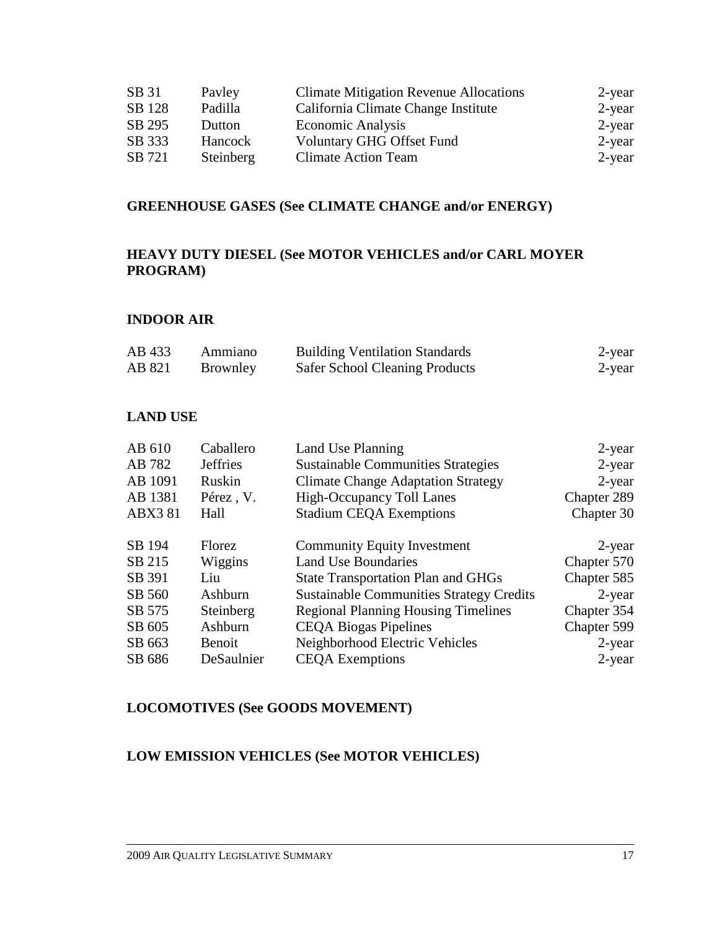| SB 31  | Payley    | <b>Climate Mitigation Revenue Allocations</b> | 2-year    |
|--------|-----------|-----------------------------------------------|-----------|
| SB 128 | Padilla   | California Climate Change Institute           | $2$ -year |
| SB 295 | Dutton    | <b>Economic Analysis</b>                      | $2$ -year |
| SB 333 | Hancock   | <b>Voluntary GHG Offset Fund</b>              | $2$ -year |
| SB 721 | Steinberg | <b>Climate Action Team</b>                    | $2$ -year |

#### **GREENHOUSE GASES (See CLIMATE CHANGE and/or ENERGY)**

# **HEAVY DUTY DIESEL (See MOTOR VEHICLES and/or CARL MOYER PROGRAM)**

#### **INDOOR AIR**

| AB 433 | Ammiano         | <b>Building Ventilation Standards</b> | 2-year |
|--------|-----------------|---------------------------------------|--------|
| AB 821 | <b>Brownley</b> | <b>Safer School Cleaning Products</b> | 2-year |

#### **LAND USE**

| AB 610         | Caballero       | Land Use Planning                               | $2$ -year   |
|----------------|-----------------|-------------------------------------------------|-------------|
| AB 782         | <b>Jeffries</b> | <b>Sustainable Communities Strategies</b>       | $2$ -year   |
| AB 1091        | Ruskin          | <b>Climate Change Adaptation Strategy</b>       | $2$ -year   |
| AB 1381        | Pérez, V.       | <b>High-Occupancy Toll Lanes</b>                | Chapter 289 |
| <b>ABX3 81</b> | Hall            | <b>Stadium CEQA Exemptions</b>                  | Chapter 30  |
| SB 194         | Florez          | <b>Community Equity Investment</b>              | $2$ -year   |
| SB 215         | Wiggins         | <b>Land Use Boundaries</b>                      | Chapter 570 |
| SB 391         | Liu             | <b>State Transportation Plan and GHGs</b>       | Chapter 585 |
| SB 560         | Ashburn         | <b>Sustainable Communities Strategy Credits</b> | $2$ -year   |
| SB 575         | Steinberg       | <b>Regional Planning Housing Timelines</b>      | Chapter 354 |
| SB 605         | Ashburn         | <b>CEQA Biogas Pipelines</b>                    | Chapter 599 |
| SB 663         | <b>Benoit</b>   | Neighborhood Electric Vehicles                  | $2$ -year   |
| SB 686         | DeSaulnier      | <b>CEQA</b> Exemptions                          | $2$ -year   |

#### **LOCOMOTIVES (See GOODS MOVEMENT)**

## **LOW EMISSION VEHICLES (See MOTOR VEHICLES)**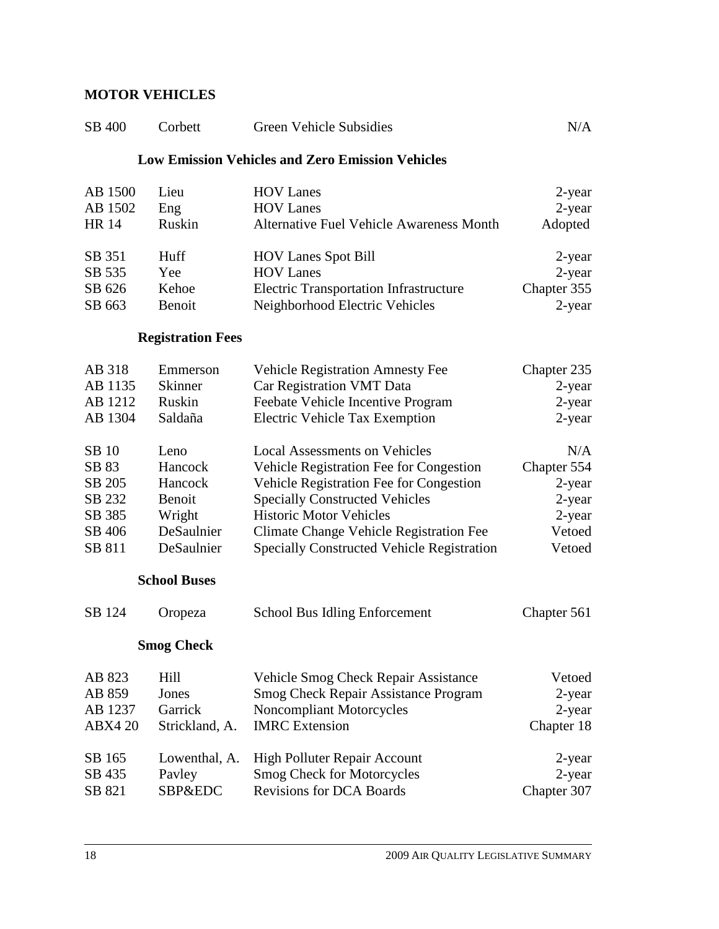## **MOTOR VEHICLES**

| SB 400             | Corbett                  | <b>Green Vehicle Subsidies</b>                          | N/A              |
|--------------------|--------------------------|---------------------------------------------------------|------------------|
|                    |                          | <b>Low Emission Vehicles and Zero Emission Vehicles</b> |                  |
| AB 1500<br>AB 1502 | Lieu<br>Eng              | <b>HOV Lanes</b><br><b>HOV</b> Lanes                    | 2-year<br>2-year |
| <b>HR</b> 14       | Ruskin                   | <b>Alternative Fuel Vehicle Awareness Month</b>         | Adopted          |
| SB 351             | Huff                     | <b>HOV Lanes Spot Bill</b>                              | 2-year           |
| SB 535             | Yee                      | <b>HOV</b> Lanes                                        | 2-year           |
| SB 626             | Kehoe                    | <b>Electric Transportation Infrastructure</b>           | Chapter 355      |
| SB 663             | Benoit                   | Neighborhood Electric Vehicles                          | $2$ -year        |
|                    | <b>Registration Fees</b> |                                                         |                  |
| AB 318             | Emmerson                 | <b>Vehicle Registration Amnesty Fee</b>                 | Chapter 235      |
| AB 1135            | <b>Skinner</b>           | Car Registration VMT Data                               | 2-year           |
| AB 1212            | Ruskin                   | Feebate Vehicle Incentive Program                       | 2-year           |
| AB 1304            | Saldaña                  | <b>Electric Vehicle Tax Exemption</b>                   | $2$ -year        |
| SB 10              | Leno                     | <b>Local Assessments on Vehicles</b>                    | N/A              |
| SB 83              | Hancock                  | Vehicle Registration Fee for Congestion                 | Chapter 554      |
| SB 205             | Hancock                  | Vehicle Registration Fee for Congestion                 | 2-year           |
| SB 232             | Benoit                   | <b>Specially Constructed Vehicles</b>                   | $2$ -year        |
| SB 385             | Wright                   | <b>Historic Motor Vehicles</b>                          | 2-year           |
| SB 406             | DeSaulnier               | Climate Change Vehicle Registration Fee                 | Vetoed           |
| SB 811             | DeSaulnier               | <b>Specially Constructed Vehicle Registration</b>       | Vetoed           |
|                    | <b>School Buses</b>      |                                                         |                  |
| SB 124             | Oropeza                  | School Bus Idling Enforcement                           | Chapter 561      |
|                    | <b>Smog Check</b>        |                                                         |                  |
| AB 823             | Hill                     | Vehicle Smog Check Repair Assistance                    | Vetoed           |
| AB 859             | Jones                    | <b>Smog Check Repair Assistance Program</b>             | $2$ -year        |
| AB 1237            | Garrick                  | <b>Noncompliant Motorcycles</b>                         | 2-year           |
| <b>ABX4 20</b>     | Strickland, A.           | <b>IMRC</b> Extension                                   | Chapter 18       |
| SB 165             | Lowenthal, A.            | High Polluter Repair Account                            | 2-year           |
| SB 435             | Pavley                   | <b>Smog Check for Motorcycles</b>                       | 2-year           |
| SB 821             | SBP&EDC                  | <b>Revisions for DCA Boards</b>                         | Chapter 307      |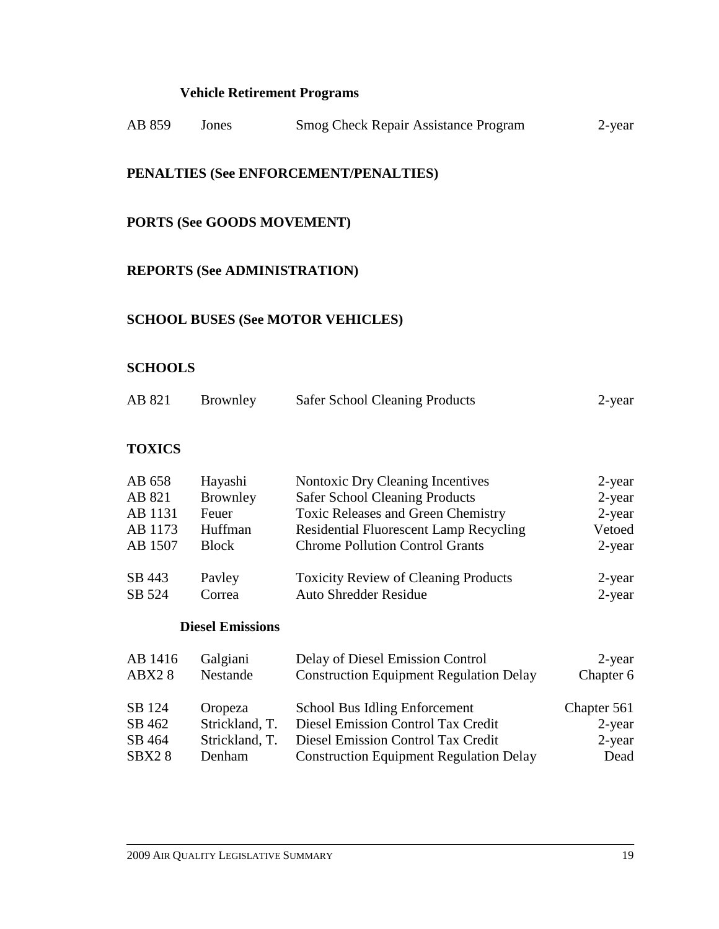## **Vehicle Retirement Programs**

| AB 859         | Jones                               | <b>Smog Check Repair Assistance Program</b>    | 2-year      |
|----------------|-------------------------------------|------------------------------------------------|-------------|
|                |                                     | PENALTIES (See ENFORCEMENT/PENALTIES)          |             |
|                | <b>PORTS (See GOODS MOVEMENT)</b>   |                                                |             |
|                | <b>REPORTS (See ADMINISTRATION)</b> |                                                |             |
|                |                                     | <b>SCHOOL BUSES (See MOTOR VEHICLES)</b>       |             |
| <b>SCHOOLS</b> |                                     |                                                |             |
| AB 821         | Brownley                            | <b>Safer School Cleaning Products</b>          | $2$ -year   |
| <b>TOXICS</b>  |                                     |                                                |             |
| AB 658         | Hayashi                             | Nontoxic Dry Cleaning Incentives               | $2$ -year   |
| AB 821         | Brownley                            | <b>Safer School Cleaning Products</b>          | $2$ -year   |
| AB 1131        | Feuer                               | <b>Toxic Releases and Green Chemistry</b>      | $2$ -year   |
| AB 1173        | Huffman                             | <b>Residential Fluorescent Lamp Recycling</b>  | Vetoed      |
| AB 1507        | <b>Block</b>                        | <b>Chrome Pollution Control Grants</b>         | 2-year      |
| SB 443         | Pavley                              | <b>Toxicity Review of Cleaning Products</b>    | $2$ -year   |
| SB 524         | Correa                              | <b>Auto Shredder Residue</b>                   | $2$ -year   |
|                | <b>Diesel Emissions</b>             |                                                |             |
| AB 1416        | Galgiani                            | Delay of Diesel Emission Control               | 2-year      |
| ABX28          | Nestande                            | <b>Construction Equipment Regulation Delay</b> | Chapter 6   |
| CD 124         | $O_{\text{nonzero}}$                | Cohool Due Idling Enforcement                  | Chontor 561 |

SB 124 Oropeza School Bus Idling Enforcement Chapter 561<br>SB 462 Strickland, T. Diesel Emission Control Tax Credit 2-year Diesel Emission Control Tax Credit 2-year<br>Diesel Emission Control Tax Credit 2-year SB 464 Strickland, T. Diesel Emission Control Tax Credit SBX2 8 Denham Construction Equipment Regulation Delay Dead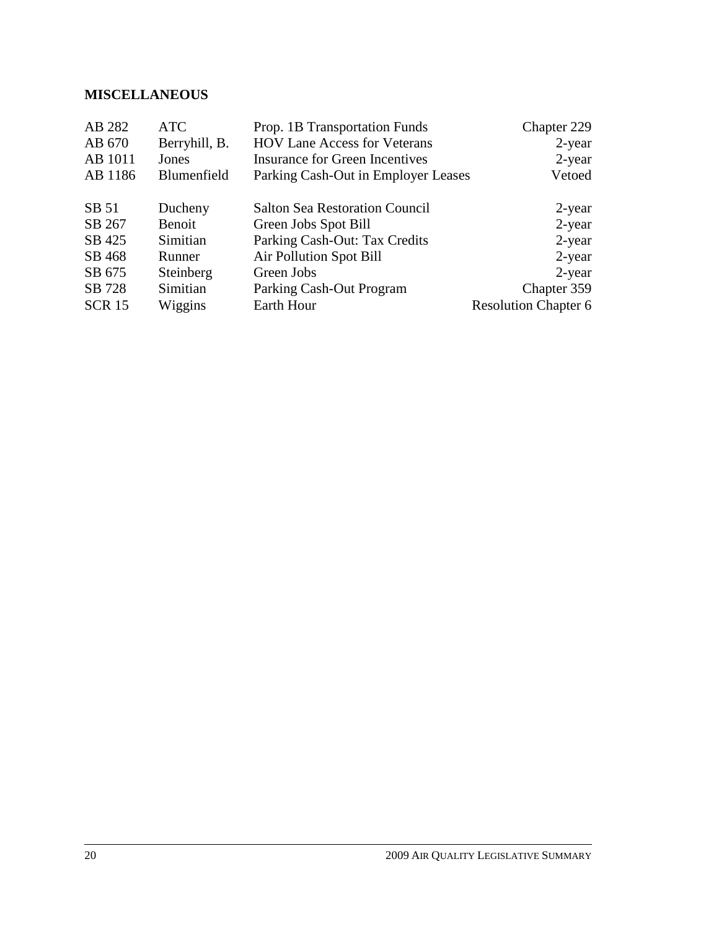## **MISCELLANEOUS**

| AB 282        | <b>ATC</b>    | Prop. 1B Transportation Funds         | Chapter 229                 |
|---------------|---------------|---------------------------------------|-----------------------------|
| AB 670        | Berryhill, B. | <b>HOV Lane Access for Veterans</b>   | $2$ -year                   |
| AB 1011       | Jones         | Insurance for Green Incentives        | $2$ -year                   |
| AB 1186       | Blumenfield   | Parking Cash-Out in Employer Leases   | Vetoed                      |
|               |               |                                       |                             |
| SB 51         | Ducheny       | <b>Salton Sea Restoration Council</b> | 2-year                      |
| SB 267        | Benoit        | Green Jobs Spot Bill                  | $2$ -year                   |
| SB 425        | Simitian      | Parking Cash-Out: Tax Credits         | $2$ -year                   |
| SB 468        | Runner        | <b>Air Pollution Spot Bill</b>        | $2$ -year                   |
| SB 675        | Steinberg     | Green Jobs                            | $2$ -year                   |
| SB 728        | Simitian      | Parking Cash-Out Program              | Chapter 359                 |
| <b>SCR 15</b> | Wiggins       | Earth Hour                            | <b>Resolution Chapter 6</b> |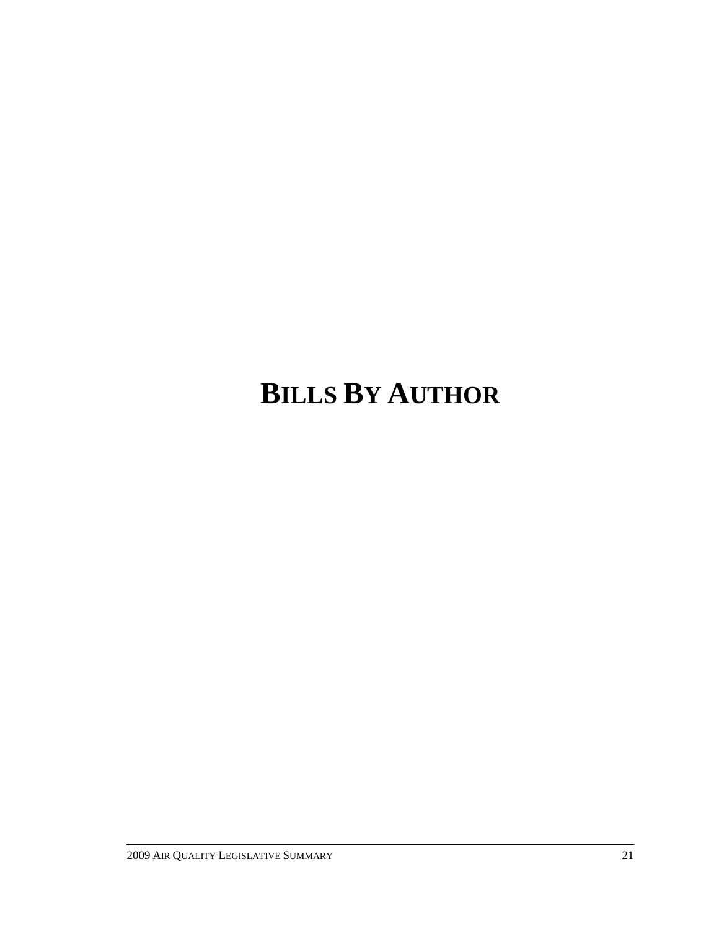# **BILLS BY AUTHOR**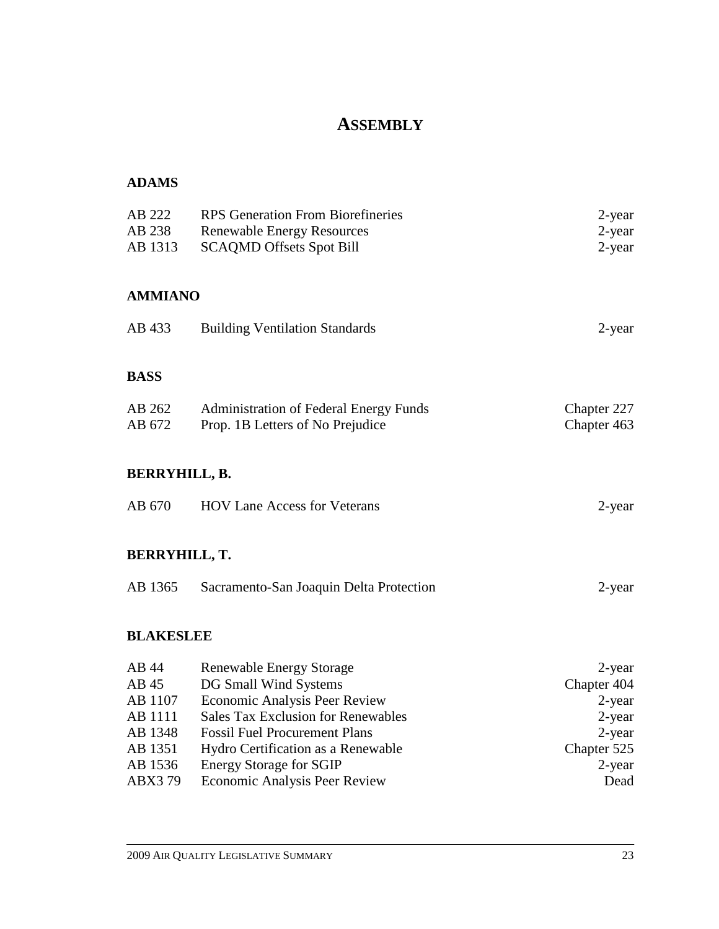# **ASSEMBLY**

| AB 222<br>AB 238<br>AB 1313 | <b>RPS</b> Generation From Biorefineries<br><b>Renewable Energy Resources</b><br><b>SCAQMD Offsets Spot Bill</b> | 2-year<br>$2$ -year<br>$2$ -year |
|-----------------------------|------------------------------------------------------------------------------------------------------------------|----------------------------------|
| <b>AMMIANO</b>              |                                                                                                                  |                                  |
| AB 433                      | <b>Building Ventilation Standards</b>                                                                            | 2-year                           |
| <b>BASS</b>                 |                                                                                                                  |                                  |
| AB 262<br>AB 672            | <b>Administration of Federal Energy Funds</b><br>Prop. 1B Letters of No Prejudice                                | Chapter 227<br>Chapter 463       |
| <b>BERRYHILL, B.</b>        |                                                                                                                  |                                  |
| AB 670                      | <b>HOV Lane Access for Veterans</b>                                                                              | $2$ -year                        |
| <b>BERRYHILL, T.</b>        |                                                                                                                  |                                  |
| AB 1365                     | Sacramento-San Joaquin Delta Protection                                                                          | $2$ -year                        |
| <b>BLAKESLEE</b>            |                                                                                                                  |                                  |
| AB 44                       | <b>Renewable Energy Storage</b>                                                                                  | $2$ -year                        |
| AB 45                       | DG Small Wind Systems                                                                                            | Chapter 404                      |
| AB 1107                     | <b>Economic Analysis Peer Review</b>                                                                             | 2-year                           |
| AB 1111                     | <b>Sales Tax Exclusion for Renewables</b>                                                                        | 2-year                           |
| AB 1348                     | <b>Fossil Fuel Procurement Plans</b>                                                                             | 2-year                           |
| AB 1351                     | Hydro Certification as a Renewable                                                                               | Chapter 525                      |
| AB 1536                     | <b>Energy Storage for SGIP</b>                                                                                   | 2-year                           |
| ABX379                      | Economic Analysis Peer Review                                                                                    | Dead                             |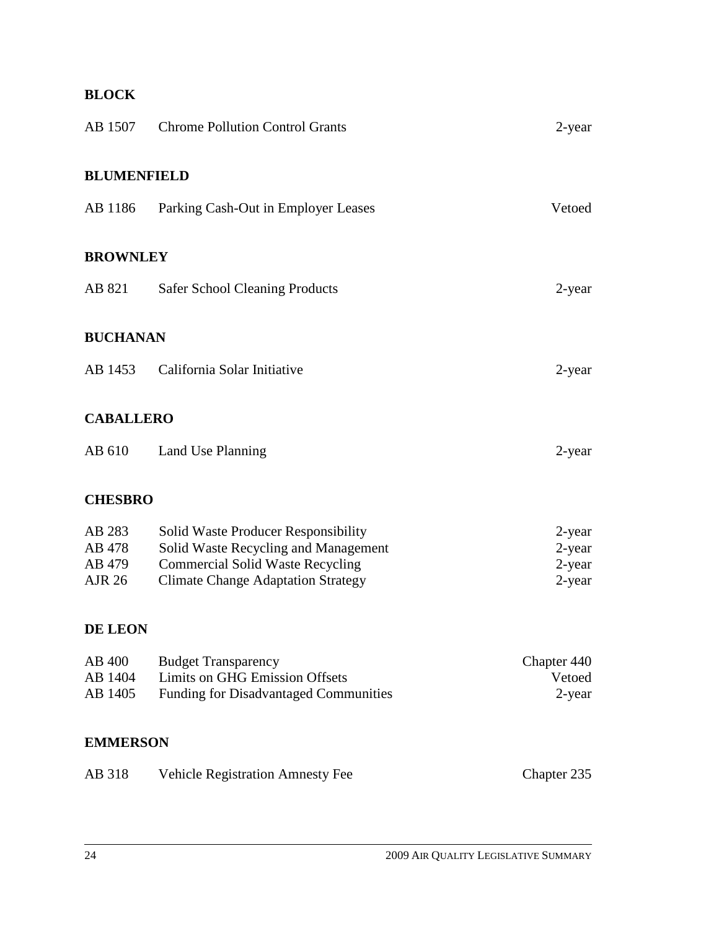# **BLOCK**

| AB 1507                                     | <b>Chrome Pollution Control Grants</b>                                                                                                                              | $2$ -year                                     |
|---------------------------------------------|---------------------------------------------------------------------------------------------------------------------------------------------------------------------|-----------------------------------------------|
| <b>BLUMENFIELD</b>                          |                                                                                                                                                                     |                                               |
| AB 1186                                     | Parking Cash-Out in Employer Leases                                                                                                                                 | Vetoed                                        |
| <b>BROWNLEY</b>                             |                                                                                                                                                                     |                                               |
| AB 821                                      | <b>Safer School Cleaning Products</b>                                                                                                                               | 2-year                                        |
| <b>BUCHANAN</b>                             |                                                                                                                                                                     |                                               |
| AB 1453                                     | California Solar Initiative                                                                                                                                         | 2-year                                        |
| <b>CABALLERO</b>                            |                                                                                                                                                                     |                                               |
| AB 610                                      | Land Use Planning                                                                                                                                                   | 2-year                                        |
| <b>CHESBRO</b>                              |                                                                                                                                                                     |                                               |
| AB 283<br>AB 478<br>AB 479<br><b>AJR 26</b> | Solid Waste Producer Responsibility<br>Solid Waste Recycling and Management<br><b>Commercial Solid Waste Recycling</b><br><b>Climate Change Adaptation Strategy</b> | $2$ -year<br>$2$ -year<br>$2$ -year<br>2-year |
| DE LEON                                     |                                                                                                                                                                     |                                               |
| AB 400<br>AB 1404<br>AB 1405                | <b>Budget Transparency</b><br><b>Limits on GHG Emission Offsets</b><br><b>Funding for Disadvantaged Communities</b>                                                 | Chapter 440<br>Vetoed<br>2-year               |
| <b>EMMERSON</b>                             |                                                                                                                                                                     |                                               |
| AB 318                                      | <b>Vehicle Registration Amnesty Fee</b>                                                                                                                             | Chapter 235                                   |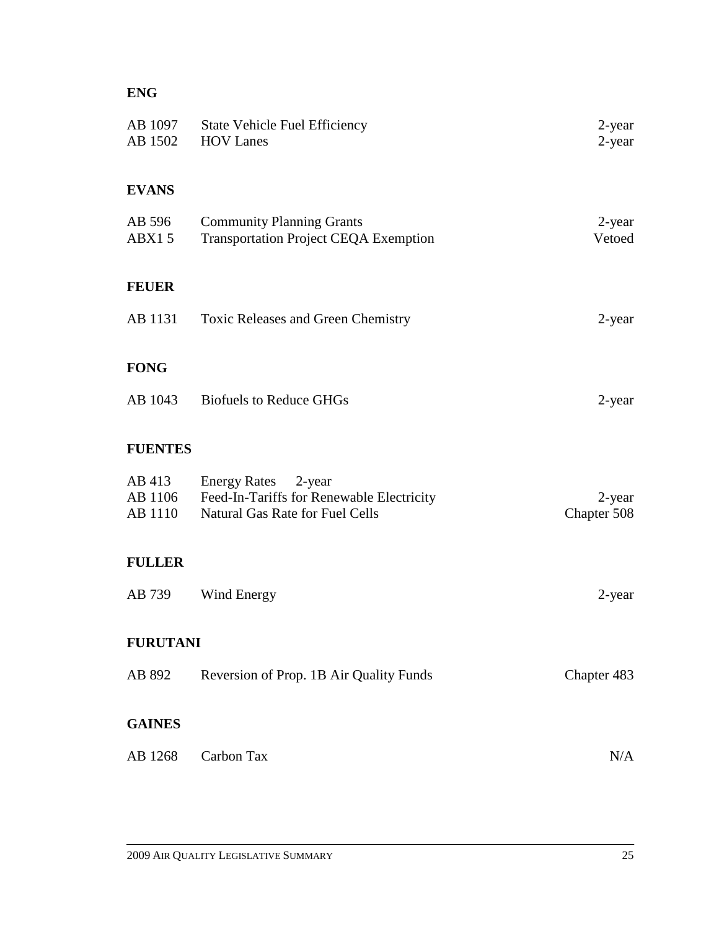# **ENG**

| <b>State Vehicle Fuel Efficiency</b><br><b>HOV Lanes</b>                                                   | 2-year<br>$2$ -year   |
|------------------------------------------------------------------------------------------------------------|-----------------------|
|                                                                                                            |                       |
| <b>Community Planning Grants</b><br><b>Transportation Project CEQA Exemption</b>                           | 2-year<br>Vetoed      |
|                                                                                                            |                       |
| Toxic Releases and Green Chemistry                                                                         | 2-year                |
|                                                                                                            |                       |
| AB 1043<br><b>Biofuels to Reduce GHGs</b>                                                                  | 2-year                |
|                                                                                                            |                       |
| Energy Rates 2-year<br>Feed-In-Tariffs for Renewable Electricity<br><b>Natural Gas Rate for Fuel Cells</b> | 2-year<br>Chapter 508 |
|                                                                                                            |                       |
| Wind Energy                                                                                                | 2-year                |
| <b>FURUTANI</b>                                                                                            |                       |
| Reversion of Prop. 1B Air Quality Funds                                                                    | Chapter 483           |
|                                                                                                            |                       |
| Carbon Tax                                                                                                 | N/A                   |
|                                                                                                            |                       |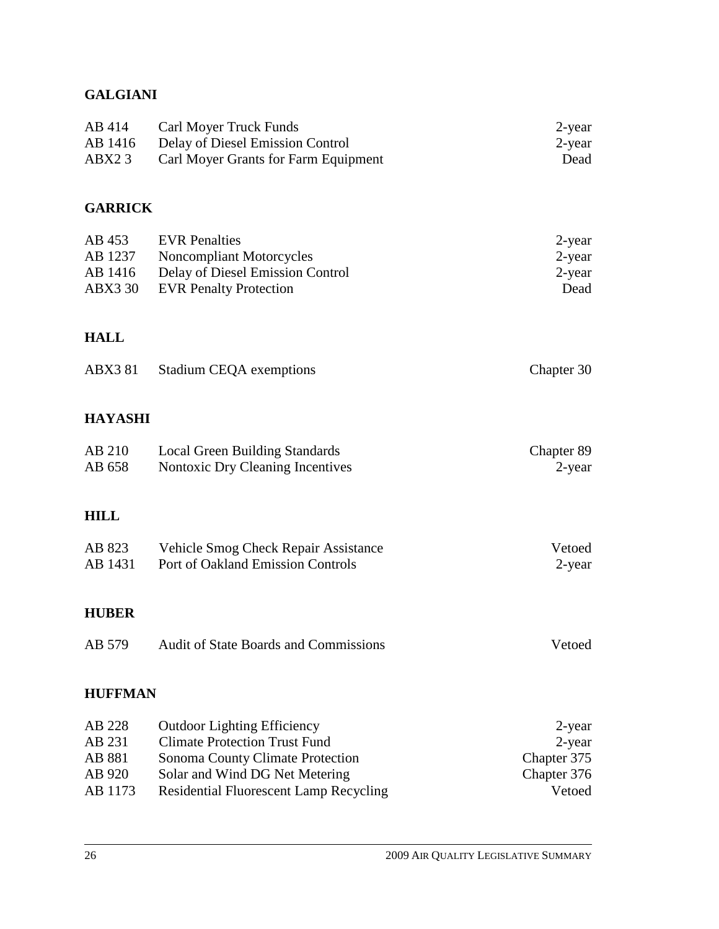# **GALGIANI**

| AB 414 | <b>Carl Moyer Truck Funds</b>            | 2-year |
|--------|------------------------------------------|--------|
|        | AB 1416 Delay of Diesel Emission Control | 2-year |
| ABX23  | Carl Moyer Grants for Farm Equipment     | Dead   |

# **GARRICK**

| AB 453  | <b>EVR</b> Penalties             | 2-year |
|---------|----------------------------------|--------|
| AB 1237 | Noncompliant Motorcycles         | 2-year |
| AB 1416 | Delay of Diesel Emission Control | 2-year |
|         | ABX3 30 EVR Penalty Protection   | Dead   |

# **HALL**

|  | ABX3 81 Stadium CEQA exemptions | Chapter 30 |
|--|---------------------------------|------------|
|--|---------------------------------|------------|

# **HAYASHI**

| AB 210 | <b>Local Green Building Standards</b> | Chapter 89 |
|--------|---------------------------------------|------------|
| AB 658 | Nontoxic Dry Cleaning Incentives      | 2-year     |

# **HILL**

| AB 823  | Vehicle Smog Check Repair Assistance | Vetoed |
|---------|--------------------------------------|--------|
| AB 1431 | Port of Oakland Emission Controls    | 2-year |

# **HUBER**

| AB 579 | Audit of State Boards and Commissions | Vetoed |
|--------|---------------------------------------|--------|
|--------|---------------------------------------|--------|

# **HUFFMAN**

| AB 228  | <b>Outdoor Lighting Efficiency</b>            | 2-year      |
|---------|-----------------------------------------------|-------------|
| AB 231  | <b>Climate Protection Trust Fund</b>          | 2-year      |
| AB 881  | Sonoma County Climate Protection              | Chapter 375 |
| AB 920  | Solar and Wind DG Net Metering                | Chapter 376 |
| AB 1173 | <b>Residential Fluorescent Lamp Recycling</b> | Vetoed      |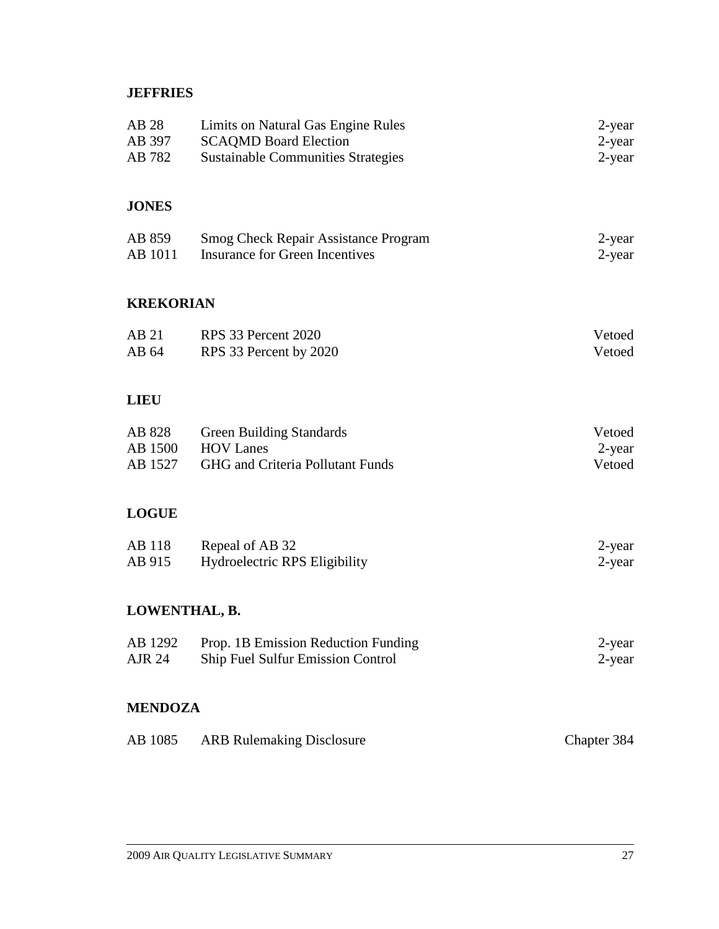# **JEFFRIES**

| AB 28<br>AB 397<br>AB 782    | Limits on Natural Gas Engine Rules<br><b>SCAQMD Board Election</b><br><b>Sustainable Communities Strategies</b> | 2-year<br>$2$ -year<br>$2$ -year |
|------------------------------|-----------------------------------------------------------------------------------------------------------------|----------------------------------|
| <b>JONES</b>                 |                                                                                                                 |                                  |
| AB 859<br>AB 1011            | <b>Smog Check Repair Assistance Program</b><br><b>Insurance for Green Incentives</b>                            | 2-year<br>$2$ -year              |
| <b>KREKORIAN</b>             |                                                                                                                 |                                  |
| AB 21<br>AB 64               | RPS 33 Percent 2020<br>RPS 33 Percent by 2020                                                                   | Vetoed<br>Vetoed                 |
| <b>LIEU</b>                  |                                                                                                                 |                                  |
| AB 828<br>AB 1500<br>AB 1527 | <b>Green Building Standards</b><br><b>HOV Lanes</b><br>GHG and Criteria Pollutant Funds                         | Vetoed<br>$2$ -year<br>Vetoed    |
| <b>LOGUE</b>                 |                                                                                                                 |                                  |
| AB 118<br>AB 915             | Repeal of AB 32<br>Hydroelectric RPS Eligibility                                                                | 2-year<br>$2$ -year              |
| LOWENTHAL, B.                |                                                                                                                 |                                  |
| AB 1292<br><b>AJR 24</b>     | Prop. 1B Emission Reduction Funding<br>Ship Fuel Sulfur Emission Control                                        | 2-year<br>$2$ -year              |
| <b>MENDOZA</b>               |                                                                                                                 |                                  |
| AB 1085                      | <b>ARB Rulemaking Disclosure</b>                                                                                | Chapter 384                      |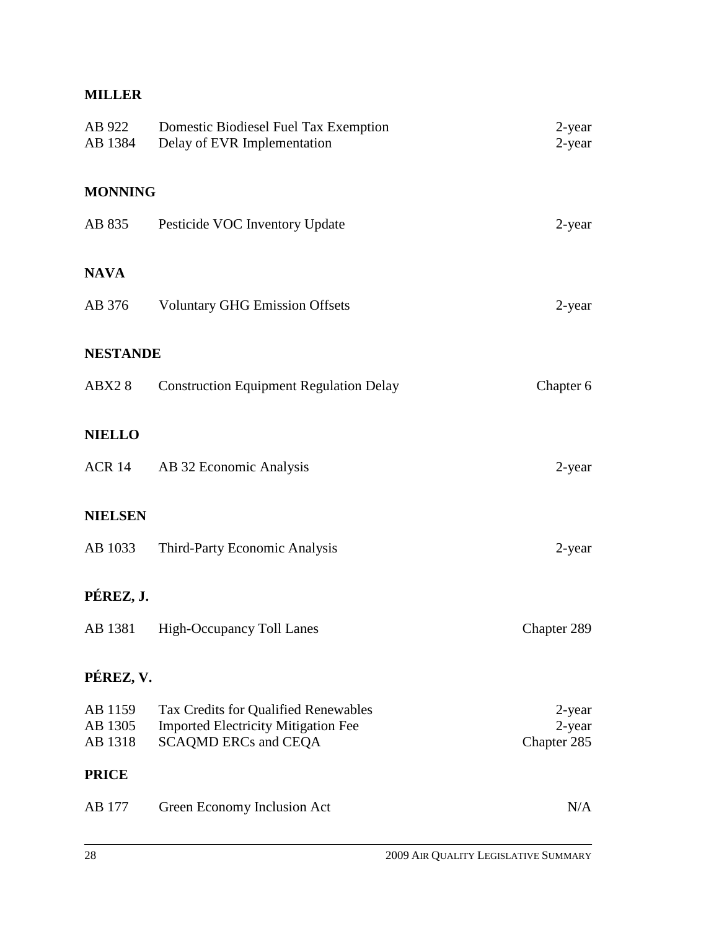# **MILLER**

| AB 922<br>AB 1384             | Domestic Biodiesel Fuel Tax Exemption<br>Delay of EVR Implementation                                              | 2-year<br>2-year                   |
|-------------------------------|-------------------------------------------------------------------------------------------------------------------|------------------------------------|
| <b>MONNING</b>                |                                                                                                                   |                                    |
| AB 835                        | Pesticide VOC Inventory Update                                                                                    | 2-year                             |
| <b>NAVA</b>                   |                                                                                                                   |                                    |
| AB 376                        | <b>Voluntary GHG Emission Offsets</b>                                                                             | 2-year                             |
| <b>NESTANDE</b>               |                                                                                                                   |                                    |
| ABX28                         | <b>Construction Equipment Regulation Delay</b>                                                                    | Chapter 6                          |
| <b>NIELLO</b>                 |                                                                                                                   |                                    |
| ACR 14                        | AB 32 Economic Analysis                                                                                           | 2-year                             |
| <b>NIELSEN</b>                |                                                                                                                   |                                    |
| AB 1033                       | Third-Party Economic Analysis                                                                                     | 2-year                             |
| PÉREZ, J.                     |                                                                                                                   |                                    |
| AB 1381                       | <b>High-Occupancy Toll Lanes</b>                                                                                  | Chapter 289                        |
| PÉREZ, V.                     |                                                                                                                   |                                    |
| AB 1159<br>AB 1305<br>AB 1318 | Tax Credits for Qualified Renewables<br><b>Imported Electricity Mitigation Fee</b><br><b>SCAQMD ERCs and CEQA</b> | $2$ -year<br>2-year<br>Chapter 285 |
| <b>PRICE</b>                  |                                                                                                                   |                                    |
| AB 177                        | Green Economy Inclusion Act                                                                                       | N/A                                |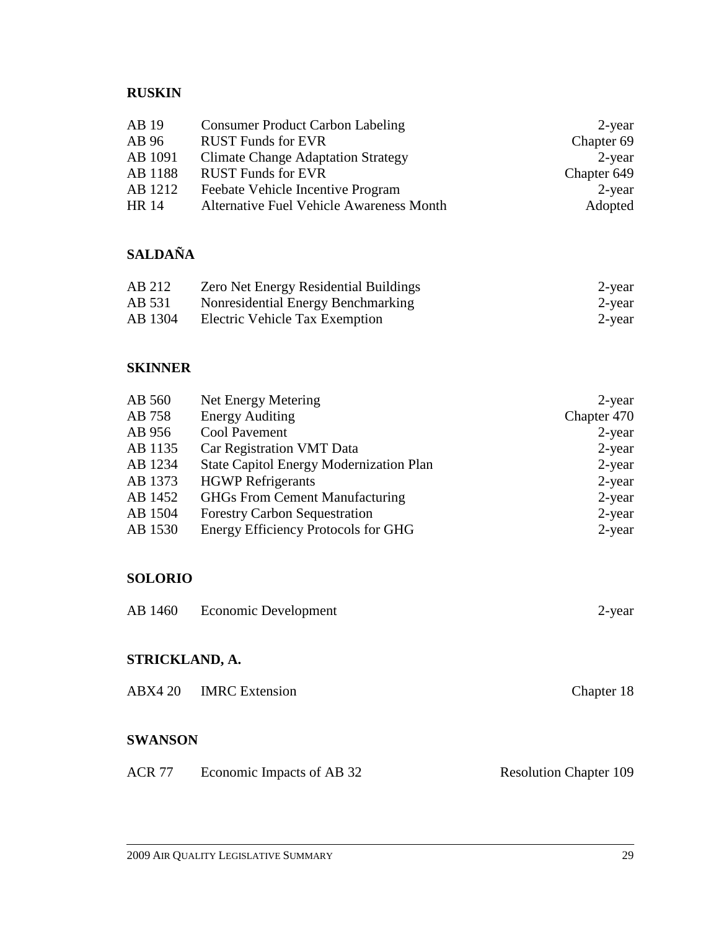# **RUSKIN**

| AB 19   | <b>Consumer Product Carbon Labeling</b>         | 2-year      |
|---------|-------------------------------------------------|-------------|
| AB 96   | <b>RUST Funds for EVR</b>                       | Chapter 69  |
| AB 1091 | <b>Climate Change Adaptation Strategy</b>       | 2-year      |
| AB 1188 | <b>RUST Funds for EVR</b>                       | Chapter 649 |
| AB 1212 | Feebate Vehicle Incentive Program               | $2$ -year   |
| HR 14   | <b>Alternative Fuel Vehicle Awareness Month</b> | Adopted     |

# **SALDAÑA**

| AB 212  | <b>Zero Net Energy Residential Buildings</b> | 2-year |
|---------|----------------------------------------------|--------|
| AB 531  | Nonresidential Energy Benchmarking           | 2-year |
| AB 1304 | Electric Vehicle Tax Exemption               | 2-year |

# **SKINNER**

| AB 560  | Net Energy Metering                        | $2$ -year   |
|---------|--------------------------------------------|-------------|
| AB 758  | <b>Energy Auditing</b>                     | Chapter 470 |
| AB 956  | Cool Pavement                              | $2$ -year   |
| AB 1135 | Car Registration VMT Data                  | $2$ -year   |
| AB 1234 | State Capitol Energy Modernization Plan    | $2$ -year   |
| AB 1373 | <b>HGWP</b> Refrigerants                   | $2$ -year   |
| AB 1452 | <b>GHGs From Cement Manufacturing</b>      | $2$ -year   |
| AB 1504 | <b>Forestry Carbon Sequestration</b>       | $2$ -year   |
| AB 1530 | <b>Energy Efficiency Protocols for GHG</b> | $2$ -year   |
|         |                                            |             |

# **SOLORIO**

|  | AB 1460 Economic Development | 2-year |
|--|------------------------------|--------|
|--|------------------------------|--------|

# **STRICKLAND, A.**

|  | ABX4 20 IMRC Extension | Chapter 18 |
|--|------------------------|------------|
|--|------------------------|------------|

# **SWANSON**

| ACR 77 | Economic Impacts of AB 32 |  | <b>Resolution Chapter 109</b> |
|--------|---------------------------|--|-------------------------------|
|--------|---------------------------|--|-------------------------------|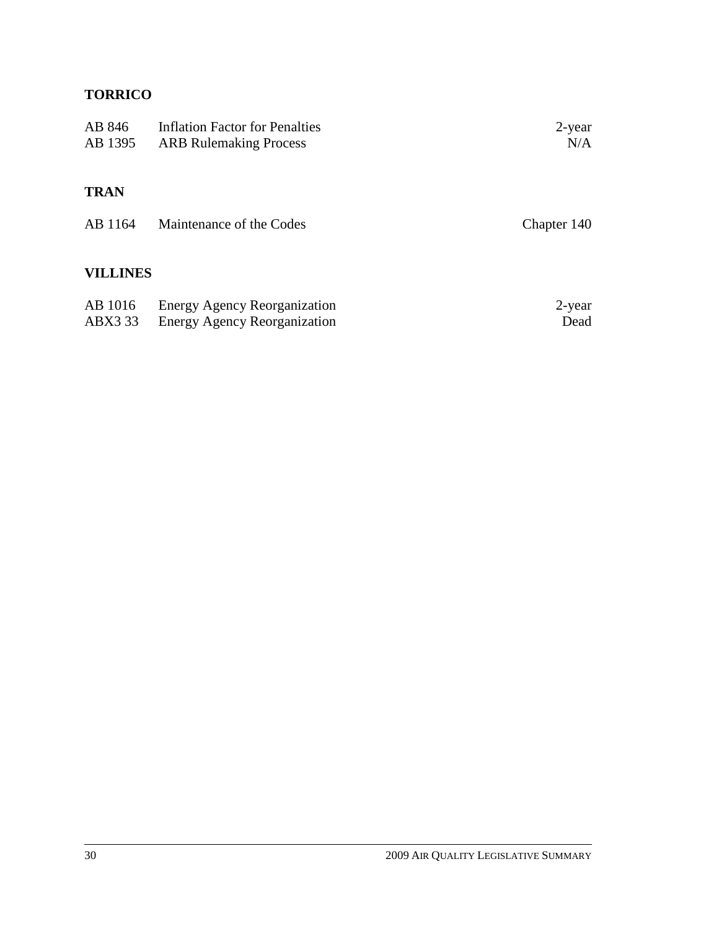# **TORRICO**

| AB 846<br>AB 1395  | <b>Inflation Factor for Penalties</b><br><b>ARB</b> Rulemaking Process     | 2-year<br>N/A  |
|--------------------|----------------------------------------------------------------------------|----------------|
| <b>TRAN</b>        |                                                                            |                |
| AB 1164            | Maintenance of the Codes                                                   | Chapter 140    |
| <b>VILLINES</b>    |                                                                            |                |
| AB 1016<br>ABX3 33 | <b>Energy Agency Reorganization</b><br><b>Energy Agency Reorganization</b> | 2-year<br>Dead |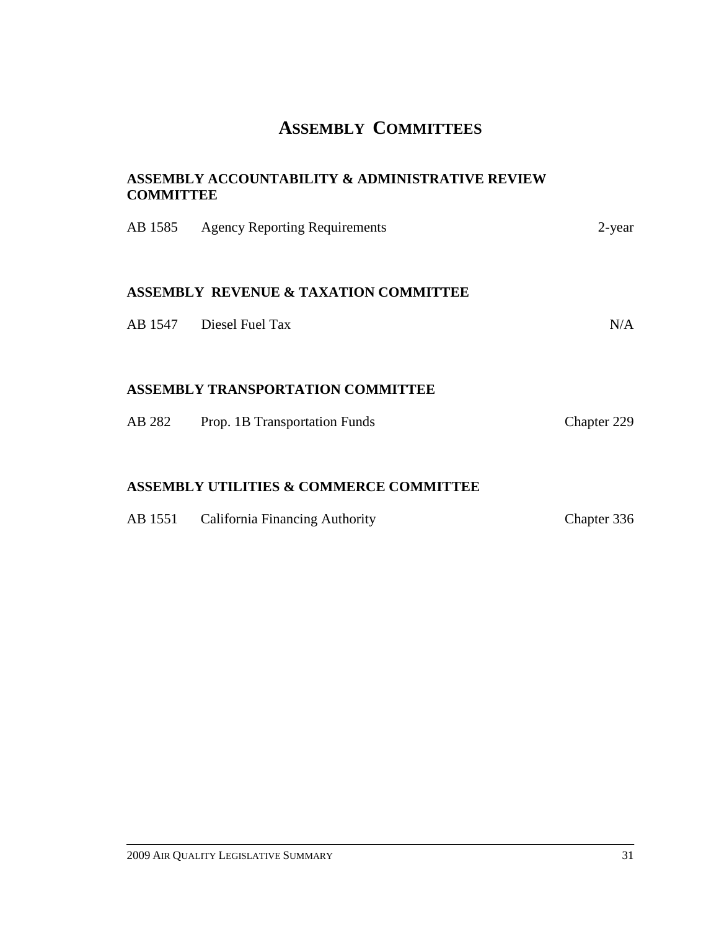# **ASSEMBLY COMMITTEES**

#### **ASSEMBLY ACCOUNTABILITY & ADMINISTRATIVE REVIEW COMMITTEE**

|         | AB 1585 Agency Reporting Requirements              | 2-year      |
|---------|----------------------------------------------------|-------------|
|         | <b>ASSEMBLY REVENUE &amp; TAXATION COMMITTEE</b>   |             |
|         | AB 1547 Diesel Fuel Tax                            | N/A         |
|         | <b>ASSEMBLY TRANSPORTATION COMMITTEE</b>           |             |
|         |                                                    |             |
| AB 282  | Prop. 1B Transportation Funds                      | Chapter 229 |
|         |                                                    |             |
|         | <b>ASSEMBLY UTILITIES &amp; COMMERCE COMMITTEE</b> |             |
| AB 1551 | <b>California Financing Authority</b>              | Chapter 336 |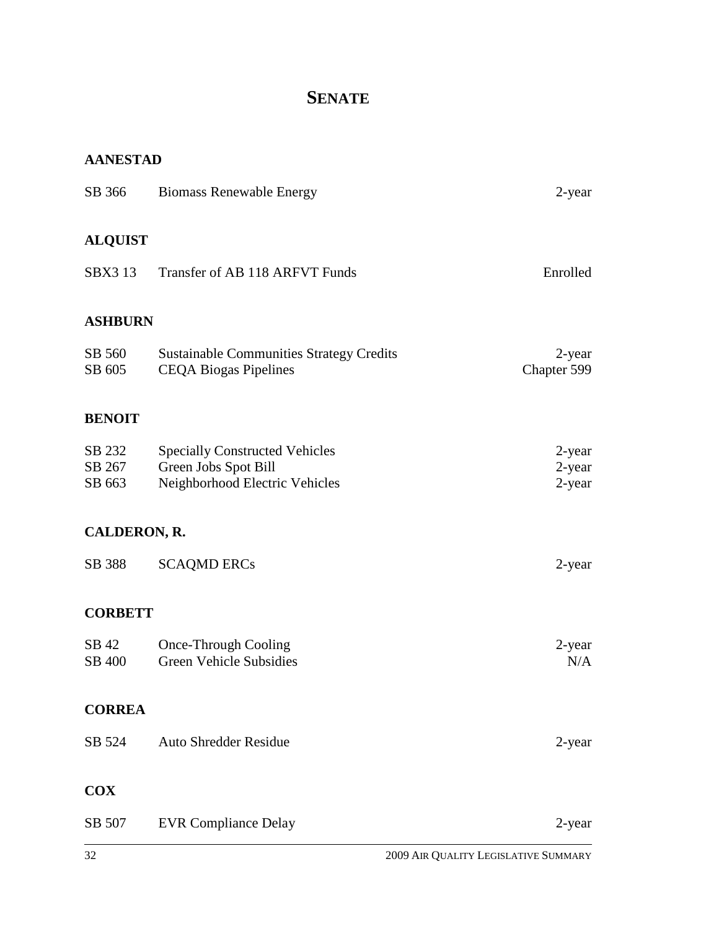# **SENATE**

#### **AANESTAD**

| SB 366                     | <b>Biomass Renewable Energy</b>                                                                 | 2-year                        |
|----------------------------|-------------------------------------------------------------------------------------------------|-------------------------------|
| <b>ALQUIST</b>             |                                                                                                 |                               |
| <b>SBX3 13</b>             | Transfer of AB 118 ARFVT Funds                                                                  | Enrolled                      |
| <b>ASHBURN</b>             |                                                                                                 |                               |
| SB 560<br>SB 605           | <b>Sustainable Communities Strategy Credits</b><br><b>CEQA Biogas Pipelines</b>                 | 2-year<br>Chapter 599         |
| <b>BENOIT</b>              |                                                                                                 |                               |
| SB 232<br>SB 267<br>SB 663 | <b>Specially Constructed Vehicles</b><br>Green Jobs Spot Bill<br>Neighborhood Electric Vehicles | $2$ -year<br>2-year<br>2-year |
| CALDERON, R.               |                                                                                                 |                               |
| SB 388                     | <b>SCAQMD ERCs</b>                                                                              | 2-year                        |
| <b>CORBETT</b>             |                                                                                                 |                               |
| SB 42<br>SB 400            | Once-Through Cooling<br><b>Green Vehicle Subsidies</b>                                          | 2-year<br>N/A                 |
| <b>CORREA</b>              |                                                                                                 |                               |
| SB 524                     | <b>Auto Shredder Residue</b>                                                                    | 2-year                        |
| <b>COX</b>                 |                                                                                                 |                               |
| SB 507                     | <b>EVR Compliance Delay</b>                                                                     | 2-year                        |
|                            |                                                                                                 |                               |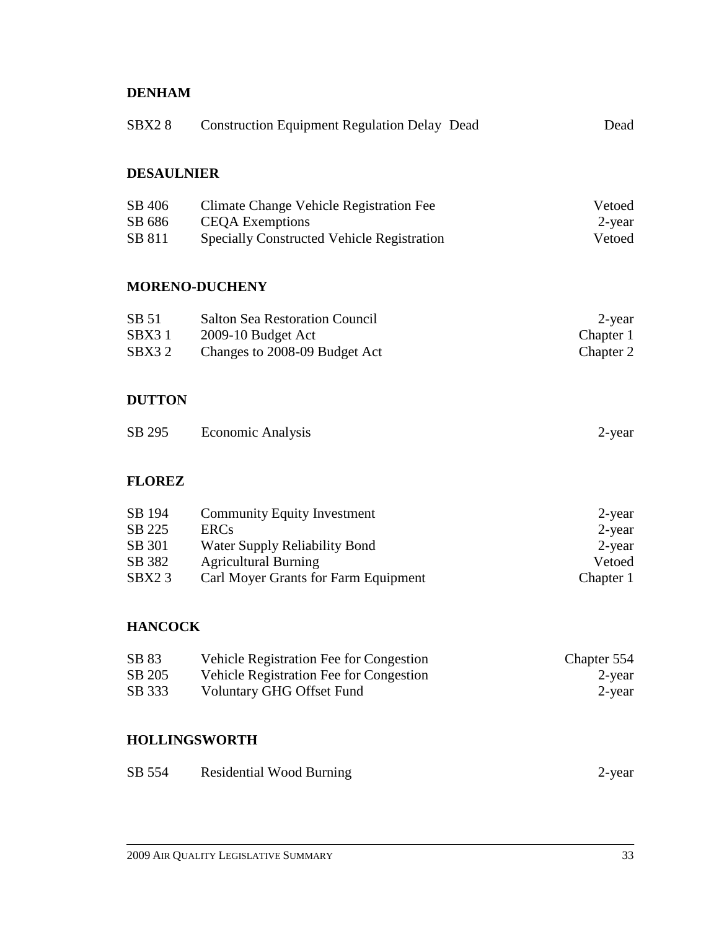### **DENHAM**

| SBX <sub>2</sub> 8                                         | <b>Construction Equipment Regulation Delay Dead</b>                                                                                                       | Dead                                                    |
|------------------------------------------------------------|-----------------------------------------------------------------------------------------------------------------------------------------------------------|---------------------------------------------------------|
| <b>DESAULNIER</b>                                          |                                                                                                                                                           |                                                         |
| SB 406<br>SB 686<br>SB 811                                 | Climate Change Vehicle Registration Fee<br><b>CEQA</b> Exemptions<br><b>Specially Constructed Vehicle Registration</b>                                    | Vetoed<br>2-year<br>Vetoed                              |
|                                                            | <b>MORENO-DUCHENY</b>                                                                                                                                     |                                                         |
| SB 51<br>SBX31<br>SBX32                                    | <b>Salton Sea Restoration Council</b><br>2009-10 Budget Act<br>Changes to 2008-09 Budget Act                                                              | $2$ -year<br>Chapter 1<br>Chapter 2                     |
| <b>DUTTON</b>                                              |                                                                                                                                                           |                                                         |
| SB 295                                                     | <b>Economic Analysis</b>                                                                                                                                  | $2$ -year                                               |
| <b>FLOREZ</b>                                              |                                                                                                                                                           |                                                         |
| SB 194<br>SB 225<br>SB 301<br>SB 382<br>SBX <sub>2</sub> 3 | <b>Community Equity Investment</b><br><b>ERCs</b><br>Water Supply Reliability Bond<br><b>Agricultural Burning</b><br>Carl Moyer Grants for Farm Equipment | $2$ -year<br>$2$ -year<br>2-year<br>Vetoed<br>Chapter 1 |
| <b>HANCOCK</b>                                             |                                                                                                                                                           |                                                         |
| SB 83<br>SB 205<br>SB 333                                  | Vehicle Registration Fee for Congestion<br>Vehicle Registration Fee for Congestion<br><b>Voluntary GHG Offset Fund</b>                                    | Chapter 554<br>$2$ -year<br>$2$ -year                   |
|                                                            | <b>HOLLINGSWORTH</b>                                                                                                                                      |                                                         |
| SB 554                                                     | <b>Residential Wood Burning</b>                                                                                                                           | 2-year                                                  |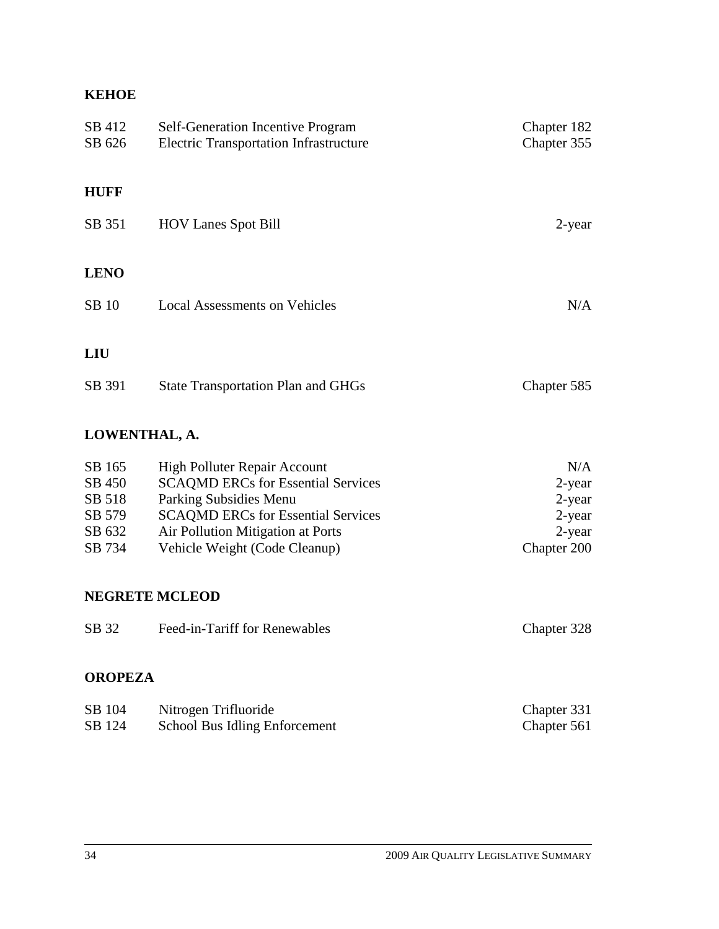#### **KEHOE**

| SB 412<br>SB 626 | Self-Generation Incentive Program<br><b>Electric Transportation Infrastructure</b> | Chapter 182<br>Chapter 355 |
|------------------|------------------------------------------------------------------------------------|----------------------------|
| <b>HUFF</b>      |                                                                                    |                            |
| SB 351           | <b>HOV Lanes Spot Bill</b>                                                         | 2-year                     |
| <b>LENO</b>      |                                                                                    |                            |
| <b>SB</b> 10     | <b>Local Assessments on Vehicles</b>                                               | N/A                        |
| LIU              |                                                                                    |                            |
| SB 391           | <b>State Transportation Plan and GHGs</b>                                          | Chapter 585                |

# **LOWENTHAL, A.**

| SB 165 | High Polluter Repair Account              | N/A         |
|--------|-------------------------------------------|-------------|
| SB 450 | <b>SCAQMD ERCs for Essential Services</b> | 2-year      |
| SB 518 | Parking Subsidies Menu                    | 2-year      |
| SB 579 | <b>SCAOMD ERCs for Essential Services</b> | 2-year      |
| SB 632 | Air Pollution Mitigation at Ports         | 2-year      |
| SB 734 | Vehicle Weight (Code Cleanup)             | Chapter 200 |

#### **NEGRETE MCLEOD**

| SB 32<br>Feed-in-Tariff for Renewables | Chapter 328 |
|----------------------------------------|-------------|
|----------------------------------------|-------------|

#### **OROPEZA**

| SB 104 | Nitrogen Trifluoride          | Chapter 331 |
|--------|-------------------------------|-------------|
| SB 124 | School Bus Idling Enforcement | Chapter 561 |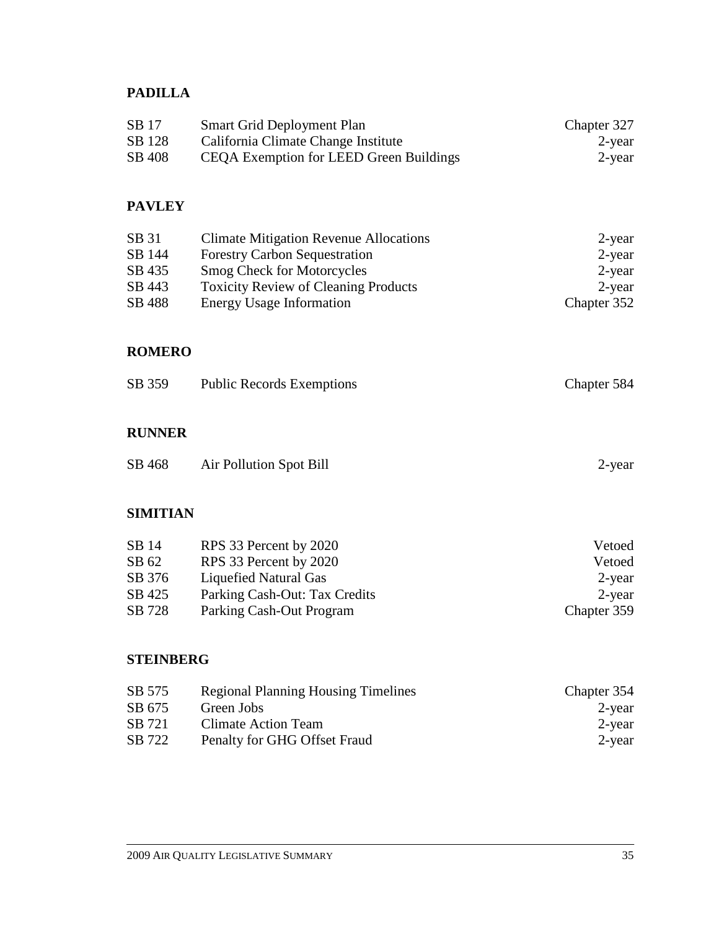# **PADILLA**

| SB 17  | <b>Smart Grid Deployment Plan</b>       | Chapter 327 |
|--------|-----------------------------------------|-------------|
| SB 128 | California Climate Change Institute     | 2-year      |
| SB 408 | CEQA Exemption for LEED Green Buildings | 2-year      |

#### **PAVLEY**

| SB 31  | <b>Climate Mitigation Revenue Allocations</b> | $2$ -year   |
|--------|-----------------------------------------------|-------------|
| SB 144 | <b>Forestry Carbon Sequestration</b>          | $2$ -year   |
| SB 435 | <b>Smog Check for Motorcycles</b>             | $2$ -year   |
| SB 443 | <b>Toxicity Review of Cleaning Products</b>   | 2-year      |
| SB 488 | <b>Energy Usage Information</b>               | Chapter 352 |

#### **ROMERO**

| SB 359 | <b>Public Records Exemptions</b> | Chapter 584 |
|--------|----------------------------------|-------------|
|        |                                  |             |
|        |                                  |             |

## **RUNNER**

| SB 468 | Air Pollution Spot Bill | $2$ -year |
|--------|-------------------------|-----------|
|--------|-------------------------|-----------|

#### **SIMITIAN**

| RPS 33 Percent by 2020        | Vetoed      |
|-------------------------------|-------------|
| RPS 33 Percent by 2020        | Vetoed      |
| Liquefied Natural Gas         | 2-year      |
| Parking Cash-Out: Tax Credits | $2$ -year   |
| Parking Cash-Out Program      | Chapter 359 |
|                               |             |

#### **STEINBERG**

| SB 575 | <b>Regional Planning Housing Timelines</b> | Chapter 354 |
|--------|--------------------------------------------|-------------|
| SB 675 | Green Jobs                                 | 2-year      |
| SB 721 | Climate Action Team                        | 2-year      |
| SB 722 | Penalty for GHG Offset Fraud               | 2-year      |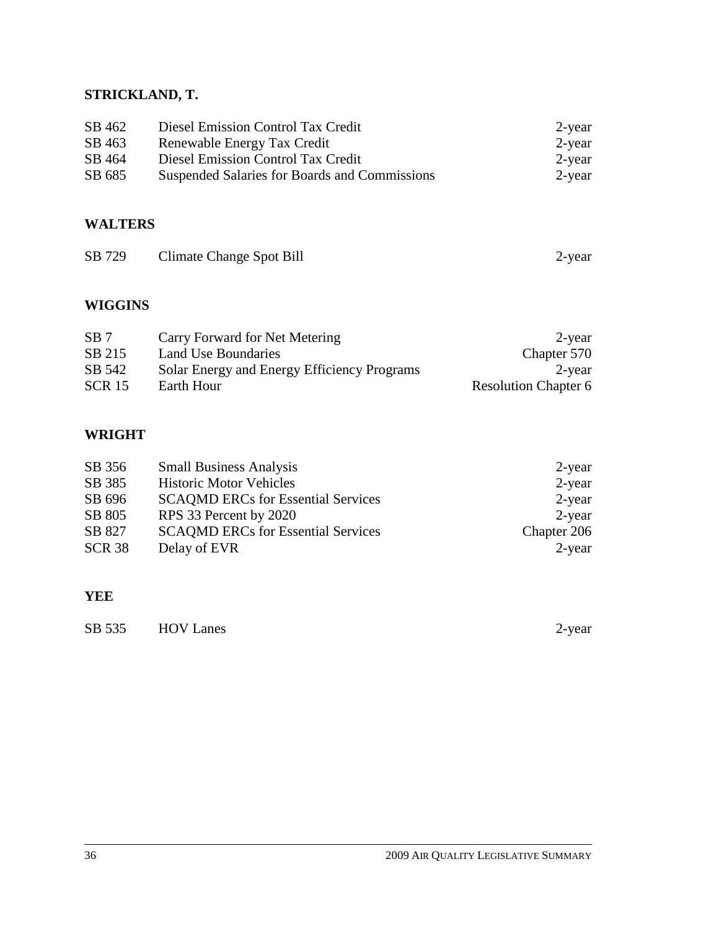#### **STRICKLAND, T.**

| SB 462 | Diesel Emission Control Tax Credit            | $2$ -year |
|--------|-----------------------------------------------|-----------|
| SB 463 | Renewable Energy Tax Credit                   | $2$ -year |
| SB 464 | Diesel Emission Control Tax Credit            | $2$ -year |
| SB 685 | Suspended Salaries for Boards and Commissions | $2$ -year |

### **WALTERS**

| SB 729 | Climate Change Spot Bill | 2-year |
|--------|--------------------------|--------|
|--------|--------------------------|--------|

#### **WIGGINS**

| SB <sub>7</sub> | Carry Forward for Net Metering              | $2$ -year                   |
|-----------------|---------------------------------------------|-----------------------------|
| SB 215          | Land Use Boundaries                         | Chapter 570                 |
| SB 542          | Solar Energy and Energy Efficiency Programs | $2$ -year                   |
| <b>SCR 15</b>   | Earth Hour                                  | <b>Resolution Chapter 6</b> |

# **WRIGHT**

| <b>Small Business Analysis</b>            | 2-year      |
|-------------------------------------------|-------------|
| <b>Historic Motor Vehicles</b>            | $2$ -year   |
| <b>SCAQMD ERCs for Essential Services</b> | 2-year      |
| RPS 33 Percent by 2020                    | 2-year      |
| <b>SCAOMD ERCs for Essential Services</b> | Chapter 206 |
| Delay of EVR                              | 2-year      |
|                                           |             |

#### **YEE**

| SB 535 | <b>HOV Lanes</b> | 2-year |
|--------|------------------|--------|
|--------|------------------|--------|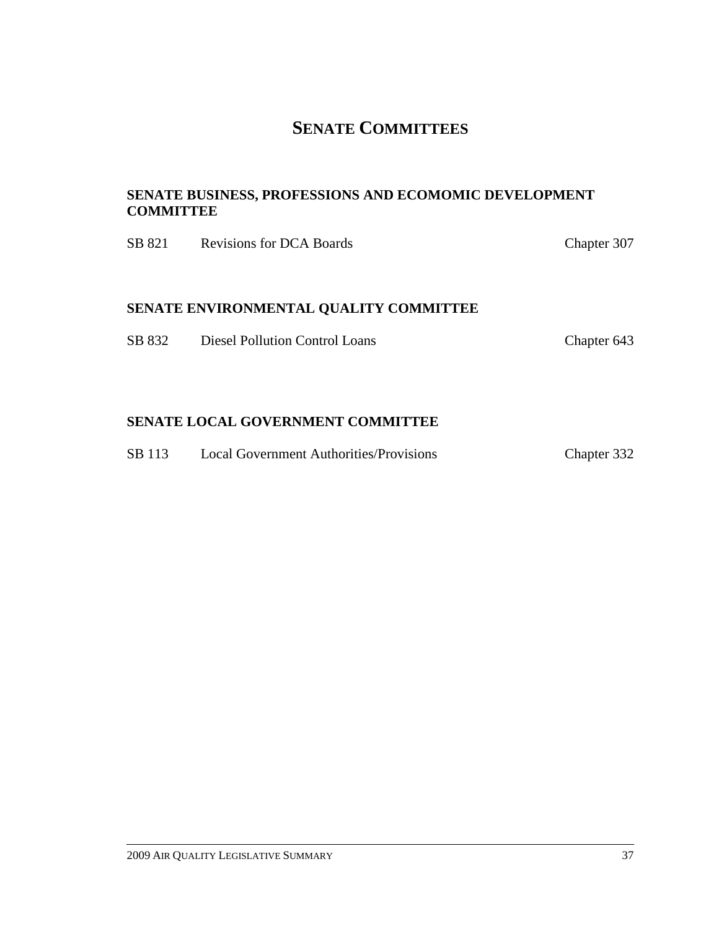# **SENATE COMMITTEES**

#### **SENATE BUSINESS, PROFESSIONS AND ECOMOMIC DEVELOPMENT COMMITTEE**

| SB 821 | <b>Revisions for DCA Boards</b>        | Chapter 307 |
|--------|----------------------------------------|-------------|
|        | SENATE ENVIRONMENTAL QUALITY COMMITTEE |             |
| SB 832 | Diesel Pollution Control Loans         | Chapter 643 |

## **SENATE LOCAL GOVERNMENT COMMITTEE**

| Chapter 332 |
|-------------|
|             |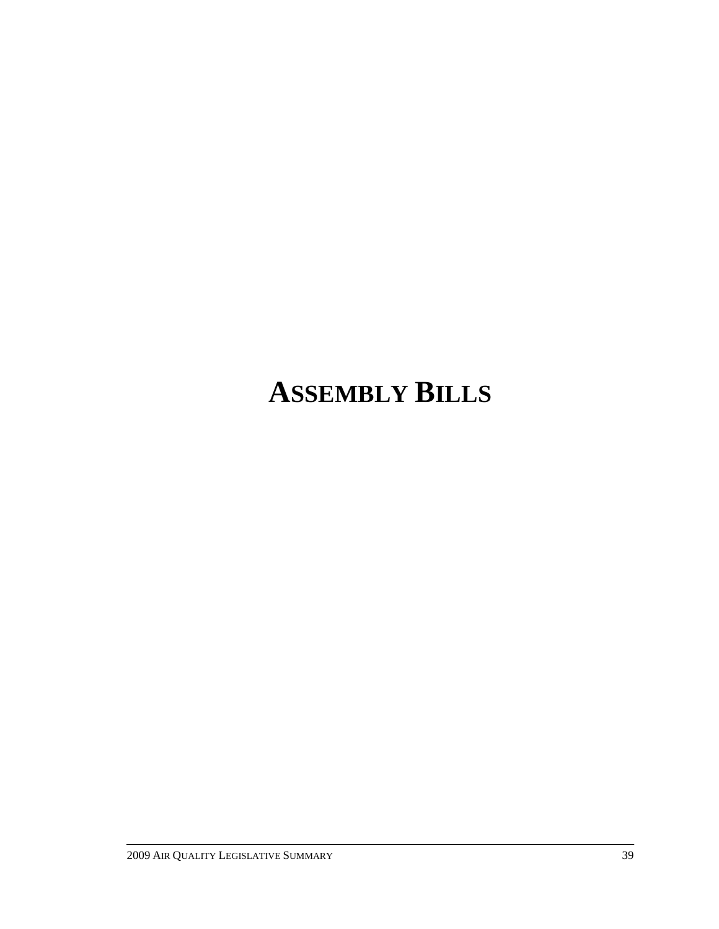# **ASSEMBLY BILLS**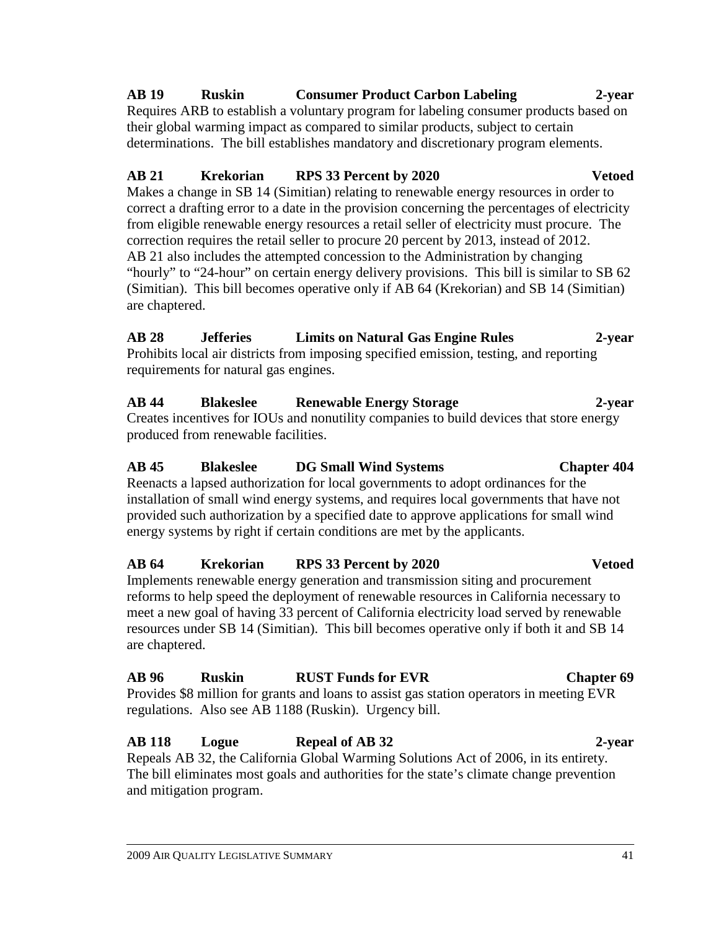#### 2009 AIR QUALITY LEGISLATIVE SUMMARY 41

# **AB 19 Ruskin Consumer Product Carbon Labeling 2-year**

Requires ARB to establish a voluntary program for labeling consumer products based on their global warming impact as compared to similar products, subject to certain determinations. The bill establishes mandatory and discretionary program elements.

#### **AB 21 Krekorian RPS 33 Percent by 2020 Vetoed**

Makes a change in SB 14 (Simitian) relating to renewable energy resources in order to correct a drafting error to a date in the provision concerning the percentages of electricity from eligible renewable energy resources a retail seller of electricity must procure. The correction requires the retail seller to procure 20 percent by 2013, instead of 2012. AB 21 also includes the attempted concession to the Administration by changing "hourly" to "24-hour" on certain energy delivery provisions. This bill is similar to SB 62 (Simitian). This bill becomes operative only if AB 64 (Krekorian) and SB 14 (Simitian) are chaptered.

#### **AB 28 Jefferies Limits on Natural Gas Engine Rules 2-year**  Prohibits local air districts from imposing specified emission, testing, and reporting requirements for natural gas engines.

# **AB 44 Blakeslee Renewable Energy Storage 2-year**

Creates incentives for IOUs and nonutility companies to build devices that store energy produced from renewable facilities.

### **AB 45 Blakeslee DG Small Wind Systems Chapter 404**

Reenacts a lapsed authorization for local governments to adopt ordinances for the installation of small wind energy systems, and requires local governments that have not provided such authorization by a specified date to approve applications for small wind energy systems by right if certain conditions are met by the applicants.

# **AB 64 Krekorian RPS 33 Percent by 2020 Vetoed**

Implements renewable energy generation and transmission siting and procurement reforms to help speed the deployment of renewable resources in California necessary to meet a new goal of having 33 percent of California electricity load served by renewable resources under SB 14 (Simitian). This bill becomes operative only if both it and SB 14 are chaptered.

#### **AB 96 Ruskin RUST Funds for EVR Chapter 69**  Provides \$8 million for grants and loans to assist gas station operators in meeting EVR regulations. Also see AB 1188 (Ruskin). Urgency bill.

#### **AB 118 Logue Repeal of AB 32 2-year**  Repeals AB 32, the California Global Warming Solutions Act of 2006, in its entirety.

The bill eliminates most goals and authorities for the state's climate change prevention and mitigation program.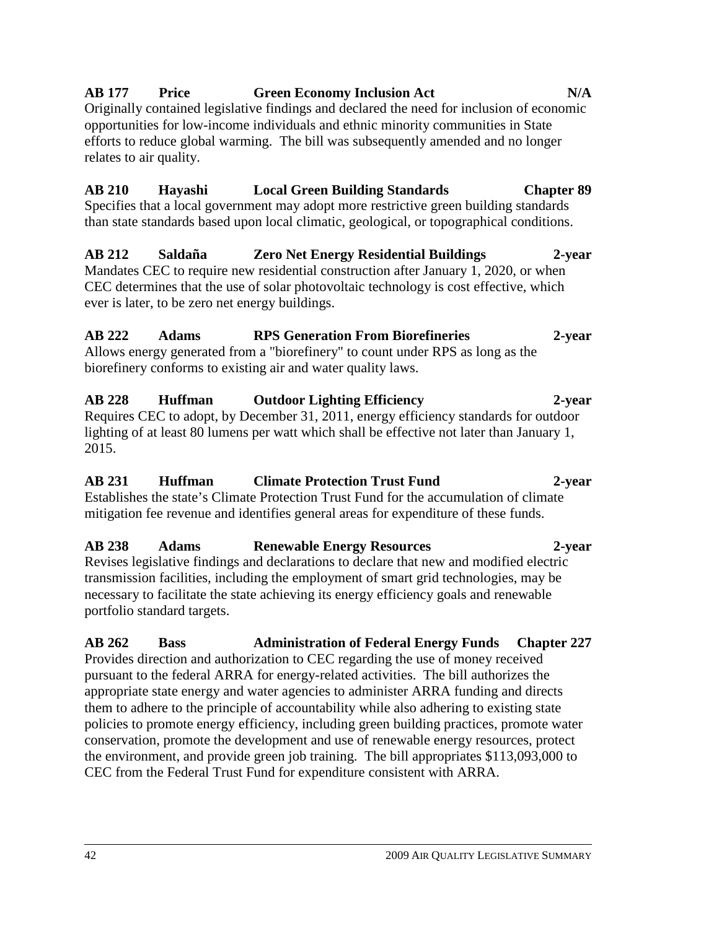#### **AB 177 Price Green Economy Inclusion Act N/A**

Originally contained legislative findings and declared the need for inclusion of economic opportunities for low-income individuals and ethnic minority communities in State efforts to reduce global warming. The bill was subsequently amended and no longer relates to air quality.

### **AB 210 Hayashi Local Green Building Standards Chapter 89**

Specifies that a local government may adopt more restrictive green building standards than state standards based upon local climatic, geological, or topographical conditions.

#### **AB 212 Saldaña Zero Net Energy Residential Buildings 2-year**  Mandates CEC to require new residential construction after January 1, 2020, or when CEC determines that the use of solar photovoltaic technology is cost effective, which ever is later, to be zero net energy buildings.

#### **AB 222 Adams RPS Generation From Biorefineries 2-year**  Allows energy generated from a "biorefinery" to count under RPS as long as the biorefinery conforms to existing air and water quality laws.

**AB 228 Huffman Outdoor Lighting Efficiency 2-year**  Requires CEC to adopt, by December 31, 2011, energy efficiency standards for outdoor lighting of at least 80 lumens per watt which shall be effective not later than January 1, 2015.

#### **AB 231 Huffman Climate Protection Trust Fund 2-year** Establishes the state's Climate Protection Trust Fund for the accumulation of climate

mitigation fee revenue and identifies general areas for expenditure of these funds.

# **AB 238 Adams Renewable Energy Resources 2-year**

Revises legislative findings and declarations to declare that new and modified electric transmission facilities, including the employment of smart grid technologies, may be necessary to facilitate the state achieving its energy efficiency goals and renewable portfolio standard targets.

#### **AB 262 Bass Administration of Federal Energy Funds Chapter 227**  Provides direction and authorization to CEC regarding the use of money received pursuant to the federal ARRA for energy-related activities. The bill authorizes the appropriate state energy and water agencies to administer ARRA funding and directs them to adhere to the principle of accountability while also adhering to existing state policies to promote energy efficiency, including green building practices, promote water conservation, promote the development and use of renewable energy resources, protect the environment, and provide green job training. The bill appropriates \$113,093,000 to CEC from the Federal Trust Fund for expenditure consistent with ARRA.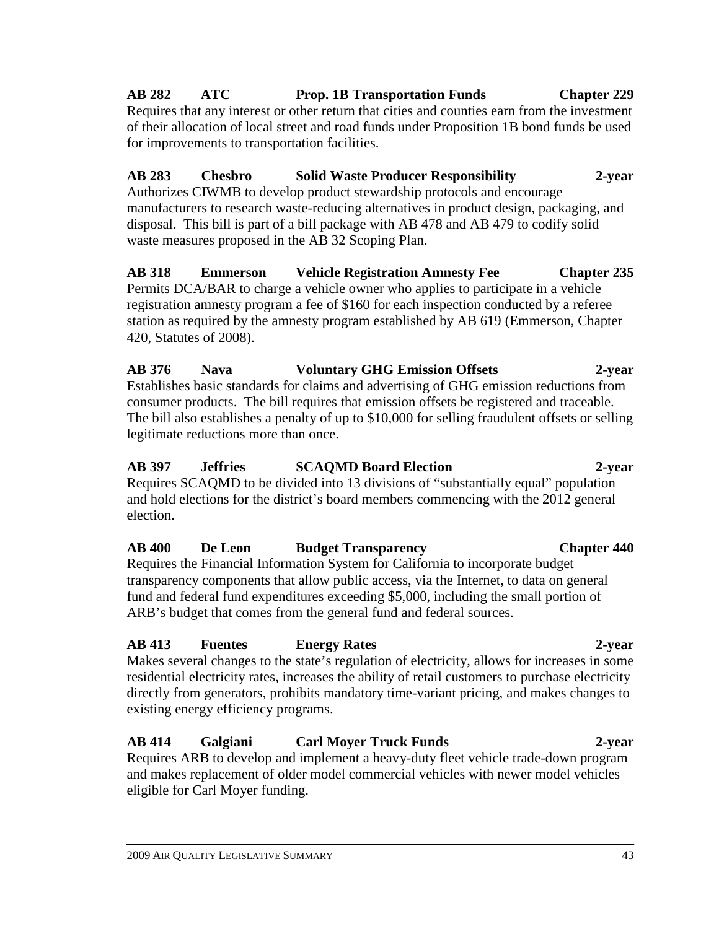# **AB 282 ATC Prop. 1B Transportation Funds Chapter 229**

Requires that any interest or other return that cities and counties earn from the investment of their allocation of local street and road funds under Proposition 1B bond funds be used for improvements to transportation facilities.

#### **AB 283 Chesbro Solid Waste Producer Responsibility 2-year**  Authorizes CIWMB to develop product stewardship protocols and encourage manufacturers to research waste-reducing alternatives in product design, packaging, and disposal. This bill is part of a bill package with AB 478 and AB 479 to codify solid waste measures proposed in the AB 32 Scoping Plan.

**AB 318 Emmerson Vehicle Registration Amnesty Fee Chapter 235**  Permits DCA/BAR to charge a vehicle owner who applies to participate in a vehicle registration amnesty program a fee of \$160 for each inspection conducted by a referee station as required by the amnesty program established by AB 619 (Emmerson, Chapter 420, Statutes of 2008).

**AB 376 Nava Voluntary GHG Emission Offsets 2-year**  Establishes basic standards for claims and advertising of GHG emission reductions from consumer products. The bill requires that emission offsets be registered and traceable. The bill also establishes a penalty of up to \$10,000 for selling fraudulent offsets or selling legitimate reductions more than once.

#### **AB 397 Jeffries SCAQMD Board Election 2-year**  Requires SCAQMD to be divided into 13 divisions of "substantially equal" population and hold elections for the district's board members commencing with the 2012 general election.

# **AB 400 De Leon Budget Transparency Chapter 440**

Requires the Financial Information System for California to incorporate budget transparency components that allow public access, via the Internet, to data on general fund and federal fund expenditures exceeding \$5,000, including the small portion of ARB's budget that comes from the general fund and federal sources.

### **AB 413 Fuentes Energy Rates 2-year**

Makes several changes to the state's regulation of electricity, allows for increases in some residential electricity rates, increases the ability of retail customers to purchase electricity directly from generators, prohibits mandatory time-variant pricing, and makes changes to existing energy efficiency programs.

# **AB 414 Galgiani Carl Moyer Truck Funds 2-year**

Requires ARB to develop and implement a heavy-duty fleet vehicle trade-down program and makes replacement of older model commercial vehicles with newer model vehicles eligible for Carl Moyer funding.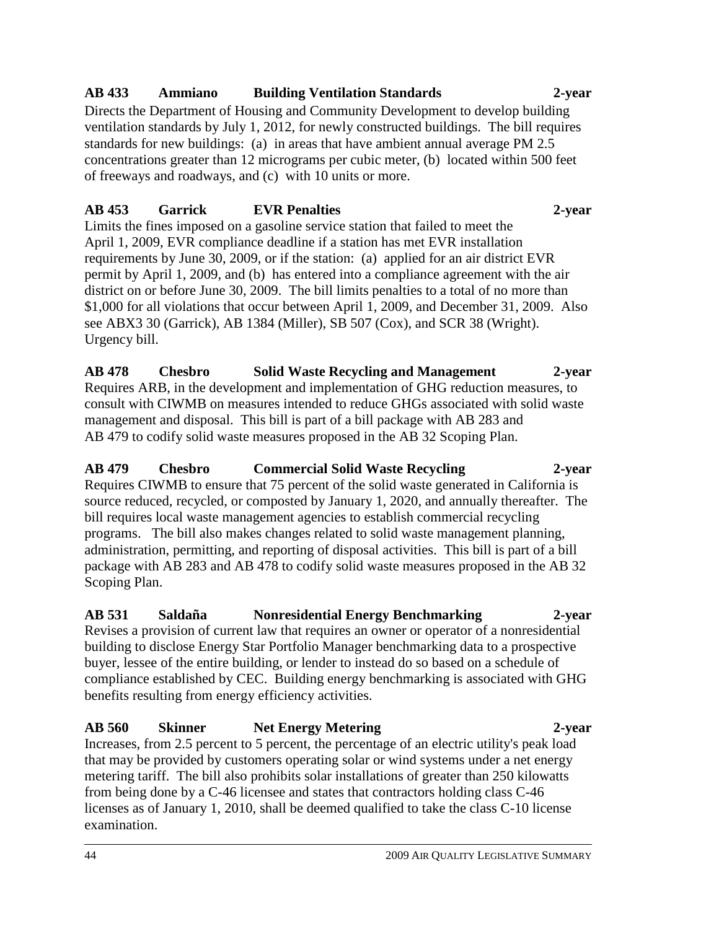#### **AB 433 Ammiano Building Ventilation Standards 2-year**

Directs the Department of Housing and Community Development to develop building ventilation standards by July 1, 2012, for newly constructed buildings. The bill requires standards for new buildings: (a) in areas that have ambient annual average PM 2.5 concentrations greater than 12 micrograms per cubic meter, (b) located within 500 feet of freeways and roadways, and (c) with 10 units or more.

#### **AB 453 Garrick EVR Penalties 2-year**

Limits the fines imposed on a gasoline service station that failed to meet the April 1, 2009, EVR compliance deadline if a station has met EVR installation requirements by June 30, 2009, or if the station: (a) applied for an air district EVR permit by April 1, 2009, and (b) has entered into a compliance agreement with the air district on or before June 30, 2009. The bill limits penalties to a total of no more than \$1,000 for all violations that occur between April 1, 2009, and December 31, 2009. Also see ABX3 30 (Garrick), AB 1384 (Miller), SB 507 (Cox), and SCR 38 (Wright). Urgency bill.

**AB 478 Chesbro Solid Waste Recycling and Management 2-year**  Requires ARB, in the development and implementation of GHG reduction measures, to consult with CIWMB on measures intended to reduce GHGs associated with solid waste management and disposal. This bill is part of a bill package with AB 283 and AB 479 to codify solid waste measures proposed in the AB 32 Scoping Plan.

### **AB 479 Chesbro Commercial Solid Waste Recycling 2-year**

Requires CIWMB to ensure that 75 percent of the solid waste generated in California is source reduced, recycled, or composted by January 1, 2020, and annually thereafter. The bill requires local waste management agencies to establish commercial recycling programs. The bill also makes changes related to solid waste management planning, administration, permitting, and reporting of disposal activities. This bill is part of a bill package with AB 283 and AB 478 to codify solid waste measures proposed in the AB 32 Scoping Plan.

#### **AB 531 Saldaña Nonresidential Energy Benchmarking 2-year**

Revises a provision of current law that requires an owner or operator of a nonresidential building to disclose Energy Star Portfolio Manager benchmarking data to a prospective buyer, lessee of the entire building, or lender to instead do so based on a schedule of compliance established by CEC. Building energy benchmarking is associated with GHG benefits resulting from energy efficiency activities.

**AB 560 Skinner Net Energy Metering 2-year**  Increases, from 2.5 percent to 5 percent, the percentage of an electric utility's peak load that may be provided by customers operating solar or wind systems under a net energy metering tariff. The bill also prohibits solar installations of greater than 250 kilowatts from being done by a C-46 licensee and states that contractors holding class C-46 licenses as of January 1, 2010, shall be deemed qualified to take the class C-10 license examination.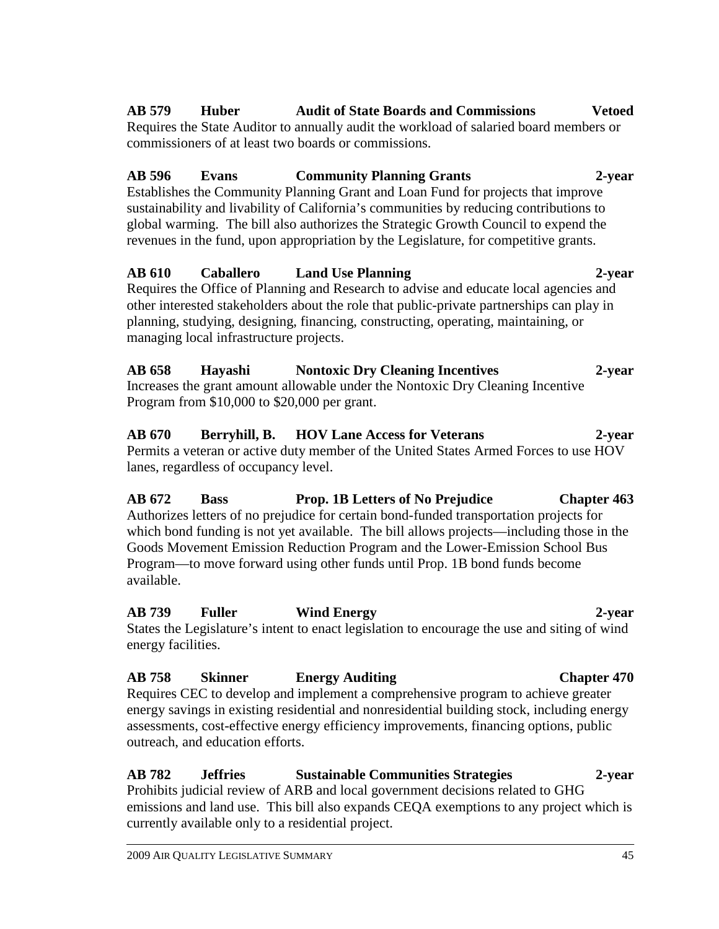#### **AB 579 Huber Audit of State Boards and Commissions Vetoed**  Requires the State Auditor to annually audit the workload of salaried board members or

commissioners of at least two boards or commissions.

# **AB 596 Evans Community Planning Grants 2-year**

Establishes the Community Planning Grant and Loan Fund for projects that improve sustainability and livability of California's communities by reducing contributions to global warming. The bill also authorizes the Strategic Growth Council to expend the revenues in the fund, upon appropriation by the Legislature, for competitive grants.

#### **AB 610 Caballero Land Use Planning 2-year**  Requires the Office of Planning and Research to advise and educate local agencies and

other interested stakeholders about the role that public-private partnerships can play in planning, studying, designing, financing, constructing, operating, maintaining, or managing local infrastructure projects.

**AB 658 Hayashi Nontoxic Dry Cleaning Incentives 2-year**  Increases the grant amount allowable under the Nontoxic Dry Cleaning Incentive Program from \$10,000 to \$20,000 per grant.

**AB 670 Berryhill, B. HOV Lane Access for Veterans 2-year**  Permits a veteran or active duty member of the United States Armed Forces to use HOV lanes, regardless of occupancy level.

**AB 672 Bass Prop. 1B Letters of No Prejudice Chapter 463**  Authorizes letters of no prejudice for certain bond-funded transportation projects for which bond funding is not yet available. The bill allows projects—including those in the Goods Movement Emission Reduction Program and the Lower-Emission School Bus Program—to move forward using other funds until Prop. 1B bond funds become available.

**AB 739 Fuller Wind Energy 2-year**  States the Legislature's intent to enact legislation to encourage the use and siting of wind energy facilities.

# **AB 758 Skinner Energy Auditing Chapter 470**

Requires CEC to develop and implement a comprehensive program to achieve greater energy savings in existing residential and nonresidential building stock, including energy assessments, cost-effective energy efficiency improvements, financing options, public outreach, and education efforts.

#### **AB 782 Jeffries Sustainable Communities Strategies 2-year**  Prohibits judicial review of ARB and local government decisions related to GHG emissions and land use. This bill also expands CEQA exemptions to any project which is currently available only to a residential project.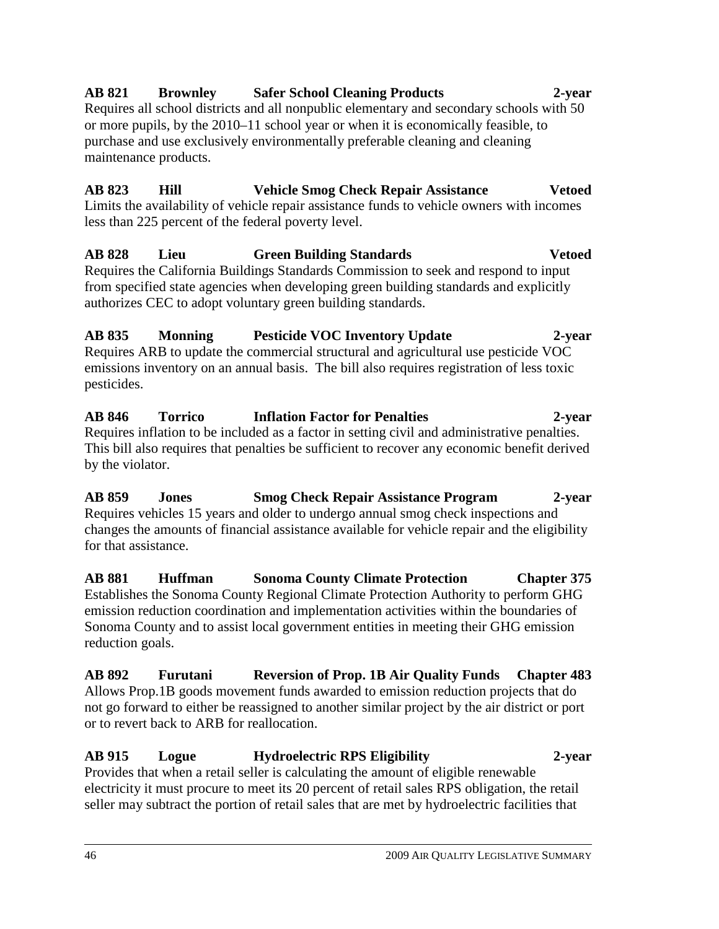### **AB 821 Brownley Safer School Cleaning Products 2-year**

Requires all school districts and all nonpublic elementary and secondary schools with 50 or more pupils, by the 2010–11 school year or when it is economically feasible, to purchase and use exclusively environmentally preferable cleaning and cleaning maintenance products.

# **AB 823 Hill Vehicle Smog Check Repair Assistance Vetoed**

Limits the availability of vehicle repair assistance funds to vehicle owners with incomes less than 225 percent of the federal poverty level.

#### **AB 828 Lieu Green Building Standards Vetoed**  Requires the California Buildings Standards Commission to seek and respond to input from specified state agencies when developing green building standards and explicitly authorizes CEC to adopt voluntary green building standards.

#### **AB 835 Monning Pesticide VOC Inventory Update 2-year**  Requires ARB to update the commercial structural and agricultural use pesticide VOC emissions inventory on an annual basis. The bill also requires registration of less toxic pesticides.

**AB 846 Torrico Inflation Factor for Penalties 2-year**  Requires inflation to be included as a factor in setting civil and administrative penalties. This bill also requires that penalties be sufficient to recover any economic benefit derived by the violator.

**AB 859 Jones Smog Check Repair Assistance Program 2-year**  Requires vehicles 15 years and older to undergo annual smog check inspections and changes the amounts of financial assistance available for vehicle repair and the eligibility for that assistance.

**AB 881 Huffman Sonoma County Climate Protection Chapter 375**  Establishes the Sonoma County Regional Climate Protection Authority to perform GHG emission reduction coordination and implementation activities within the boundaries of Sonoma County and to assist local government entities in meeting their GHG emission reduction goals.

#### **AB 892 Furutani Reversion of Prop. 1B Air Quality Funds Chapter 483**  Allows Prop.1B goods movement funds awarded to emission reduction projects that do not go forward to either be reassigned to another similar project by the air district or port or to revert back to ARB for reallocation.

#### **AB 915 Logue Hydroelectric RPS Eligibility 2-year**  Provides that when a retail seller is calculating the amount of eligible renewable electricity it must procure to meet its 20 percent of retail sales RPS obligation, the retail seller may subtract the portion of retail sales that are met by hydroelectric facilities that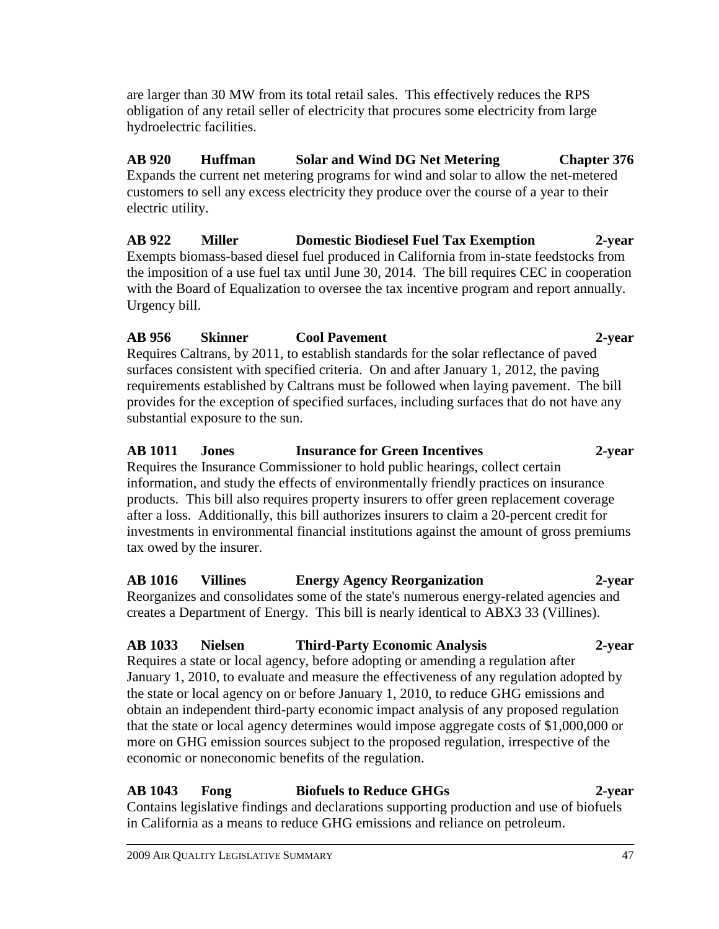are larger than 30 MW from its total retail sales. This effectively reduces the RPS obligation of any retail seller of electricity that procures some electricity from large hydroelectric facilities.

# **AB 920 Huffman Solar and Wind DG Net Metering Chapter 376**

Expands the current net metering programs for wind and solar to allow the net-metered customers to sell any excess electricity they produce over the course of a year to their electric utility.

**AB 922 Miller Domestic Biodiesel Fuel Tax Exemption 2-year**  Exempts biomass-based diesel fuel produced in California from in-state feedstocks from the imposition of a use fuel tax until June 30, 2014. The bill requires CEC in cooperation with the Board of Equalization to oversee the tax incentive program and report annually. Urgency bill.

#### **AB 956 Skinner Cool Pavement 2-year**

Requires Caltrans, by 2011, to establish standards for the solar reflectance of paved surfaces consistent with specified criteria. On and after January 1, 2012, the paving requirements established by Caltrans must be followed when laying pavement. The bill provides for the exception of specified surfaces, including surfaces that do not have any substantial exposure to the sun.

# **AB 1011 Jones Insurance for Green Incentives 2-year**

Requires the Insurance Commissioner to hold public hearings, collect certain information, and study the effects of environmentally friendly practices on insurance products. This bill also requires property insurers to offer green replacement coverage after a loss. Additionally, this bill authorizes insurers to claim a 20-percent credit for investments in environmental financial institutions against the amount of gross premiums tax owed by the insurer.

**AB 1016 Villines Energy Agency Reorganization 2-year**  Reorganizes and consolidates some of the state's numerous energy-related agencies and creates a Department of Energy. This bill is nearly identical to ABX3 33 (Villines).

#### **AB 1033 Nielsen Third-Party Economic Analysis 2-year**  Requires a state or local agency, before adopting or amending a regulation after January 1, 2010, to evaluate and measure the effectiveness of any regulation adopted by the state or local agency on or before January 1, 2010, to reduce GHG emissions and obtain an independent third-party economic impact analysis of any proposed regulation that the state or local agency determines would impose aggregate costs of \$1,000,000 or more on GHG emission sources subject to the proposed regulation, irrespective of the economic or noneconomic benefits of the regulation.

### **AB 1043 Fong Biofuels to Reduce GHGs 2-year**

Contains legislative findings and declarations supporting production and use of biofuels in California as a means to reduce GHG emissions and reliance on petroleum.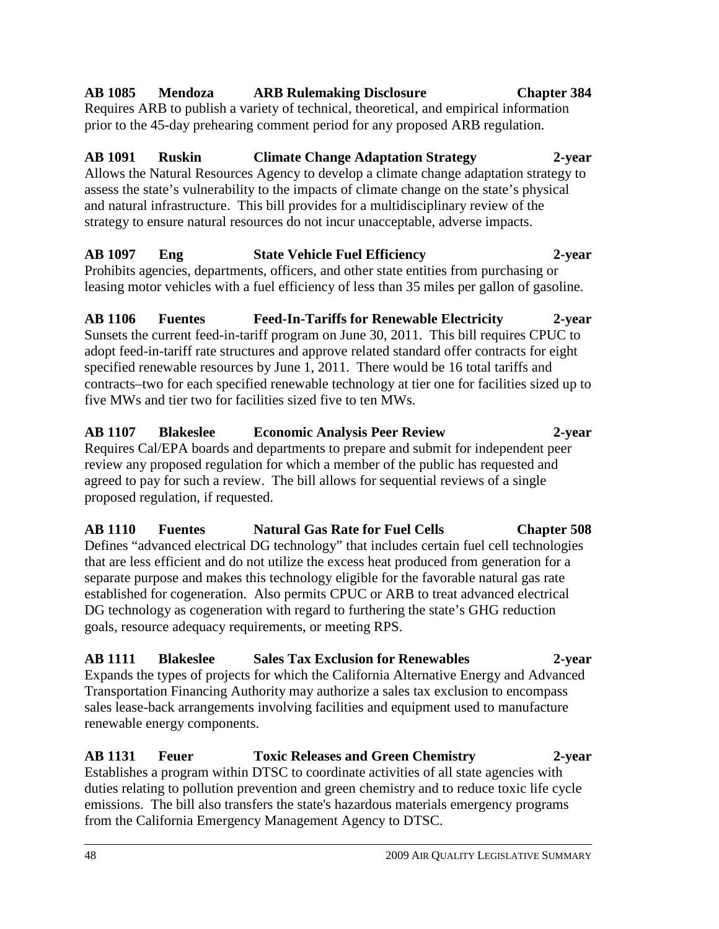#### 48 2009 AIR QUALITY LEGISLATIVE SUMMARY

#### **AB 1085 Mendoza ARB Rulemaking Disclosure Chapter 384**

Requires ARB to publish a variety of technical, theoretical, and empirical information prior to the 45-day prehearing comment period for any proposed ARB regulation.

### **AB 1091 Ruskin Climate Change Adaptation Strategy 2-year**

Allows the Natural Resources Agency to develop a climate change adaptation strategy to assess the state's vulnerability to the impacts of climate change on the state's physical and natural infrastructure. This bill provides for a multidisciplinary review of the strategy to ensure natural resources do not incur unacceptable, adverse impacts.

# **AB 1097 Eng State Vehicle Fuel Efficiency 2-year**

Prohibits agencies, departments, officers, and other state entities from purchasing or leasing motor vehicles with a fuel efficiency of less than 35 miles per gallon of gasoline.

#### **AB 1106 Fuentes Feed-In-Tariffs for Renewable Electricity 2-year**  Sunsets the current feed-in-tariff program on June 30, 2011. This bill requires CPUC to adopt feed-in-tariff rate structures and approve related standard offer contracts for eight specified renewable resources by June 1, 2011. There would be 16 total tariffs and contracts–two for each specified renewable technology at tier one for facilities sized up to five MWs and tier two for facilities sized five to ten MWs.

#### **AB 1107 Blakeslee Economic Analysis Peer Review 2-year**  Requires Cal/EPA boards and departments to prepare and submit for independent peer review any proposed regulation for which a member of the public has requested and agreed to pay for such a review. The bill allows for sequential reviews of a single proposed regulation, if requested.

#### **AB 1110 Fuentes Natural Gas Rate for Fuel Cells Chapter 508**  Defines "advanced electrical DG technology" that includes certain fuel cell technologies that are less efficient and do not utilize the excess heat produced from generation for a separate purpose and makes this technology eligible for the favorable natural gas rate established for cogeneration. Also permits CPUC or ARB to treat advanced electrical DG technology as cogeneration with regard to furthering the state's GHG reduction goals, resource adequacy requirements, or meeting RPS.

# **AB 1111 Blakeslee Sales Tax Exclusion for Renewables 2-year**

Expands the types of projects for which the California Alternative Energy and Advanced Transportation Financing Authority may authorize a sales tax exclusion to encompass sales lease-back arrangements involving facilities and equipment used to manufacture renewable energy components.

# **AB 1131 Feuer Toxic Releases and Green Chemistry 2-year**

Establishes a program within DTSC to coordinate activities of all state agencies with duties relating to pollution prevention and green chemistry and to reduce toxic life cycle emissions. The bill also transfers the state's hazardous materials emergency programs from the California Emergency Management Agency to DTSC.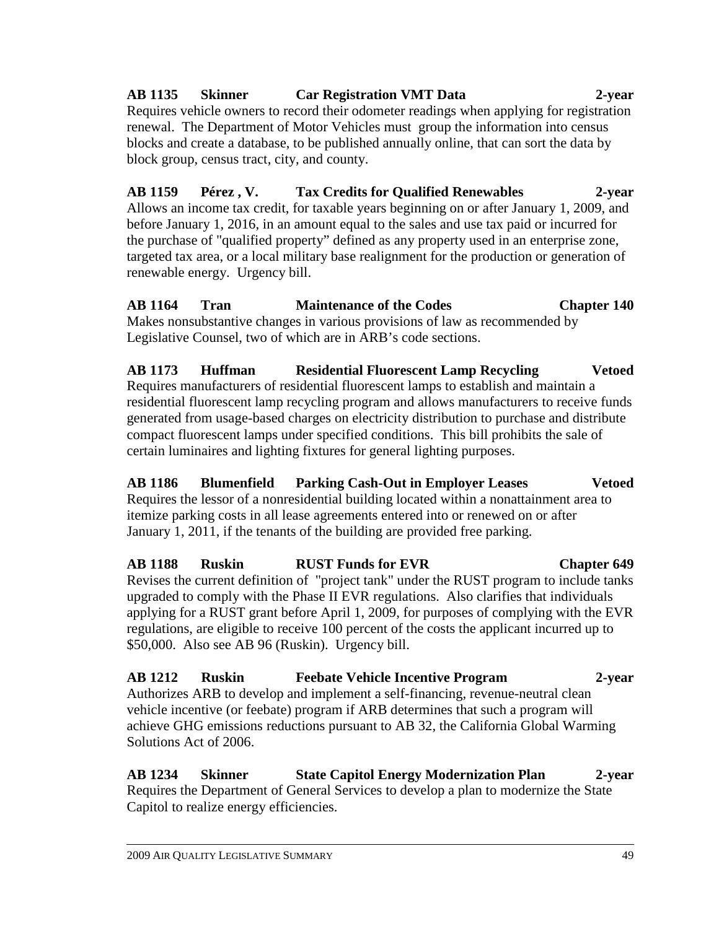#### **AB 1135 Skinner Car Registration VMT Data 2-year**  Requires vehicle owners to record their odometer readings when applying for registration renewal. The Department of Motor Vehicles must group the information into census blocks and create a database, to be published annually online, that can sort the data by block group, census tract, city, and county.

**AB 1159 Pérez , V. Tax Credits for Qualified Renewables 2-year**  Allows an income tax credit, for taxable years beginning on or after January 1, 2009, and before January 1, 2016, in an amount equal to the sales and use tax paid or incurred for the purchase of "qualified property" defined as any property used in an enterprise zone, targeted tax area, or a local military base realignment for the production or generation of renewable energy. Urgency bill.

**AB 1164 Tran Maintenance of the Codes Chapter 140**  Makes nonsubstantive changes in various provisions of law as recommended by Legislative Counsel, two of which are in ARB's code sections.

**AB 1173 Huffman Residential Fluorescent Lamp Recycling Vetoed**  Requires manufacturers of residential fluorescent lamps to establish and maintain a residential fluorescent lamp recycling program and allows manufacturers to receive funds generated from usage-based charges on electricity distribution to purchase and distribute compact fluorescent lamps under specified conditions. This bill prohibits the sale of certain luminaires and lighting fixtures for general lighting purposes.

**AB 1186 Blumenfield Parking Cash-Out in Employer Leases Vetoed**  Requires the lessor of a nonresidential building located within a nonattainment area to itemize parking costs in all lease agreements entered into or renewed on or after January 1, 2011, if the tenants of the building are provided free parking.

**AB 1188 Ruskin RUST Funds for EVR Chapter 649**  Revises the current definition of "project tank" under the RUST program to include tanks upgraded to comply with the Phase II EVR regulations. Also clarifies that individuals applying for a RUST grant before April 1, 2009, for purposes of complying with the EVR regulations, are eligible to receive 100 percent of the costs the applicant incurred up to \$50,000. Also see AB 96 (Ruskin). Urgency bill.

**AB 1212 Ruskin Feebate Vehicle Incentive Program 2-year**  Authorizes ARB to develop and implement a self-financing, revenue-neutral clean vehicle incentive (or feebate) program if ARB determines that such a program will achieve GHG emissions reductions pursuant to AB 32, the California Global Warming Solutions Act of 2006.

**AB 1234 Skinner State Capitol Energy Modernization Plan 2-year**  Requires the Department of General Services to develop a plan to modernize the State Capitol to realize energy efficiencies.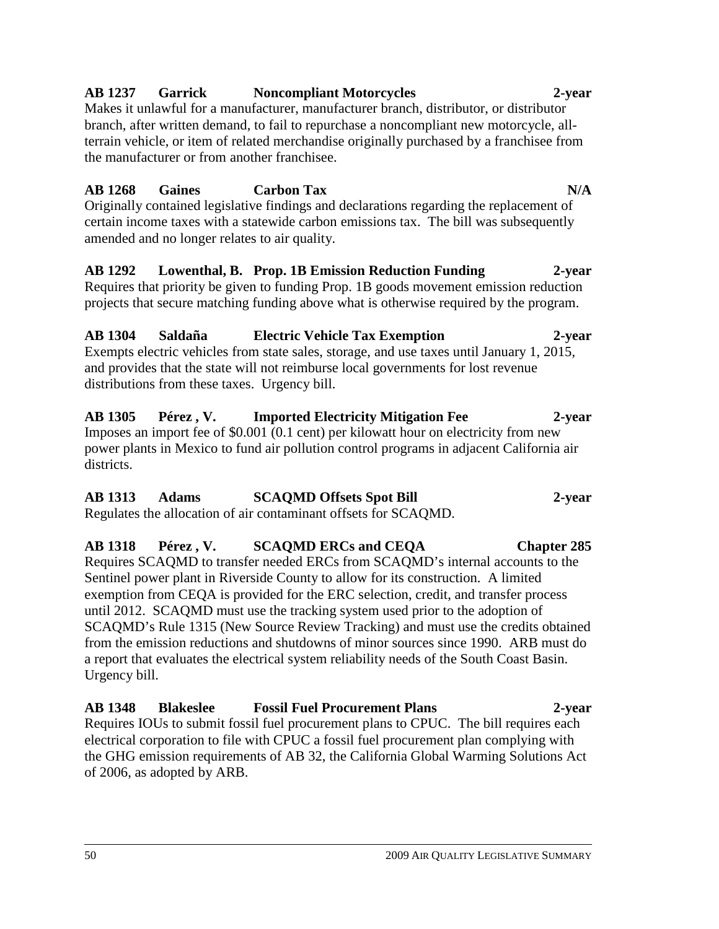#### **AB 1237 Garrick Noncompliant Motorcycles 2-year**

Makes it unlawful for a manufacturer, manufacturer branch, distributor, or distributor branch, after written demand, to fail to repurchase a noncompliant new motorcycle, allterrain vehicle, or item of related merchandise originally purchased by a franchisee from the manufacturer or from another franchisee.

#### **AB 1268 Gaines Carbon Tax N/A**

Originally contained legislative findings and declarations regarding the replacement of certain income taxes with a statewide carbon emissions tax. The bill was subsequently amended and no longer relates to air quality.

#### **AB 1292 Lowenthal, B. Prop. 1B Emission Reduction Funding 2-year**  Requires that priority be given to funding Prop. 1B goods movement emission reduction projects that secure matching funding above what is otherwise required by the program.

#### **AB 1304 Saldaña Electric Vehicle Tax Exemption 2-year**

Exempts electric vehicles from state sales, storage, and use taxes until January 1, 2015, and provides that the state will not reimburse local governments for lost revenue distributions from these taxes. Urgency bill.

#### **AB 1305 Pérez , V. Imported Electricity Mitigation Fee 2-year**  Imposes an import fee of \$0.001 (0.1 cent) per kilowatt hour on electricity from new power plants in Mexico to fund air pollution control programs in adjacent California air districts.

# **AB 1313 Adams SCAQMD Offsets Spot Bill 2-year**

Regulates the allocation of air contaminant offsets for SCAQMD.

#### **AB 1318 Pérez , V. SCAQMD ERCs and CEQA Chapter 285**  Requires SCAQMD to transfer needed ERCs from SCAQMD's internal accounts to the Sentinel power plant in Riverside County to allow for its construction. A limited exemption from CEQA is provided for the ERC selection, credit, and transfer process until 2012. SCAQMD must use the tracking system used prior to the adoption of SCAQMD's Rule 1315 (New Source Review Tracking) and must use the credits obtained from the emission reductions and shutdowns of minor sources since 1990. ARB must do a report that evaluates the electrical system reliability needs of the South Coast Basin. Urgency bill.

**AB 1348 Blakeslee Fossil Fuel Procurement Plans 2-year**  Requires IOUs to submit fossil fuel procurement plans to CPUC. The bill requires each electrical corporation to file with CPUC a fossil fuel procurement plan complying with the GHG emission requirements of AB 32, the California Global Warming Solutions Act of 2006, as adopted by ARB.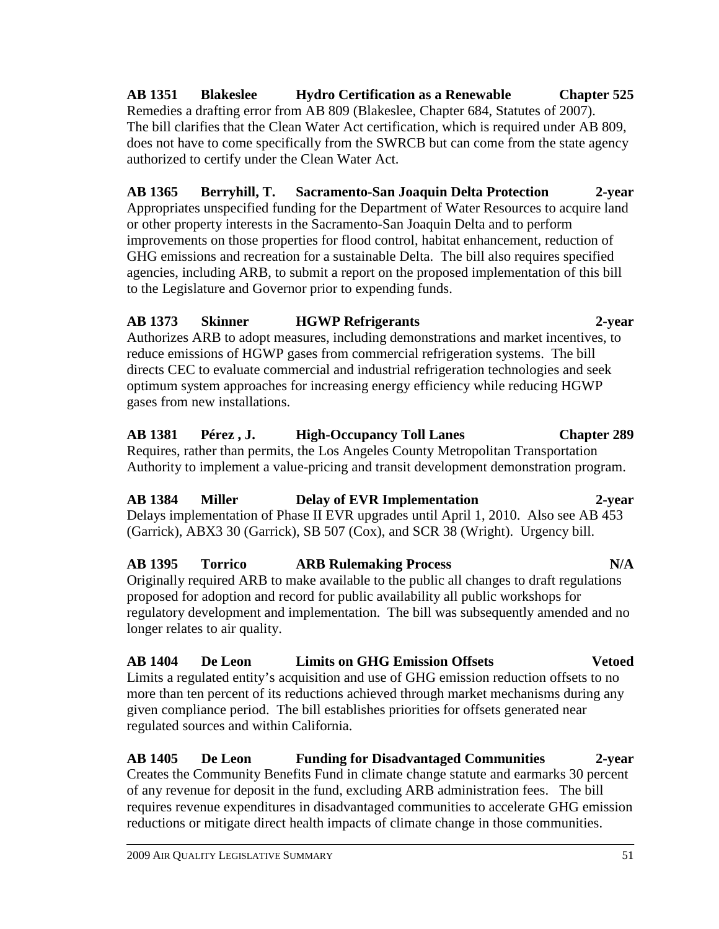Remedies a drafting error from AB 809 (Blakeslee, Chapter 684, Statutes of 2007). The bill clarifies that the Clean Water Act certification, which is required under AB 809, does not have to come specifically from the SWRCB but can come from the state agency authorized to certify under the Clean Water Act.

**AB 1351 Blakeslee Hydro Certification as a Renewable Chapter 525** 

**AB 1365 Berryhill, T. Sacramento-San Joaquin Delta Protection 2-year**  Appropriates unspecified funding for the Department of Water Resources to acquire land or other property interests in the Sacramento-San Joaquin Delta and to perform improvements on those properties for flood control, habitat enhancement, reduction of GHG emissions and recreation for a sustainable Delta. The bill also requires specified agencies, including ARB, to submit a report on the proposed implementation of this bill to the Legislature and Governor prior to expending funds.

#### **AB 1373 Skinner HGWP Refrigerants 2-year**

Authorizes ARB to adopt measures, including demonstrations and market incentives, to reduce emissions of HGWP gases from commercial refrigeration systems. The bill directs CEC to evaluate commercial and industrial refrigeration technologies and seek optimum system approaches for increasing energy efficiency while reducing HGWP gases from new installations.

#### **AB 1381 Pérez , J. High-Occupancy Toll Lanes Chapter 289**  Requires, rather than permits, the Los Angeles County Metropolitan Transportation Authority to implement a value-pricing and transit development demonstration program.

# **AB 1384 Miller Delay of EVR Implementation 2-year**

Delays implementation of Phase II EVR upgrades until April 1, 2010. Also see AB 453 (Garrick), ABX3 30 (Garrick), SB 507 (Cox), and SCR 38 (Wright). Urgency bill.

#### **AB 1395 Torrico ARB Rulemaking Process N/A**  Originally required ARB to make available to the public all changes to draft regulations proposed for adoption and record for public availability all public workshops for regulatory development and implementation. The bill was subsequently amended and no longer relates to air quality.

# **AB 1404 De Leon Limits on GHG Emission Offsets Vetoed**

Limits a regulated entity's acquisition and use of GHG emission reduction offsets to no more than ten percent of its reductions achieved through market mechanisms during any given compliance period. The bill establishes priorities for offsets generated near regulated sources and within California.

#### **AB 1405 De Leon Funding for Disadvantaged Communities 2-year**  Creates the Community Benefits Fund in climate change statute and earmarks 30 percent of any revenue for deposit in the fund, excluding ARB administration fees. The bill requires revenue expenditures in disadvantaged communities to accelerate GHG emission reductions or mitigate direct health impacts of climate change in those communities.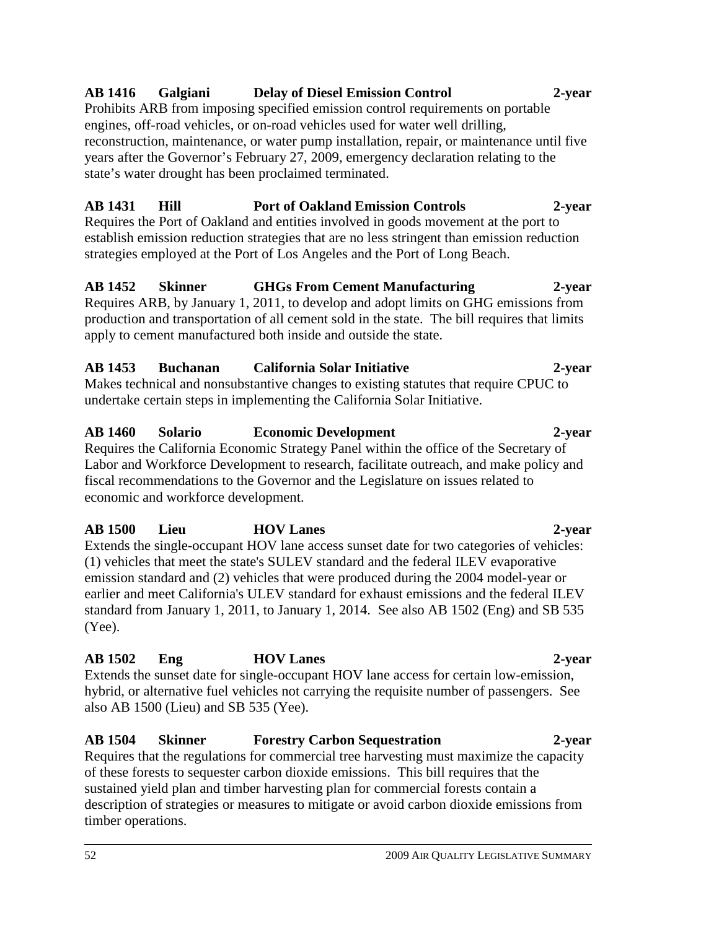#### 52 2009 AIR QUALITY LEGISLATIVE SUMMARY

# hybrid, or alternative fuel vehicles not carrying the requisite number of passengers. See

of these forests to sequester carbon dioxide emissions. This bill requires that the sustained yield plan and timber harvesting plan for commercial forests contain a

**AB 1502 Eng HOV Lanes 2-year**  Extends the sunset date for single-occupant HOV lane access for certain low-emission,

**AB 1504 Skinner Forestry Carbon Sequestration 2-year**  Requires that the regulations for commercial tree harvesting must maximize the capacity

description of strategies or measures to mitigate or avoid carbon dioxide emissions from

economic and workforce development. **AB 1500 Lieu HOV Lanes 2-year** 

**AB 1453 Buchanan California Solar Initiative 2-year**

#### production and transportation of all cement sold in the state. The bill requires that limits apply to cement manufactured both inside and outside the state.

**AB 1452 Skinner GHGs From Cement Manufacturing 2-year**  Requires ARB, by January 1, 2011, to develop and adopt limits on GHG emissions from

Makes technical and nonsubstantive changes to existing statutes that require CPUC to undertake certain steps in implementing the California Solar Initiative.

**AB 1460 Solario Economic Development 2-year**  Requires the California Economic Strategy Panel within the office of the Secretary of Labor and Workforce Development to research, facilitate outreach, and make policy and fiscal recommendations to the Governor and the Legislature on issues related to

also AB 1500 (Lieu) and SB 535 (Yee).

Extends the single-occupant HOV lane access sunset date for two categories of vehicles: (1) vehicles that meet the state's SULEV standard and the federal ILEV evaporative emission standard and (2) vehicles that were produced during the 2004 model-year or earlier and meet California's ULEV standard for exhaust emissions and the federal ILEV standard from January 1, 2011, to January 1, 2014. See also AB 1502 (Eng) and SB 535 (Yee).

timber operations.

# **AB 1416 Galgiani Delay of Diesel Emission Control 2-year**

Prohibits ARB from imposing specified emission control requirements on portable engines, off-road vehicles, or on-road vehicles used for water well drilling, reconstruction, maintenance, or water pump installation, repair, or maintenance until five years after the Governor's February 27, 2009, emergency declaration relating to the state's water drought has been proclaimed terminated.

# **AB 1431 Hill Port of Oakland Emission Controls 2-year**

Requires the Port of Oakland and entities involved in goods movement at the port to establish emission reduction strategies that are no less stringent than emission reduction strategies employed at the Port of Los Angeles and the Port of Long Beach.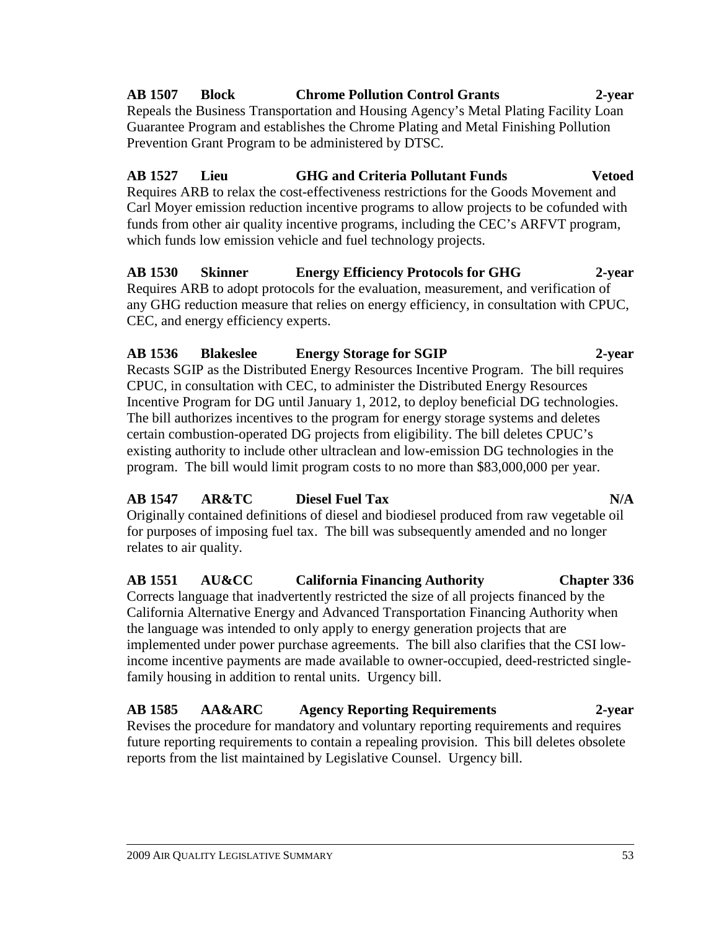# **AB 1507 Block Chrome Pollution Control Grants 2-year**

Repeals the Business Transportation and Housing Agency's Metal Plating Facility Loan Guarantee Program and establishes the Chrome Plating and Metal Finishing Pollution Prevention Grant Program to be administered by DTSC.

### **AB 1527 Lieu GHG and Criteria Pollutant Funds Vetoed**

Requires ARB to relax the cost-effectiveness restrictions for the Goods Movement and Carl Moyer emission reduction incentive programs to allow projects to be cofunded with funds from other air quality incentive programs, including the CEC's ARFVT program, which funds low emission vehicle and fuel technology projects.

#### **AB 1530 Skinner Energy Efficiency Protocols for GHG 2-year**  Requires ARB to adopt protocols for the evaluation, measurement, and verification of any GHG reduction measure that relies on energy efficiency, in consultation with CPUC,

CEC, and energy efficiency experts.

# **AB 1536 Blakeslee Energy Storage for SGIP 2-year**

Recasts SGIP as the Distributed Energy Resources Incentive Program. The bill requires CPUC, in consultation with CEC, to administer the Distributed Energy Resources Incentive Program for DG until January 1, 2012, to deploy beneficial DG technologies. The bill authorizes incentives to the program for energy storage systems and deletes certain combustion-operated DG projects from eligibility. The bill deletes CPUC's existing authority to include other ultraclean and low-emission DG technologies in the program. The bill would limit program costs to no more than \$83,000,000 per year.

### **AB 1547 AR&TC Diesel Fuel Tax N/A**

Originally contained definitions of diesel and biodiesel produced from raw vegetable oil for purposes of imposing fuel tax. The bill was subsequently amended and no longer relates to air quality.

#### **AB 1551 AU&CC California Financing Authority Chapter 336**  Corrects language that inadvertently restricted the size of all projects financed by the

California Alternative Energy and Advanced Transportation Financing Authority when the language was intended to only apply to energy generation projects that are implemented under power purchase agreements. The bill also clarifies that the CSI lowincome incentive payments are made available to owner-occupied, deed-restricted singlefamily housing in addition to rental units. Urgency bill.

#### **AB 1585 AA&ARC Agency Reporting Requirements 2-year**  Revises the procedure for mandatory and voluntary reporting requirements and requires future reporting requirements to contain a repealing provision. This bill deletes obsolete reports from the list maintained by Legislative Counsel. Urgency bill.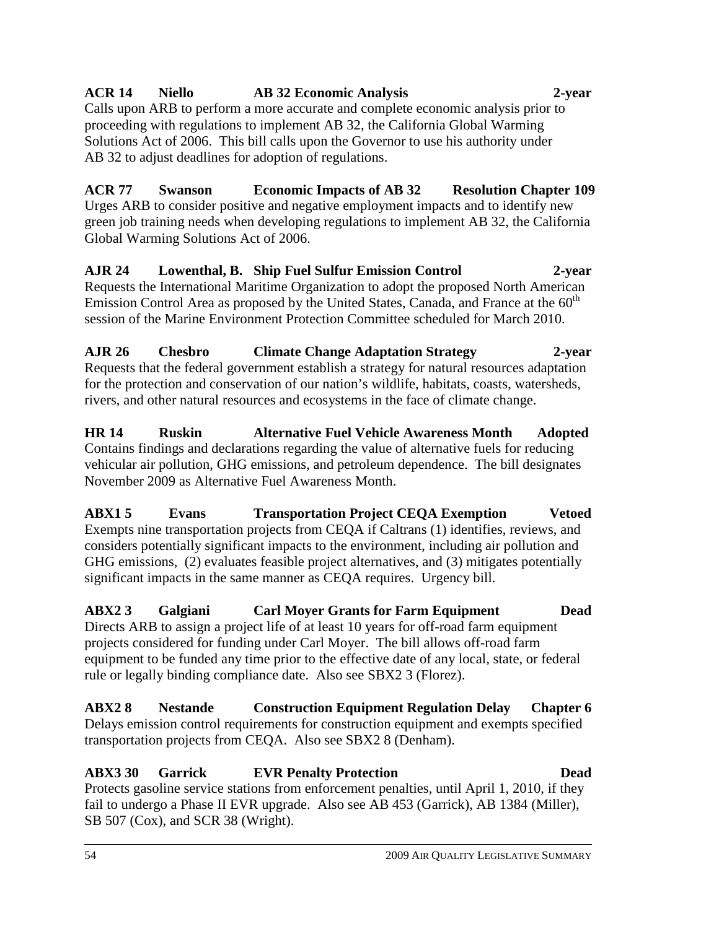### **ACR 14 Niello AB 32 Economic Analysis 2-year**

Calls upon ARB to perform a more accurate and complete economic analysis prior to proceeding with regulations to implement AB 32, the California Global Warming Solutions Act of 2006. This bill calls upon the Governor to use his authority under AB 32 to adjust deadlines for adoption of regulations.

**ACR 77 Swanson Economic Impacts of AB 32 Resolution Chapter 109**  Urges ARB to consider positive and negative employment impacts and to identify new green job training needs when developing regulations to implement AB 32, the California Global Warming Solutions Act of 2006.

**AJR 24 Lowenthal, B. Ship Fuel Sulfur Emission Control 2-year**  Requests the International Maritime Organization to adopt the proposed North American Emission Control Area as proposed by the United States, Canada, and France at the 60<sup>th</sup> session of the Marine Environment Protection Committee scheduled for March 2010.

**AJR 26 Chesbro Climate Change Adaptation Strategy 2-year**  Requests that the federal government establish a strategy for natural resources adaptation for the protection and conservation of our nation's wildlife, habitats, coasts, watersheds, rivers, and other natural resources and ecosystems in the face of climate change.

**HR 14 Ruskin Alternative Fuel Vehicle Awareness Month Adopted**  Contains findings and declarations regarding the value of alternative fuels for reducing vehicular air pollution, GHG emissions, and petroleum dependence. The bill designates November 2009 as Alternative Fuel Awareness Month.

**ABX1 5 Evans Transportation Project CEQA Exemption Vetoed**  Exempts nine transportation projects from CEQA if Caltrans (1) identifies, reviews, and considers potentially significant impacts to the environment, including air pollution and GHG emissions, (2) evaluates feasible project alternatives, and (3) mitigates potentially significant impacts in the same manner as CEQA requires. Urgency bill.

**ABX2 3 Galgiani Carl Moyer Grants for Farm Equipment Dead**  Directs ARB to assign a project life of at least 10 years for off-road farm equipment projects considered for funding under Carl Moyer. The bill allows off-road farm equipment to be funded any time prior to the effective date of any local, state, or federal rule or legally binding compliance date. Also see SBX2 3 (Florez).

**ABX2 8 Nestande Construction Equipment Regulation Delay Chapter 6**  Delays emission control requirements for construction equipment and exempts specified transportation projects from CEQA. Also see SBX2 8 (Denham).

#### **ABX3 30 Garrick EVR Penalty Protection Dead**  Protects gasoline service stations from enforcement penalties, until April 1, 2010, if they fail to undergo a Phase II EVR upgrade. Also see AB 453 (Garrick), AB 1384 (Miller), SB 507 (Cox), and SCR 38 (Wright).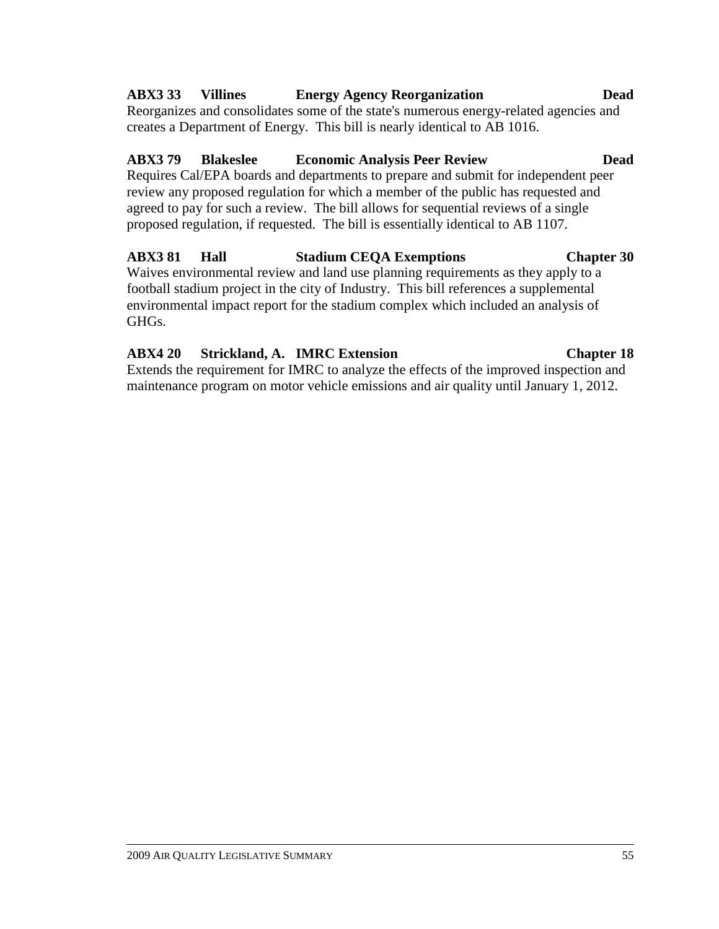#### **ABX3 33 Villines Energy Agency Reorganization Dead**

Reorganizes and consolidates some of the state's numerous energy-related agencies and creates a Department of Energy. This bill is nearly identical to AB 1016.

#### **ABX3 79 Blakeslee Economic Analysis Peer Review Dead**

Requires Cal/EPA boards and departments to prepare and submit for independent peer review any proposed regulation for which a member of the public has requested and agreed to pay for such a review. The bill allows for sequential reviews of a single proposed regulation, if requested. The bill is essentially identical to AB 1107.

#### **ABX3 81 Hall Stadium CEQA Exemptions Chapter 30**

Waives environmental review and land use planning requirements as they apply to a football stadium project in the city of Industry. This bill references a supplemental environmental impact report for the stadium complex which included an analysis of GHGs.

#### **ABX4 20 Strickland, A. IMRC Extension Chapter 18**

Extends the requirement for IMRC to analyze the effects of the improved inspection and maintenance program on motor vehicle emissions and air quality until January 1, 2012.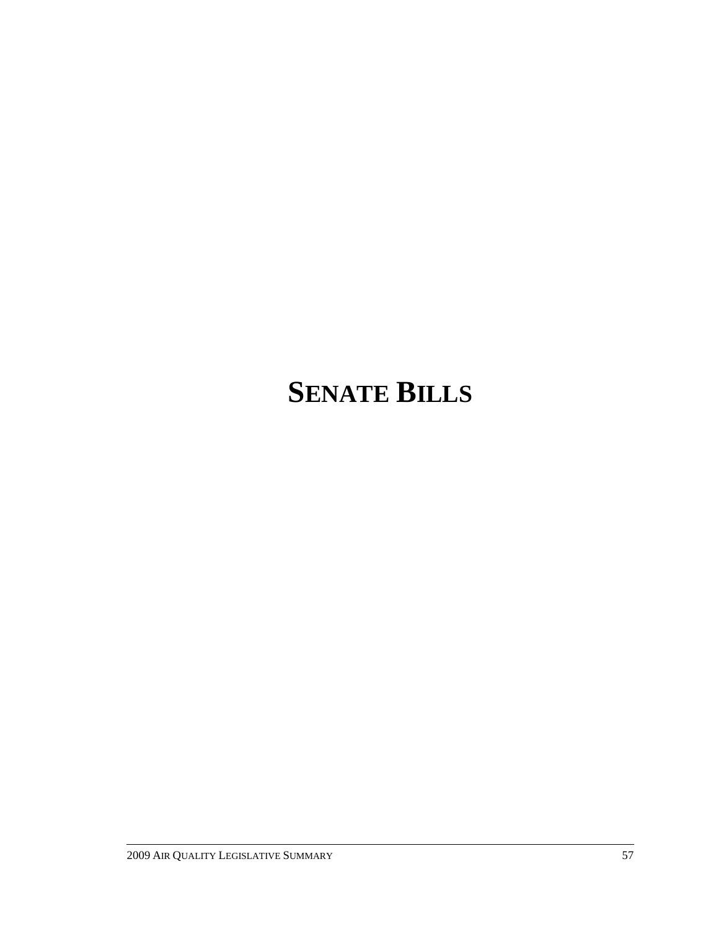# **SENATE BILLS**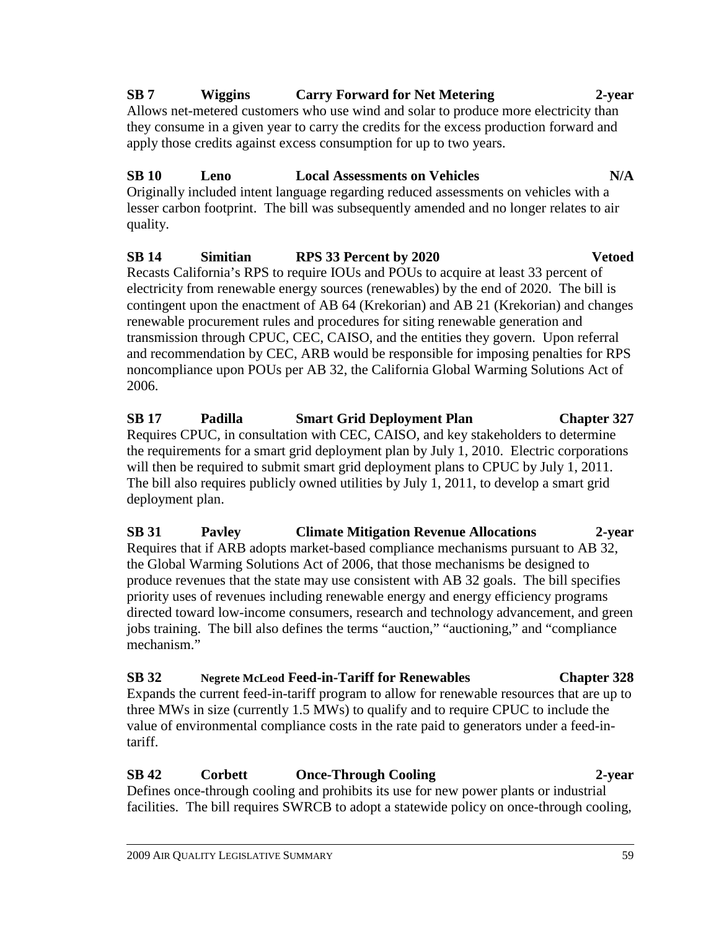**SB 31 Pavley Climate Mitigation Revenue Allocations 2-year**  Requires that if ARB adopts market-based compliance mechanisms pursuant to AB 32, the Global Warming Solutions Act of 2006, that those mechanisms be designed to produce revenues that the state may use consistent with AB 32 goals. The bill specifies priority uses of revenues including renewable energy and energy efficiency programs directed toward low-income consumers, research and technology advancement, and green jobs training. The bill also defines the terms "auction," "auctioning," and "compliance mechanism."

**SB 32 Negrete McLeod Feed-in-Tariff for Renewables Chapter 328**  Expands the current feed-in-tariff program to allow for renewable resources that are up to three MWs in size (currently 1.5 MWs) to qualify and to require CPUC to include the value of environmental compliance costs in the rate paid to generators under a feed-intariff.

### **SB 42 Corbett Once-Through Cooling 2-year**

Defines once-through cooling and prohibits its use for new power plants or industrial facilities. The bill requires SWRCB to adopt a statewide policy on once-through cooling,

### **SB 7 Wiggins Carry Forward for Net Metering 2-year**

Allows net-metered customers who use wind and solar to produce more electricity than they consume in a given year to carry the credits for the excess production forward and apply those credits against excess consumption for up to two years.

# **SB 10 Leno Local Assessments on Vehicles N/A**

Originally included intent language regarding reduced assessments on vehicles with a lesser carbon footprint. The bill was subsequently amended and no longer relates to air quality.

#### **SB 14 Simitian RPS 33 Percent by 2020 Vetoed**

Recasts California's RPS to require IOUs and POUs to acquire at least 33 percent of electricity from renewable energy sources (renewables) by the end of 2020. The bill is contingent upon the enactment of AB 64 (Krekorian) and AB 21 (Krekorian) and changes renewable procurement rules and procedures for siting renewable generation and transmission through CPUC, CEC, CAISO, and the entities they govern. Upon referral and recommendation by CEC, ARB would be responsible for imposing penalties for RPS noncompliance upon POUs per AB 32, the California Global Warming Solutions Act of 2006.

**SB 17 Padilla Smart Grid Deployment Plan Chapter 327** 

Requires CPUC, in consultation with CEC, CAISO, and key stakeholders to determine the requirements for a smart grid deployment plan by July 1, 2010. Electric corporations will then be required to submit smart grid deployment plans to CPUC by July 1, 2011. The bill also requires publicly owned utilities by July 1, 2011, to develop a smart grid deployment plan.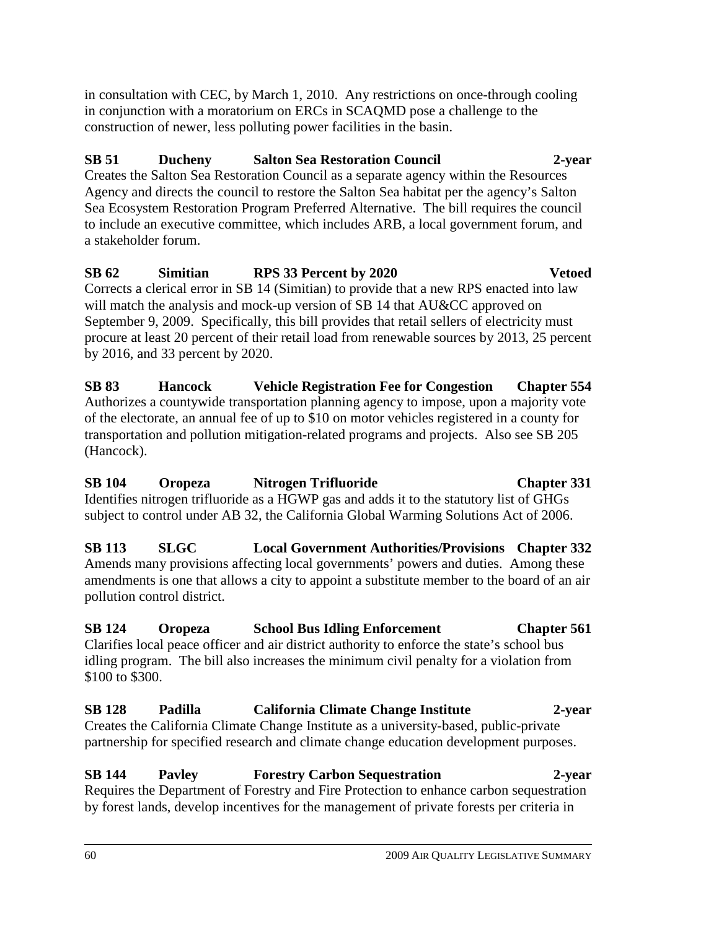in consultation with CEC, by March 1, 2010. Any restrictions on once-through cooling in conjunction with a moratorium on ERCs in SCAQMD pose a challenge to the construction of newer, less polluting power facilities in the basin.

#### **SB 51 Ducheny Salton Sea Restoration Council 2-year**

Creates the Salton Sea Restoration Council as a separate agency within the Resources Agency and directs the council to restore the Salton Sea habitat per the agency's Salton Sea Ecosystem Restoration Program Preferred Alternative. The bill requires the council to include an executive committee, which includes ARB, a local government forum, and a stakeholder forum.

# **SB 62 Simitian RPS 33 Percent by 2020 Vetoed**

Corrects a clerical error in SB 14 (Simitian) to provide that a new RPS enacted into law will match the analysis and mock-up version of SB 14 that AU&CC approved on September 9, 2009. Specifically, this bill provides that retail sellers of electricity must procure at least 20 percent of their retail load from renewable sources by 2013, 25 percent by 2016, and 33 percent by 2020.

**SB 83 Hancock Vehicle Registration Fee for Congestion Chapter 554**  Authorizes a countywide transportation planning agency to impose, upon a majority vote of the electorate, an annual fee of up to \$10 on motor vehicles registered in a county for transportation and pollution mitigation-related programs and projects. Also see SB 205 (Hancock).

**SB 104 Oropeza Nitrogen Trifluoride Chapter 331**  Identifies nitrogen trifluoride as a HGWP gas and adds it to the statutory list of GHGs subject to control under AB 32, the California Global Warming Solutions Act of 2006.

**SB 113 SLGC Local Government Authorities/Provisions Chapter 332**  Amends many provisions affecting local governments' powers and duties. Among these amendments is one that allows a city to appoint a substitute member to the board of an air pollution control district.

# **SB 124 Oropeza School Bus Idling Enforcement Chapter 561**

Clarifies local peace officer and air district authority to enforce the state's school bus idling program. The bill also increases the minimum civil penalty for a violation from \$100 to \$300.

**SB 128 Padilla California Climate Change Institute 2-year**  Creates the California Climate Change Institute as a university-based, public-private partnership for specified research and climate change education development purposes.

### **SB 144 Pavley Forestry Carbon Sequestration 2-year**

Requires the Department of Forestry and Fire Protection to enhance carbon sequestration by forest lands, develop incentives for the management of private forests per criteria in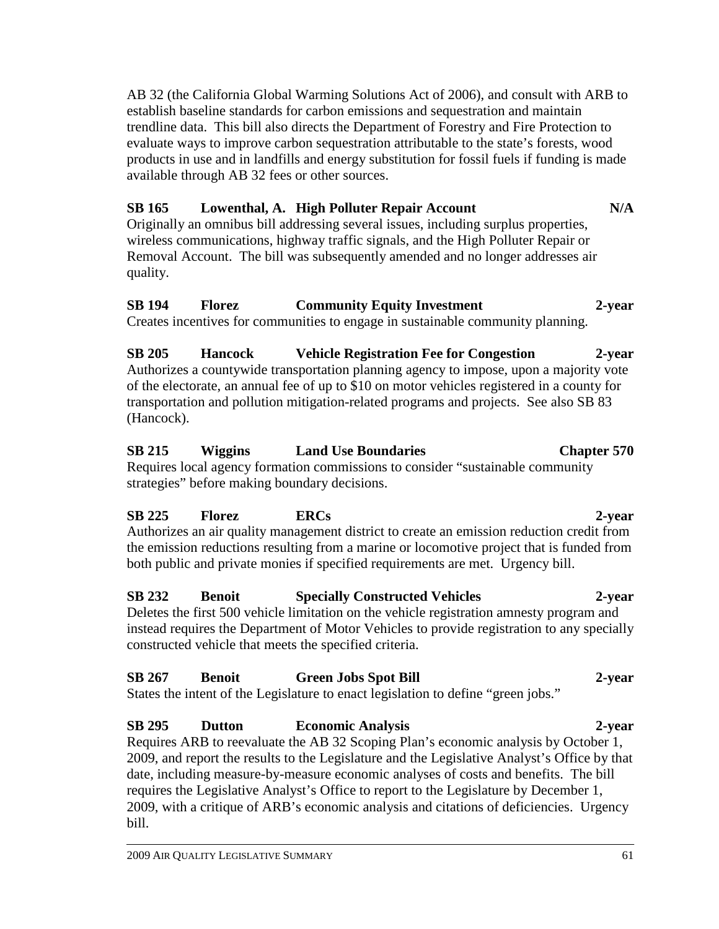AB 32 (the California Global Warming Solutions Act of 2006), and consult with ARB to establish baseline standards for carbon emissions and sequestration and maintain trendline data. This bill also directs the Department of Forestry and Fire Protection to evaluate ways to improve carbon sequestration attributable to the state's forests, wood products in use and in landfills and energy substitution for fossil fuels if funding is made available through AB 32 fees or other sources.

#### **SB 165 Lowenthal, A. High Polluter Repair Account N/A**

Originally an omnibus bill addressing several issues, including surplus properties, wireless communications, highway traffic signals, and the High Polluter Repair or Removal Account. The bill was subsequently amended and no longer addresses air quality.

#### **SB 194 Florez Community Equity Investment 2-year**

Creates incentives for communities to engage in sustainable community planning.

**SB 205 Hancock Vehicle Registration Fee for Congestion 2-year**  Authorizes a countywide transportation planning agency to impose, upon a majority vote of the electorate, an annual fee of up to \$10 on motor vehicles registered in a county for transportation and pollution mitigation-related programs and projects. See also SB 83 (Hancock).

#### **SB 215 Wiggins Land Use Boundaries Chapter 570**  Requires local agency formation commissions to consider "sustainable community strategies" before making boundary decisions.

### **SB 225 Florez ERCs 2-year**

Authorizes an air quality management district to create an emission reduction credit from the emission reductions resulting from a marine or locomotive project that is funded from both public and private monies if specified requirements are met. Urgency bill.

#### **SB 232 Benoit Specially Constructed Vehicles 2-year**

Deletes the first 500 vehicle limitation on the vehicle registration amnesty program and instead requires the Department of Motor Vehicles to provide registration to any specially constructed vehicle that meets the specified criteria.

#### **SB 267 Benoit Green Jobs Spot Bill 2-year**  States the intent of the Legislature to enact legislation to define "green jobs."

# **SB 295 Dutton Economic Analysis 2-year**

Requires ARB to reevaluate the AB 32 Scoping Plan's economic analysis by October 1, 2009, and report the results to the Legislature and the Legislative Analyst's Office by that date, including measure-by-measure economic analyses of costs and benefits. The bill requires the Legislative Analyst's Office to report to the Legislature by December 1, 2009, with a critique of ARB's economic analysis and citations of deficiencies. Urgency bill.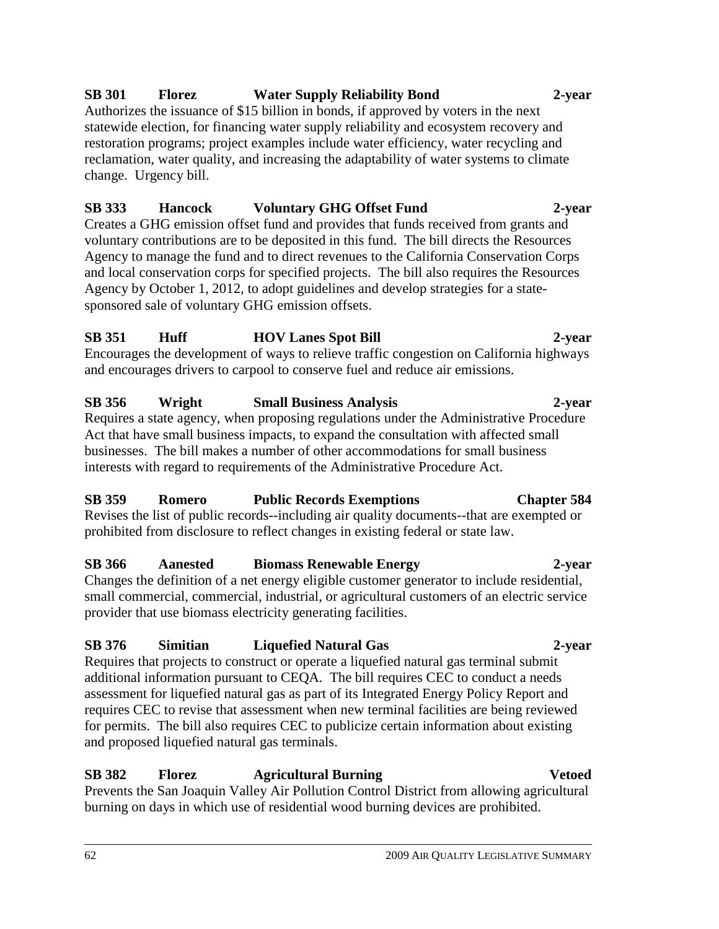#### 62 2009 AIR QUALITY LEGISLATIVE SUMMARY

#### **SB 301 Florez Water Supply Reliability Bond 2-year**

Authorizes the issuance of \$15 billion in bonds, if approved by voters in the next statewide election, for financing water supply reliability and ecosystem recovery and restoration programs; project examples include water efficiency, water recycling and reclamation, water quality, and increasing the adaptability of water systems to climate change. Urgency bill.

#### **SB 333 Hancock Voluntary GHG Offset Fund 2-year**

Creates a GHG emission offset fund and provides that funds received from grants and voluntary contributions are to be deposited in this fund. The bill directs the Resources Agency to manage the fund and to direct revenues to the California Conservation Corps and local conservation corps for specified projects. The bill also requires the Resources Agency by October 1, 2012, to adopt guidelines and develop strategies for a statesponsored sale of voluntary GHG emission offsets.

#### **SB 351 Huff HOV Lanes Spot Bill 2-year**

Encourages the development of ways to relieve traffic congestion on California highways and encourages drivers to carpool to conserve fuel and reduce air emissions.

#### **SB 356 Wright Small Business Analysis 2-year**

Requires a state agency, when proposing regulations under the Administrative Procedure Act that have small business impacts, to expand the consultation with affected small businesses. The bill makes a number of other accommodations for small business interests with regard to requirements of the Administrative Procedure Act.

#### **SB 359 Romero Public Records Exemptions Chapter 584**

Revises the list of public records--including air quality documents--that are exempted or prohibited from disclosure to reflect changes in existing federal or state law.

#### **SB 366 Aanested Biomass Renewable Energy 2-year**

Changes the definition of a net energy eligible customer generator to include residential, small commercial, commercial, industrial, or agricultural customers of an electric service provider that use biomass electricity generating facilities.

#### **SB 376 Simitian Liquefied Natural Gas 2-year**

Requires that projects to construct or operate a liquefied natural gas terminal submit additional information pursuant to CEQA. The bill requires CEC to conduct a needs assessment for liquefied natural gas as part of its Integrated Energy Policy Report and requires CEC to revise that assessment when new terminal facilities are being reviewed for permits. The bill also requires CEC to publicize certain information about existing and proposed liquefied natural gas terminals.

### **SB 382 Florez Agricultural Burning Vetoed**

Prevents the San Joaquin Valley Air Pollution Control District from allowing agricultural burning on days in which use of residential wood burning devices are prohibited.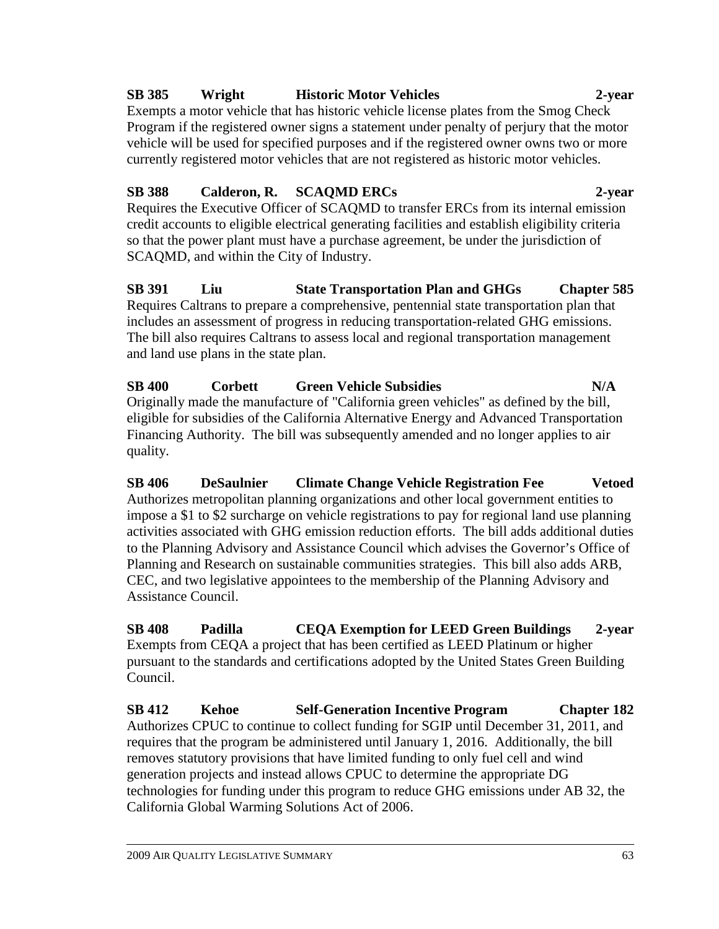#### **SB 385 Wright Historic Motor Vehicles 2-year**

Exempts a motor vehicle that has historic vehicle license plates from the Smog Check Program if the registered owner signs a statement under penalty of perjury that the motor vehicle will be used for specified purposes and if the registered owner owns two or more currently registered motor vehicles that are not registered as historic motor vehicles.

### **SB 388 Calderon, R. SCAQMD ERCs 2-year**

Requires the Executive Officer of SCAQMD to transfer ERCs from its internal emission credit accounts to eligible electrical generating facilities and establish eligibility criteria so that the power plant must have a purchase agreement, be under the jurisdiction of SCAQMD, and within the City of Industry.

**SB 391 Liu State Transportation Plan and GHGs Chapter 585**  Requires Caltrans to prepare a comprehensive, pentennial state transportation plan that includes an assessment of progress in reducing transportation-related GHG emissions. The bill also requires Caltrans to assess local and regional transportation management and land use plans in the state plan.

**SB 400 Corbett Green Vehicle Subsidies N/A**  Originally made the manufacture of "California green vehicles" as defined by the bill, eligible for subsidies of the California Alternative Energy and Advanced Transportation Financing Authority. The bill was subsequently amended and no longer applies to air quality.

**SB 406 DeSaulnier Climate Change Vehicle Registration Fee Vetoed**  Authorizes metropolitan planning organizations and other local government entities to impose a \$1 to \$2 surcharge on vehicle registrations to pay for regional land use planning activities associated with GHG emission reduction efforts. The bill adds additional duties to the Planning Advisory and Assistance Council which advises the Governor's Office of Planning and Research on sustainable communities strategies. This bill also adds ARB, CEC, and two legislative appointees to the membership of the Planning Advisory and Assistance Council.

**SB 408 Padilla CEQA Exemption for LEED Green Buildings 2-year**  Exempts from CEQA a project that has been certified as LEED Platinum or higher pursuant to the standards and certifications adopted by the United States Green Building Council.

**SB 412 Kehoe Self-Generation Incentive Program Chapter 182**  Authorizes CPUC to continue to collect funding for SGIP until December 31, 2011, and requires that the program be administered until January 1, 2016. Additionally, the bill removes statutory provisions that have limited funding to only fuel cell and wind generation projects and instead allows CPUC to determine the appropriate DG technologies for funding under this program to reduce GHG emissions under AB 32, the California Global Warming Solutions Act of 2006.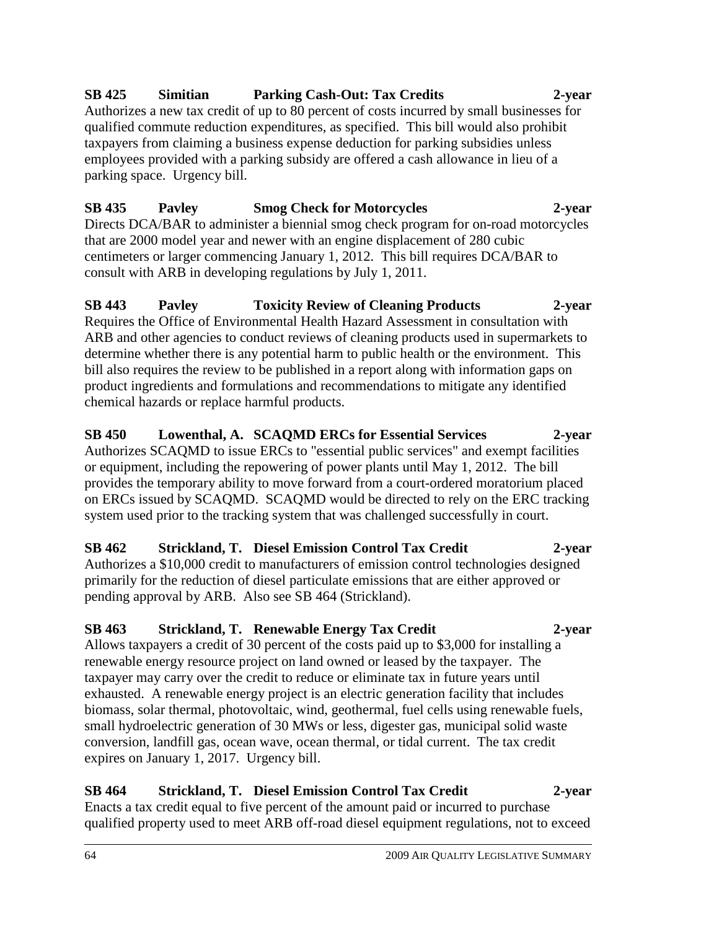## **SB 425 Simitian Parking Cash-Out: Tax Credits 2-year**

Authorizes a new tax credit of up to 80 percent of costs incurred by small businesses for qualified commute reduction expenditures, as specified. This bill would also prohibit taxpayers from claiming a business expense deduction for parking subsidies unless employees provided with a parking subsidy are offered a cash allowance in lieu of a parking space. Urgency bill.

#### **SB 435 Pavley Smog Check for Motorcycles 2-year**  Directs DCA/BAR to administer a biennial smog check program for on-road motorcycles that are 2000 model year and newer with an engine displacement of 280 cubic centimeters or larger commencing January 1, 2012. This bill requires DCA/BAR to consult with ARB in developing regulations by July 1, 2011.

#### **SB 443 Pavley Toxicity Review of Cleaning Products 2-year**  Requires the Office of Environmental Health Hazard Assessment in consultation with ARB and other agencies to conduct reviews of cleaning products used in supermarkets to determine whether there is any potential harm to public health or the environment. This bill also requires the review to be published in a report along with information gaps on product ingredients and formulations and recommendations to mitigate any identified chemical hazards or replace harmful products.

**SB 450 Lowenthal, A. SCAQMD ERCs for Essential Services 2-year**  Authorizes SCAQMD to issue ERCs to "essential public services" and exempt facilities or equipment, including the repowering of power plants until May 1, 2012. The bill provides the temporary ability to move forward from a court-ordered moratorium placed on ERCs issued by SCAQMD. SCAQMD would be directed to rely on the ERC tracking system used prior to the tracking system that was challenged successfully in court.

# **SB 462 Strickland, T. Diesel Emission Control Tax Credit 2-year**

Authorizes a \$10,000 credit to manufacturers of emission control technologies designed primarily for the reduction of diesel particulate emissions that are either approved or pending approval by ARB. Also see SB 464 (Strickland).

# **SB 463 Strickland, T. Renewable Energy Tax Credit 2-year**

Allows taxpayers a credit of 30 percent of the costs paid up to \$3,000 for installing a renewable energy resource project on land owned or leased by the taxpayer. The taxpayer may carry over the credit to reduce or eliminate tax in future years until exhausted. A renewable energy project is an electric generation facility that includes biomass, solar thermal, photovoltaic, wind, geothermal, fuel cells using renewable fuels, small hydroelectric generation of 30 MWs or less, digester gas, municipal solid waste conversion, landfill gas, ocean wave, ocean thermal, or tidal current. The tax credit expires on January 1, 2017. Urgency bill.

#### **SB 464 Strickland, T. Diesel Emission Control Tax Credit 2-year**  Enacts a tax credit equal to five percent of the amount paid or incurred to purchase qualified property used to meet ARB off-road diesel equipment regulations, not to exceed

#### 64 2009 AIR QUALITY LEGISLATIVE SUMMARY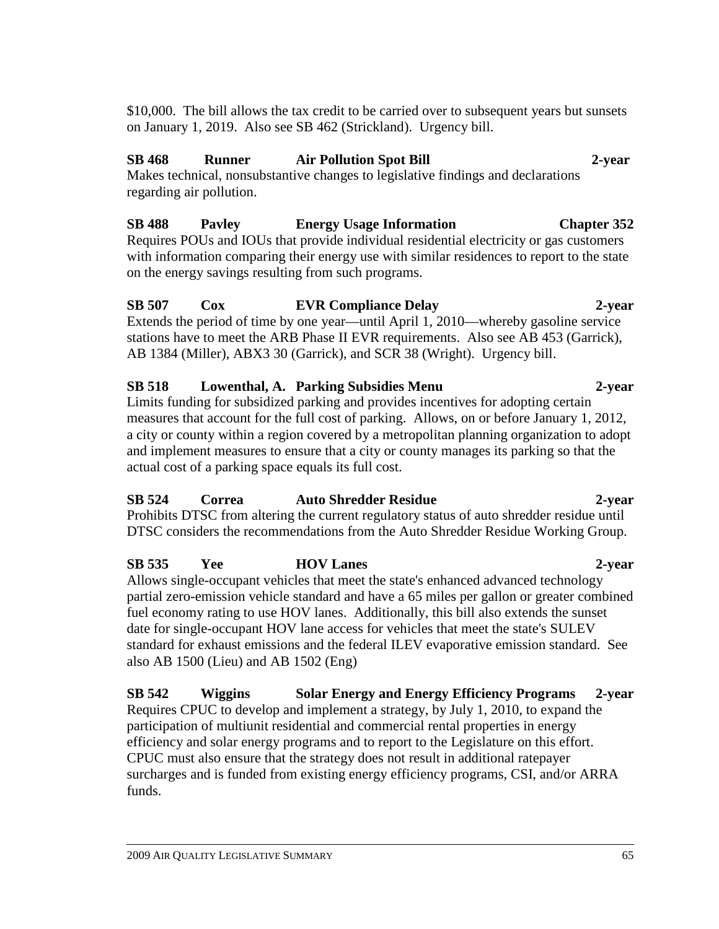\$10,000. The bill allows the tax credit to be carried over to subsequent years but sunsets on January 1, 2019. Also see SB 462 (Strickland). Urgency bill.

#### **SB 468 Runner Air Pollution Spot Bill 2-year**

Makes technical, nonsubstantive changes to legislative findings and declarations regarding air pollution.

## **SB 488 Pavley Energy Usage Information Chapter 352**

Requires POUs and IOUs that provide individual residential electricity or gas customers with information comparing their energy use with similar residences to report to the state on the energy savings resulting from such programs.

### **SB 507 Cox EVR Compliance Delay 2-year**

Extends the period of time by one year—until April 1, 2010—whereby gasoline service stations have to meet the ARB Phase II EVR requirements. Also see AB 453 (Garrick), AB 1384 (Miller), ABX3 30 (Garrick), and SCR 38 (Wright). Urgency bill.

#### **SB 518 Lowenthal, A. Parking Subsidies Menu 2-year**

Limits funding for subsidized parking and provides incentives for adopting certain measures that account for the full cost of parking. Allows, on or before January 1, 2012, a city or county within a region covered by a metropolitan planning organization to adopt and implement measures to ensure that a city or county manages its parking so that the actual cost of a parking space equals its full cost.

#### **SB 524 Correa Auto Shredder Residue 2-year**

Prohibits DTSC from altering the current regulatory status of auto shredder residue until DTSC considers the recommendations from the Auto Shredder Residue Working Group.

# **SB 535 Yee HOV Lanes 2-year**

Allows single-occupant vehicles that meet the state's enhanced advanced technology partial zero-emission vehicle standard and have a 65 miles per gallon or greater combined fuel economy rating to use HOV lanes. Additionally, this bill also extends the sunset date for single-occupant HOV lane access for vehicles that meet the state's SULEV standard for exhaust emissions and the federal ILEV evaporative emission standard. See also AB 1500 (Lieu) and AB 1502 (Eng)

**SB 542 Wiggins Solar Energy and Energy Efficiency Programs 2-year**  Requires CPUC to develop and implement a strategy, by July 1, 2010, to expand the participation of multiunit residential and commercial rental properties in energy efficiency and solar energy programs and to report to the Legislature on this effort. CPUC must also ensure that the strategy does not result in additional ratepayer surcharges and is funded from existing energy efficiency programs, CSI, and/or ARRA funds.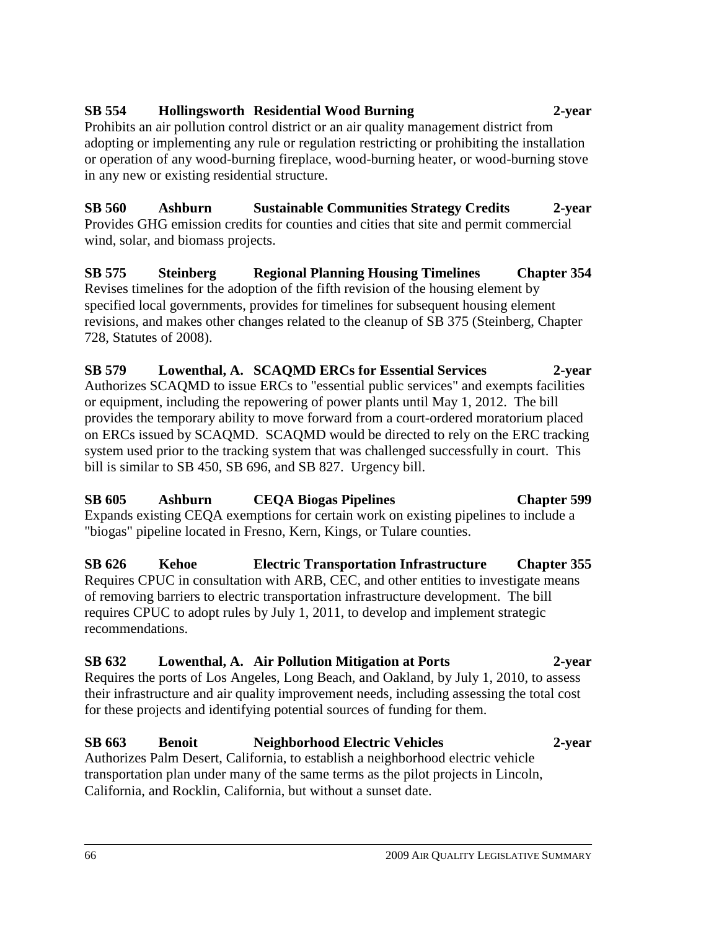#### **SB 554 Hollingsworth Residential Wood Burning 2-year**

Prohibits an air pollution control district or an air quality management district from adopting or implementing any rule or regulation restricting or prohibiting the installation or operation of any wood-burning fireplace, wood-burning heater, or wood-burning stove in any new or existing residential structure.

**SB 560 Ashburn Sustainable Communities Strategy Credits 2-year**  Provides GHG emission credits for counties and cities that site and permit commercial wind, solar, and biomass projects.

**SB 575 Steinberg Regional Planning Housing Timelines Chapter 354**  Revises timelines for the adoption of the fifth revision of the housing element by specified local governments, provides for timelines for subsequent housing element revisions, and makes other changes related to the cleanup of SB 375 (Steinberg, Chapter 728, Statutes of 2008).

**SB 579 Lowenthal, A. SCAQMD ERCs for Essential Services 2-year**  Authorizes SCAQMD to issue ERCs to "essential public services" and exempts facilities or equipment, including the repowering of power plants until May 1, 2012. The bill provides the temporary ability to move forward from a court-ordered moratorium placed on ERCs issued by SCAQMD. SCAQMD would be directed to rely on the ERC tracking system used prior to the tracking system that was challenged successfully in court. This bill is similar to SB 450, SB 696, and SB 827. Urgency bill.

#### **SB 605 Ashburn CEQA Biogas Pipelines Chapter 599**  Expands existing CEQA exemptions for certain work on existing pipelines to include a "biogas" pipeline located in Fresno, Kern, Kings, or Tulare counties.

**SB 626 Kehoe Electric Transportation Infrastructure Chapter 355**  Requires CPUC in consultation with ARB, CEC, and other entities to investigate means of removing barriers to electric transportation infrastructure development. The bill requires CPUC to adopt rules by July 1, 2011, to develop and implement strategic recommendations.

# **SB 632 Lowenthal, A. Air Pollution Mitigation at Ports 2-year**

Requires the ports of Los Angeles, Long Beach, and Oakland, by July 1, 2010, to assess their infrastructure and air quality improvement needs, including assessing the total cost for these projects and identifying potential sources of funding for them.

#### **SB 663 Benoit Neighborhood Electric Vehicles 2-year** Authorizes Palm Desert, California, to establish a neighborhood electric vehicle

transportation plan under many of the same terms as the pilot projects in Lincoln, California, and Rocklin, California, but without a sunset date.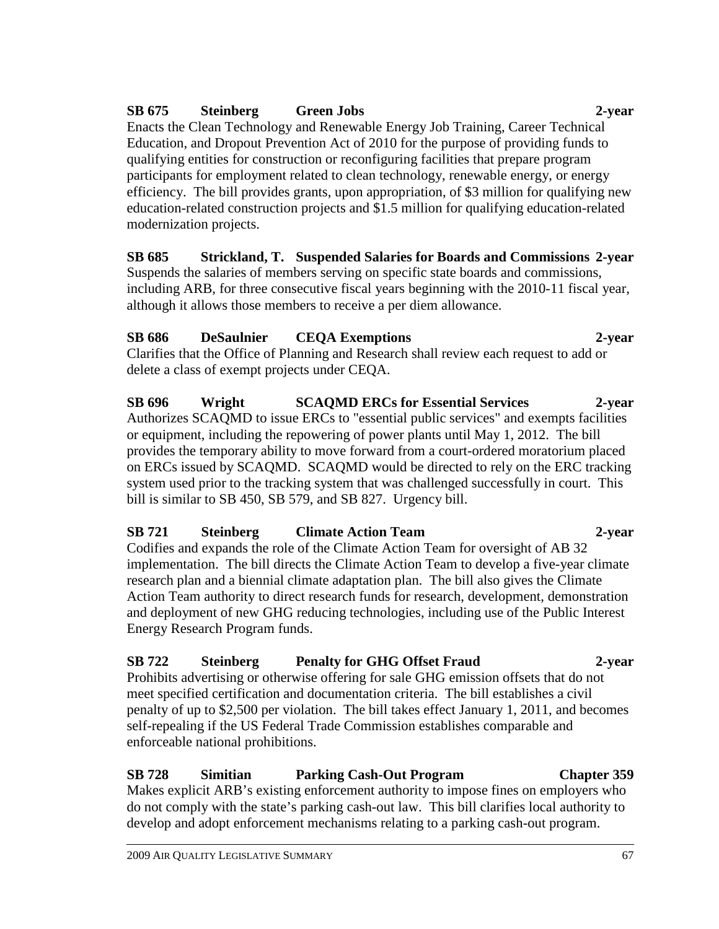### **SB 675 Steinberg Green Jobs 2-year**

Enacts the Clean Technology and Renewable Energy Job Training, Career Technical Education, and Dropout Prevention Act of 2010 for the purpose of providing funds to qualifying entities for construction or reconfiguring facilities that prepare program participants for employment related to clean technology, renewable energy, or energy efficiency. The bill provides grants, upon appropriation, of \$3 million for qualifying new education-related construction projects and \$1.5 million for qualifying education-related modernization projects.

**SB 685 Strickland, T. Suspended Salaries for Boards and Commissions 2-year**  Suspends the salaries of members serving on specific state boards and commissions, including ARB, for three consecutive fiscal years beginning with the 2010-11 fiscal year, although it allows those members to receive a per diem allowance.

### **SB 686 DeSaulnier CEQA Exemptions 2-year**

Clarifies that the Office of Planning and Research shall review each request to add or delete a class of exempt projects under CEQA.

**SB 696 Wright SCAQMD ERCs for Essential Services 2-year**  Authorizes SCAQMD to issue ERCs to "essential public services" and exempts facilities or equipment, including the repowering of power plants until May 1, 2012. The bill provides the temporary ability to move forward from a court-ordered moratorium placed on ERCs issued by SCAQMD. SCAQMD would be directed to rely on the ERC tracking system used prior to the tracking system that was challenged successfully in court. This bill is similar to SB 450, SB 579, and SB 827. Urgency bill.

### **SB 721 Steinberg Climate Action Team 2-year**

Codifies and expands the role of the Climate Action Team for oversight of AB 32 implementation. The bill directs the Climate Action Team to develop a five-year climate research plan and a biennial climate adaptation plan. The bill also gives the Climate Action Team authority to direct research funds for research, development, demonstration and deployment of new GHG reducing technologies, including use of the Public Interest Energy Research Program funds.

### **SB 722 Steinberg Penalty for GHG Offset Fraud 2-year**

Prohibits advertising or otherwise offering for sale GHG emission offsets that do not meet specified certification and documentation criteria. The bill establishes a civil penalty of up to \$2,500 per violation. The bill takes effect January 1, 2011, and becomes self-repealing if the US Federal Trade Commission establishes comparable and enforceable national prohibitions.

### **SB 728 Simitian Parking Cash-Out Program Chapter 359**

Makes explicit ARB's existing enforcement authority to impose fines on employers who do not comply with the state's parking cash-out law. This bill clarifies local authority to develop and adopt enforcement mechanisms relating to a parking cash-out program.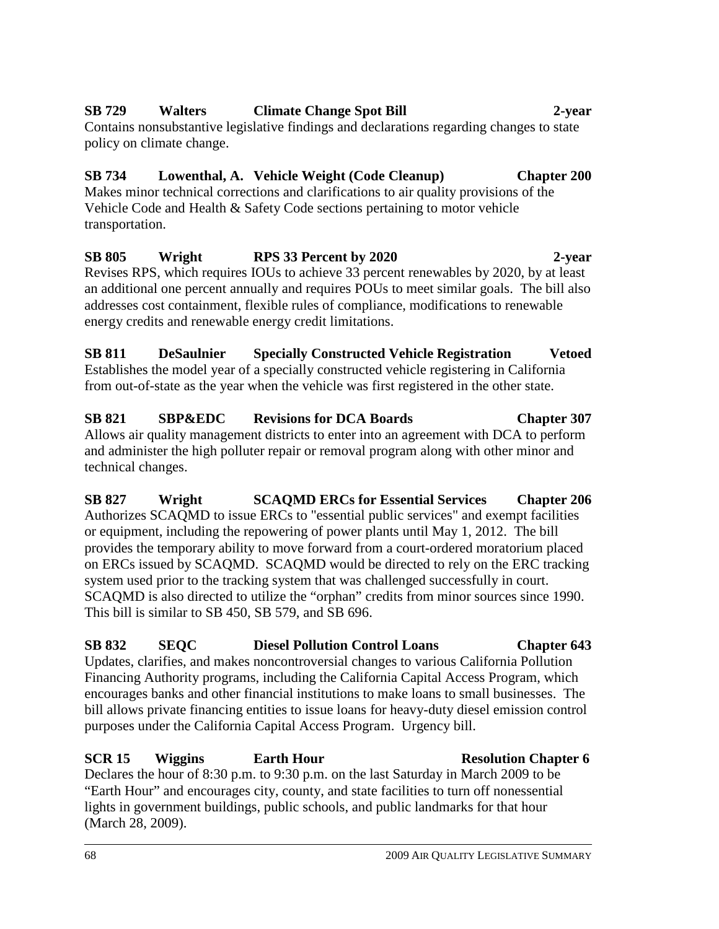# 68 2009 AIR QUALITY LEGISLATIVE SUMMARY

### **SB 729 Walters Climate Change Spot Bill 2-year**

Contains nonsubstantive legislative findings and declarations regarding changes to state policy on climate change.

## **SB 734 Lowenthal, A. Vehicle Weight (Code Cleanup) Chapter 200**

Makes minor technical corrections and clarifications to air quality provisions of the Vehicle Code and Health & Safety Code sections pertaining to motor vehicle transportation.

**SB 805 Wright RPS 33 Percent by 2020 2-year**  Revises RPS, which requires IOUs to achieve 33 percent renewables by 2020, by at least an additional one percent annually and requires POUs to meet similar goals. The bill also addresses cost containment, flexible rules of compliance, modifications to renewable energy credits and renewable energy credit limitations.

**SB 811 DeSaulnier Specially Constructed Vehicle Registration Vetoed**  Establishes the model year of a specially constructed vehicle registering in California from out-of-state as the year when the vehicle was first registered in the other state.

### **SB 821 SBP&EDC Revisions for DCA Boards Chapter 307** Allows air quality management districts to enter into an agreement with DCA to perform and administer the high polluter repair or removal program along with other minor and technical changes.

**SB 827 Wright SCAQMD ERCs for Essential Services Chapter 206**  Authorizes SCAQMD to issue ERCs to "essential public services" and exempt facilities or equipment, including the repowering of power plants until May 1, 2012. The bill provides the temporary ability to move forward from a court-ordered moratorium placed on ERCs issued by SCAQMD. SCAQMD would be directed to rely on the ERC tracking system used prior to the tracking system that was challenged successfully in court. SCAQMD is also directed to utilize the "orphan" credits from minor sources since 1990. This bill is similar to SB 450, SB 579, and SB 696.

## **SB 832 SEQC Diesel Pollution Control Loans Chapter 643**

Updates, clarifies, and makes noncontroversial changes to various California Pollution Financing Authority programs, including the California Capital Access Program, which encourages banks and other financial institutions to make loans to small businesses. The bill allows private financing entities to issue loans for heavy-duty diesel emission control purposes under the California Capital Access Program. Urgency bill.

## **SCR 15** Wiggins **Earth Hour Resolution Chapter 6**

Declares the hour of 8:30 p.m. to 9:30 p.m. on the last Saturday in March 2009 to be "Earth Hour" and encourages city, county, and state facilities to turn off nonessential lights in government buildings, public schools, and public landmarks for that hour (March 28, 2009).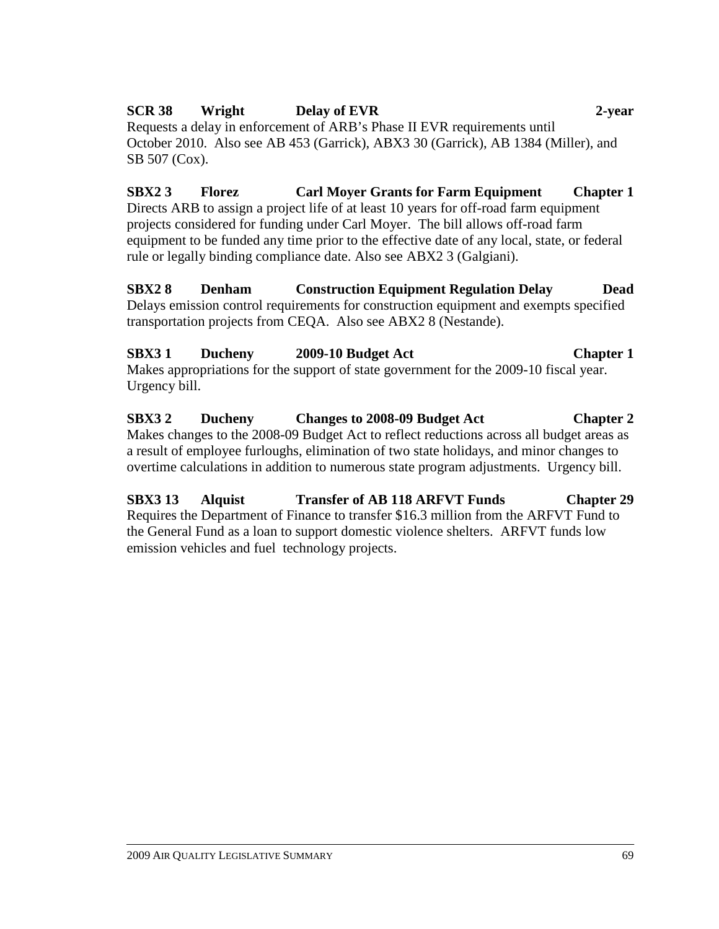### **SCR 38 Wright Delay of EVR 2-year**  Requests a delay in enforcement of ARB's Phase II EVR requirements until October 2010. Also see AB 453 (Garrick), ABX3 30 (Garrick), AB 1384 (Miller), and SB 507 (Cox).

**SBX2 3 Florez Carl Moyer Grants for Farm Equipment Chapter 1**  Directs ARB to assign a project life of at least 10 years for off-road farm equipment projects considered for funding under Carl Moyer. The bill allows off-road farm equipment to be funded any time prior to the effective date of any local, state, or federal rule or legally binding compliance date. Also see ABX2 3 (Galgiani).

**SBX2 8 Denham Construction Equipment Regulation Delay Dead**  Delays emission control requirements for construction equipment and exempts specified transportation projects from CEQA. Also see ABX2 8 (Nestande).

**SBX3 1 Ducheny 2009-10 Budget Act Chapter 1**  Makes appropriations for the support of state government for the 2009-10 fiscal year. Urgency bill.

**SBX3 2 Ducheny Changes to 2008-09 Budget Act Chapter 2**  Makes changes to the 2008-09 Budget Act to reflect reductions across all budget areas as a result of employee furloughs, elimination of two state holidays, and minor changes to overtime calculations in addition to numerous state program adjustments. Urgency bill.

**SBX3 13 Alquist Transfer of AB 118 ARFVT Funds Chapter 29**  Requires the Department of Finance to transfer \$16.3 million from the ARFVT Fund to the General Fund as a loan to support domestic violence shelters. ARFVT funds low emission vehicles and fuel technology projects.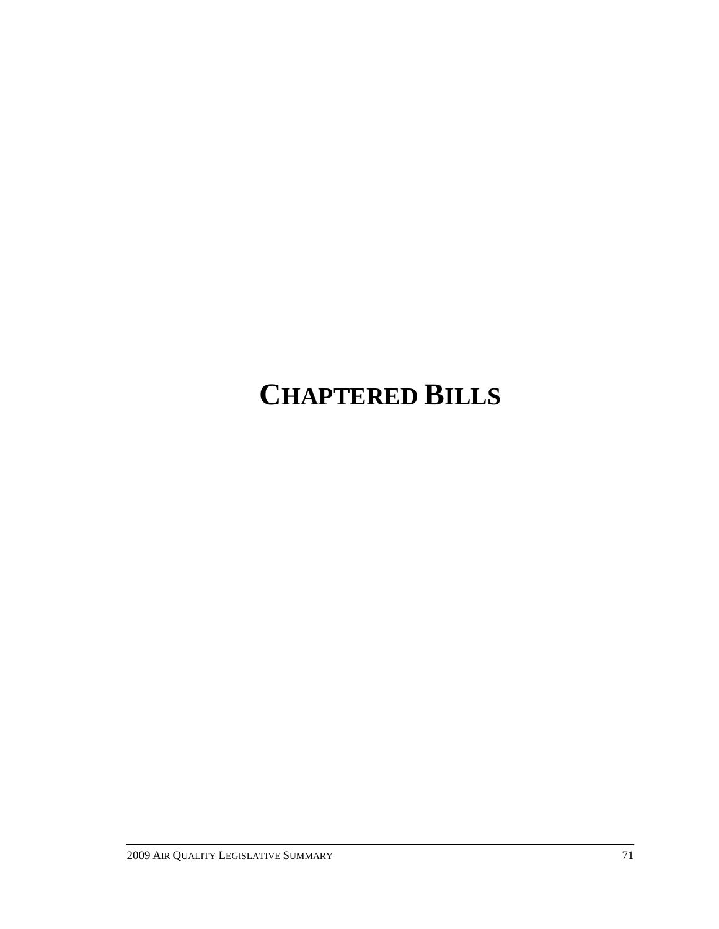# **CHAPTERED BILLS**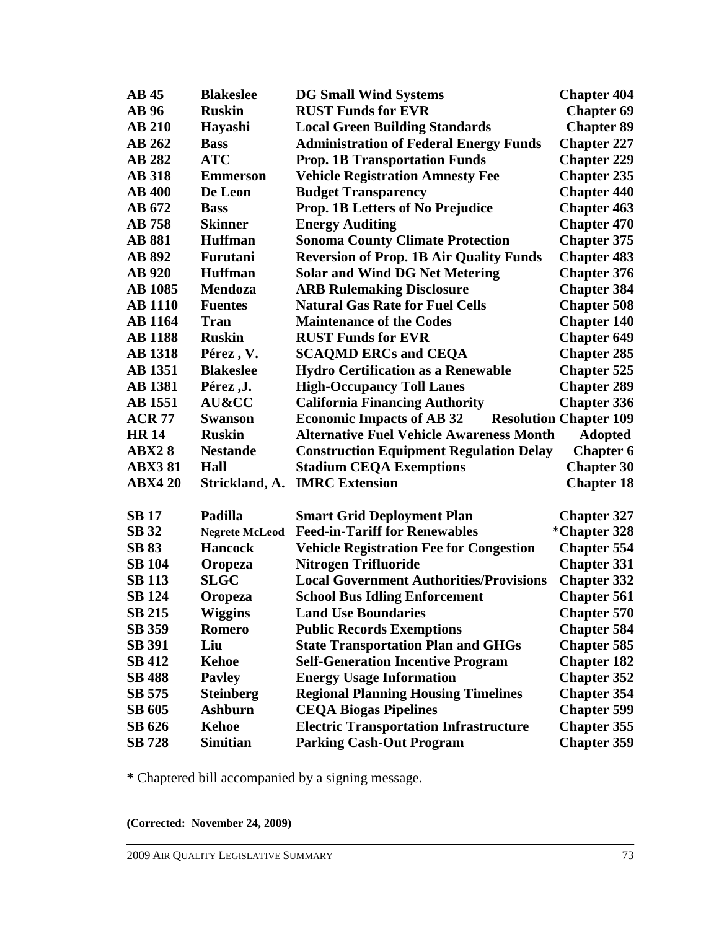| AB45           | <b>Blakeslee</b>      | <b>DG Small Wind Systems</b>                    | <b>Chapter 404</b>            |
|----------------|-----------------------|-------------------------------------------------|-------------------------------|
| <b>AB</b> 96   | <b>Ruskin</b>         | <b>RUST Funds for EVR</b>                       | <b>Chapter 69</b>             |
| <b>AB 210</b>  | Hayashi               | <b>Local Green Building Standards</b>           | <b>Chapter 89</b>             |
| <b>AB 262</b>  | <b>Bass</b>           | <b>Administration of Federal Energy Funds</b>   | <b>Chapter 227</b>            |
| <b>AB 282</b>  | <b>ATC</b>            | <b>Prop. 1B Transportation Funds</b>            | <b>Chapter 229</b>            |
| <b>AB</b> 318  | <b>Emmerson</b>       | <b>Vehicle Registration Amnesty Fee</b>         | <b>Chapter 235</b>            |
| <b>AB 400</b>  | De Leon               | <b>Budget Transparency</b>                      | <b>Chapter 440</b>            |
| AB 672         | <b>Bass</b>           | Prop. 1B Letters of No Prejudice                | <b>Chapter 463</b>            |
| <b>AB</b> 758  | <b>Skinner</b>        | <b>Energy Auditing</b>                          | <b>Chapter 470</b>            |
| <b>AB 881</b>  | <b>Huffman</b>        | <b>Sonoma County Climate Protection</b>         | <b>Chapter 375</b>            |
| <b>AB 892</b>  | Furutani              | <b>Reversion of Prop. 1B Air Quality Funds</b>  | <b>Chapter 483</b>            |
| <b>AB</b> 920  | <b>Huffman</b>        | <b>Solar and Wind DG Net Metering</b>           | <b>Chapter 376</b>            |
| <b>AB</b> 1085 | <b>Mendoza</b>        | <b>ARB Rulemaking Disclosure</b>                | <b>Chapter 384</b>            |
| <b>AB</b> 1110 | <b>Fuentes</b>        | <b>Natural Gas Rate for Fuel Cells</b>          | <b>Chapter 508</b>            |
| <b>AB</b> 1164 | <b>Tran</b>           | <b>Maintenance of the Codes</b>                 | <b>Chapter 140</b>            |
| <b>AB</b> 1188 | <b>Ruskin</b>         | <b>RUST Funds for EVR</b>                       | <b>Chapter 649</b>            |
| <b>AB</b> 1318 | Pérez, V.             | <b>SCAQMD ERCs and CEQA</b>                     | <b>Chapter 285</b>            |
| <b>AB</b> 1351 | <b>Blakeslee</b>      | <b>Hydro Certification as a Renewable</b>       | <b>Chapter 525</b>            |
| <b>AB</b> 1381 | Pérez ,J.             | <b>High-Occupancy Toll Lanes</b>                | <b>Chapter 289</b>            |
| <b>AB</b> 1551 | AU&CC                 | <b>California Financing Authority</b>           | <b>Chapter 336</b>            |
| <b>ACR 77</b>  | <b>Swanson</b>        | <b>Economic Impacts of AB 32</b>                | <b>Resolution Chapter 109</b> |
| <b>HR14</b>    | <b>Ruskin</b>         | <b>Alternative Fuel Vehicle Awareness Month</b> | <b>Adopted</b>                |
| <b>ABX28</b>   | <b>Nestande</b>       | <b>Construction Equipment Regulation Delay</b>  | <b>Chapter 6</b>              |
| <b>ABX381</b>  | Hall                  | <b>Stadium CEQA Exemptions</b>                  | <b>Chapter 30</b>             |
| <b>ABX4 20</b> | Strickland, A.        | <b>IMRC</b> Extension                           | <b>Chapter 18</b>             |
|                |                       |                                                 |                               |
| <b>SB</b> 17   | Padilla               | <b>Smart Grid Deployment Plan</b>               | <b>Chapter 327</b>            |
| <b>SB</b> 32   | <b>Negrete McLeod</b> | <b>Feed-in-Tariff for Renewables</b>            | *Chapter 328                  |
| <b>SB 83</b>   | <b>Hancock</b>        | <b>Vehicle Registration Fee for Congestion</b>  | <b>Chapter 554</b>            |
| <b>SB 104</b>  | Oropeza               | <b>Nitrogen Trifluoride</b>                     | <b>Chapter 331</b>            |
| <b>SB 113</b>  | <b>SLGC</b>           | <b>Local Government Authorities/Provisions</b>  | <b>Chapter 332</b>            |
| <b>SB 124</b>  | Oropeza               | <b>School Bus Idling Enforcement</b>            | <b>Chapter 561</b>            |
| <b>SB 215</b>  | <b>Wiggins</b>        | <b>Land Use Boundaries</b>                      | <b>Chapter 570</b>            |
| SB 359         | Romero                | <b>Public Records Exemptions</b>                | <b>Chapter 584</b>            |
| <b>SB 391</b>  | Liu                   | <b>State Transportation Plan and GHGs</b>       | <b>Chapter 585</b>            |
| <b>SB 412</b>  | <b>Kehoe</b>          | <b>Self-Generation Incentive Program</b>        | <b>Chapter 182</b>            |
| <b>SB 488</b>  | <b>Payley</b>         | <b>Energy Usage Information</b>                 | <b>Chapter 352</b>            |
| <b>SB 575</b>  | <b>Steinberg</b>      | <b>Regional Planning Housing Timelines</b>      | <b>Chapter 354</b>            |
| SB 605         | <b>Ashburn</b>        | <b>CEQA Biogas Pipelines</b>                    | <b>Chapter 599</b>            |
| SB 626         | Kehoe                 | <b>Electric Transportation Infrastructure</b>   | <b>Chapter 355</b>            |
| <b>SB</b> 728  | <b>Simitian</b>       | <b>Parking Cash-Out Program</b>                 | <b>Chapter 359</b>            |

**\*** Chaptered bill accompanied by a signing message.

**(Corrected: November 24, 2009)**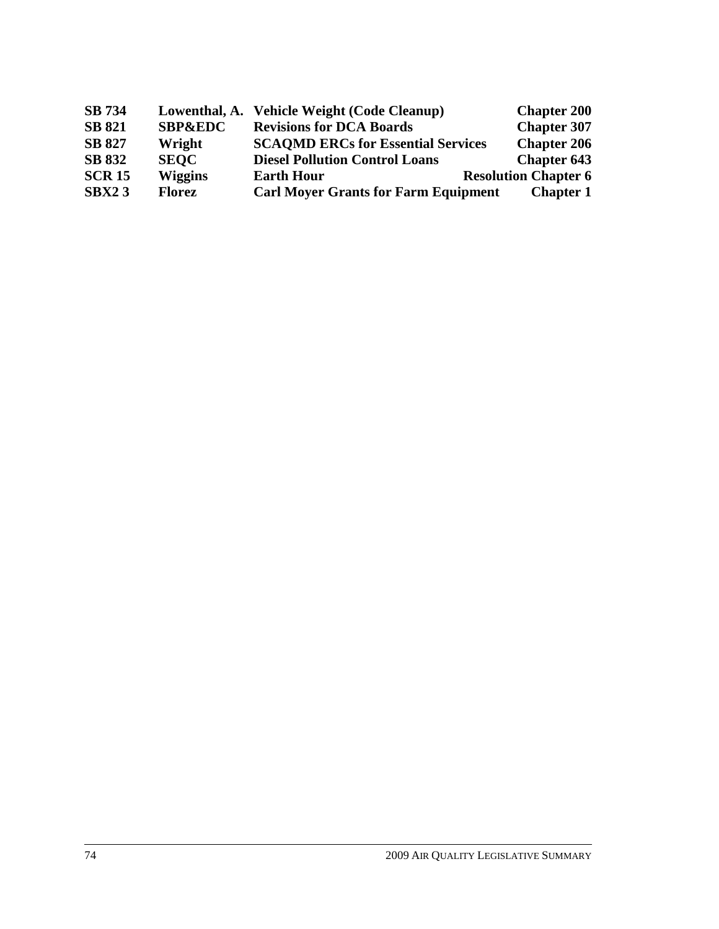| <b>SB</b> 734 | Lowenthal, A.      | <b>Vehicle Weight (Code Cleanup)</b>        | <b>Chapter 200</b>          |
|---------------|--------------------|---------------------------------------------|-----------------------------|
| <b>SB 821</b> | <b>SBP&amp;EDC</b> | <b>Revisions for DCA Boards</b>             | <b>Chapter 307</b>          |
| <b>SB 827</b> | Wright             | <b>SCAOMD ERCs for Essential Services</b>   | <b>Chapter 206</b>          |
| <b>SB 832</b> | <b>SEOC</b>        | <b>Diesel Pollution Control Loans</b>       | <b>Chapter 643</b>          |
| <b>SCR 15</b> | <b>Wiggins</b>     | <b>Earth Hour</b>                           | <b>Resolution Chapter 6</b> |
| SBX23         | <b>Florez</b>      | <b>Carl Moyer Grants for Farm Equipment</b> | <b>Chapter 1</b>            |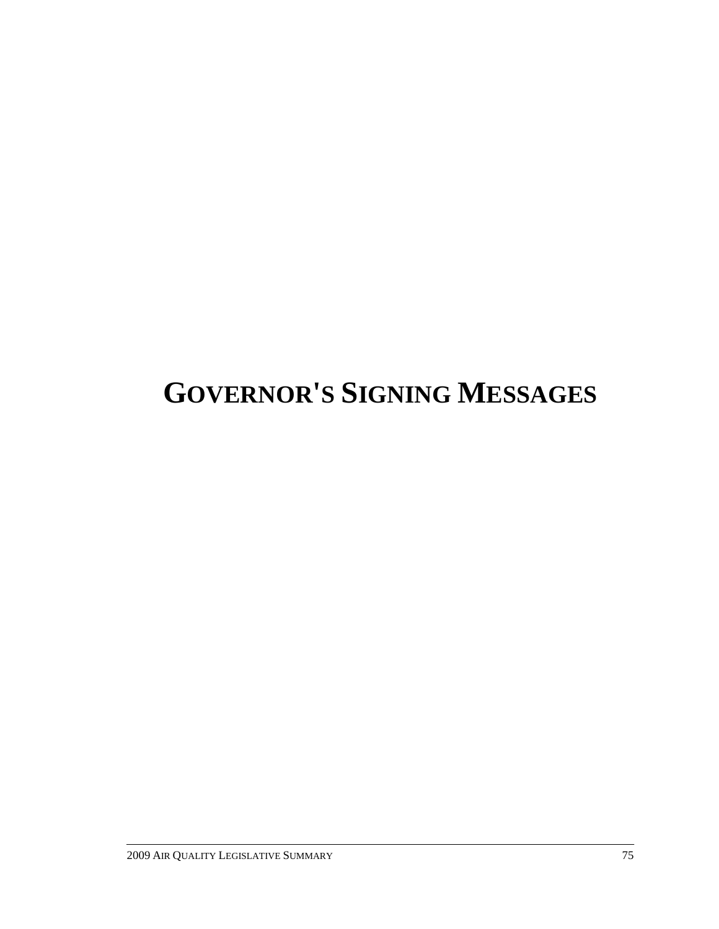# **GOVERNOR'S SIGNING MESSAGES**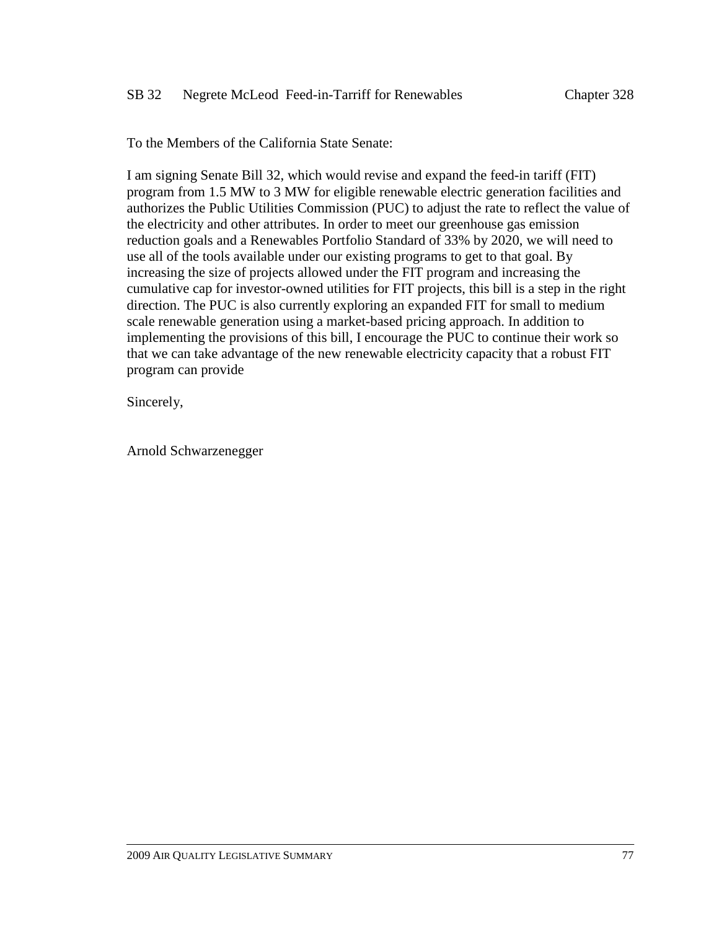To the Members of the California State Senate:

I am signing Senate Bill 32, which would revise and expand the feed-in tariff (FIT) program from 1.5 MW to 3 MW for eligible renewable electric generation facilities and authorizes the Public Utilities Commission (PUC) to adjust the rate to reflect the value of the electricity and other attributes. In order to meet our greenhouse gas emission reduction goals and a Renewables Portfolio Standard of 33% by 2020, we will need to use all of the tools available under our existing programs to get to that goal. By increasing the size of projects allowed under the FIT program and increasing the cumulative cap for investor-owned utilities for FIT projects, this bill is a step in the right direction. The PUC is also currently exploring an expanded FIT for small to medium scale renewable generation using a market-based pricing approach. In addition to implementing the provisions of this bill, I encourage the PUC to continue their work so that we can take advantage of the new renewable electricity capacity that a robust FIT program can provide

Sincerely,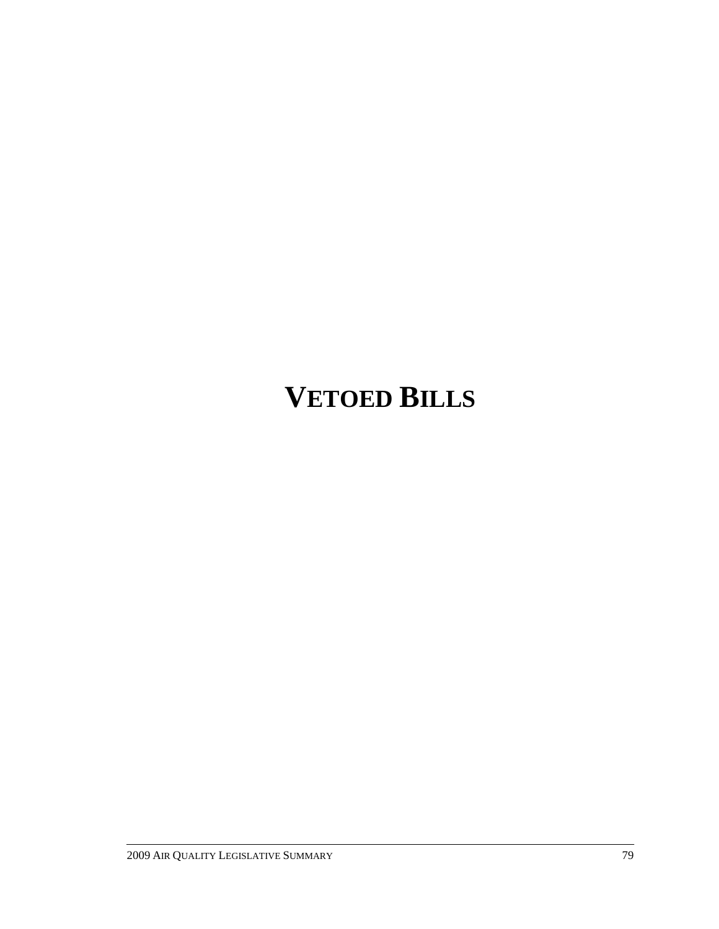# **VETOED BILLS**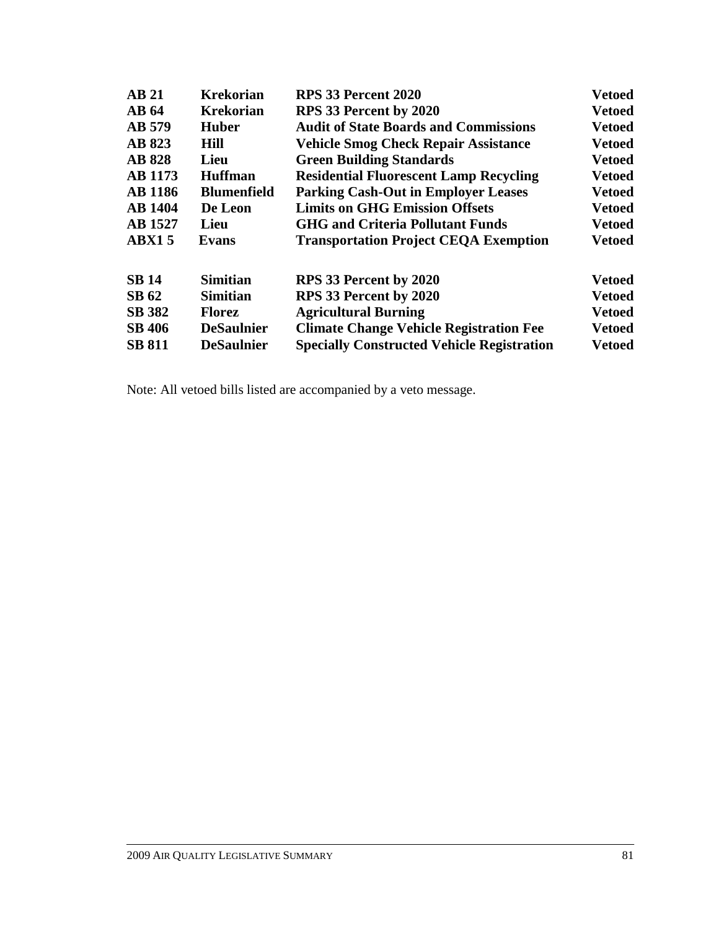| <b>AB 21</b>   | <b>Krekorian</b>   | <b>RPS 33 Percent 2020</b>                        | <b>Vetoed</b> |
|----------------|--------------------|---------------------------------------------------|---------------|
| <b>AB</b> 64   | <b>Krekorian</b>   | RPS 33 Percent by 2020                            | <b>Vetoed</b> |
| AB 579         | <b>Huber</b>       | <b>Audit of State Boards and Commissions</b>      | <b>Vetoed</b> |
| <b>AB 823</b>  | Hill               | <b>Vehicle Smog Check Repair Assistance</b>       | <b>Vetoed</b> |
| <b>AB 828</b>  | Lieu               | <b>Green Building Standards</b>                   | <b>Vetoed</b> |
| <b>AB</b> 1173 | <b>Huffman</b>     | <b>Residential Fluorescent Lamp Recycling</b>     | <b>Vetoed</b> |
| <b>AB</b> 1186 | <b>Blumenfield</b> | <b>Parking Cash-Out in Employer Leases</b>        | <b>Vetoed</b> |
| <b>AB</b> 1404 | De Leon            | <b>Limits on GHG Emission Offsets</b>             | <b>Vetoed</b> |
| <b>AB</b> 1527 | Lieu               | <b>GHG and Criteria Pollutant Funds</b>           | <b>Vetoed</b> |
| <b>ABX15</b>   | Evans              | <b>Transportation Project CEQA Exemption</b>      | <b>Vetoed</b> |
| <b>SB 14</b>   | <b>Simitian</b>    | RPS 33 Percent by 2020                            | <b>Vetoed</b> |
| <b>SB 62</b>   | <b>Simitian</b>    | RPS 33 Percent by 2020                            | <b>Vetoed</b> |
| <b>SB 382</b>  | <b>Florez</b>      | <b>Agricultural Burning</b>                       | <b>Vetoed</b> |
| <b>SB 406</b>  | <b>DeSaulnier</b>  | <b>Climate Change Vehicle Registration Fee</b>    | <b>Vetoed</b> |
| <b>SB 811</b>  | <b>DeSaulnier</b>  | <b>Specially Constructed Vehicle Registration</b> | <b>Vetoed</b> |

Note: All vetoed bills listed are accompanied by a veto message.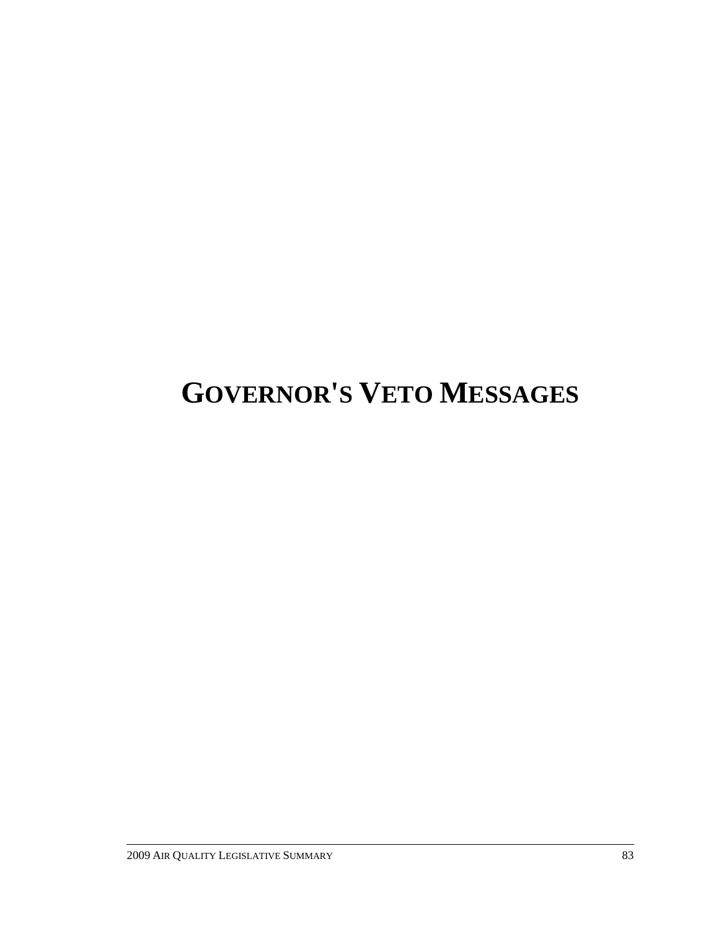# **GOVERNOR'S VETO MESSAGES**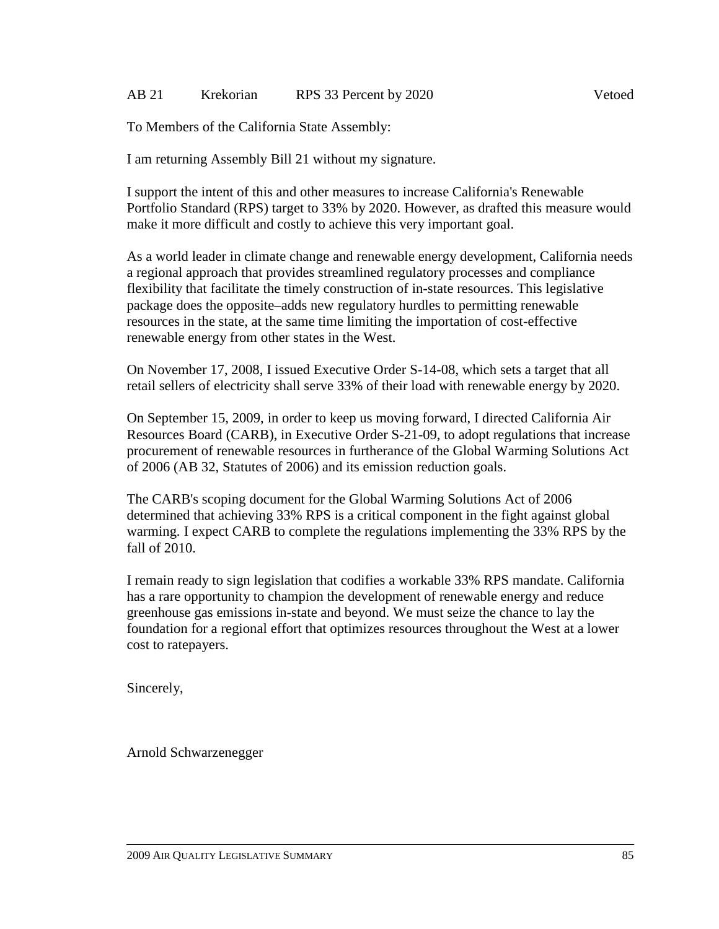### AB 21 Krekorian RPS 33 Percent by 2020

To Members of the California State Assembly:

I am returning Assembly Bill 21 without my signature.

I support the intent of this and other measures to increase California's Renewable Portfolio Standard (RPS) target to 33% by 2020. However, as drafted this measure would make it more difficult and costly to achieve this very important goal.

As a world leader in climate change and renewable energy development, California needs a regional approach that provides streamlined regulatory processes and compliance flexibility that facilitate the timely construction of in-state resources. This legislative package does the opposite–adds new regulatory hurdles to permitting renewable resources in the state, at the same time limiting the importation of cost-effective renewable energy from other states in the West.

On November 17, 2008, I issued Executive Order S-14-08, which sets a target that all retail sellers of electricity shall serve 33% of their load with renewable energy by 2020.

On September 15, 2009, in order to keep us moving forward, I directed California Air Resources Board (CARB), in Executive Order S-21-09, to adopt regulations that increase procurement of renewable resources in furtherance of the Global Warming Solutions Act of 2006 (AB 32, Statutes of 2006) and its emission reduction goals.

The CARB's scoping document for the Global Warming Solutions Act of 2006 determined that achieving 33% RPS is a critical component in the fight against global warming. I expect CARB to complete the regulations implementing the 33% RPS by the fall of 2010.

I remain ready to sign legislation that codifies a workable 33% RPS mandate. California has a rare opportunity to champion the development of renewable energy and reduce greenhouse gas emissions in-state and beyond. We must seize the chance to lay the foundation for a regional effort that optimizes resources throughout the West at a lower cost to ratepayers.

Sincerely,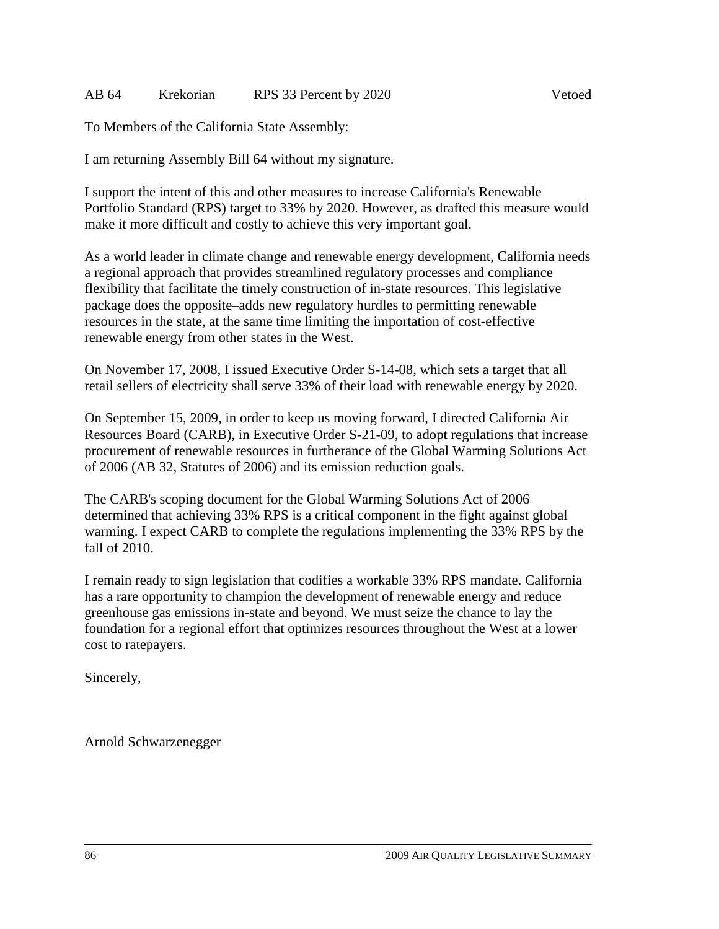### AB 64 Krekorian RPS 33 Percent by 2020 Vetoed

To Members of the California State Assembly:

I am returning Assembly Bill 64 without my signature.

I support the intent of this and other measures to increase California's Renewable Portfolio Standard (RPS) target to 33% by 2020. However, as drafted this measure would make it more difficult and costly to achieve this very important goal.

As a world leader in climate change and renewable energy development, California needs a regional approach that provides streamlined regulatory processes and compliance flexibility that facilitate the timely construction of in-state resources. This legislative package does the opposite–adds new regulatory hurdles to permitting renewable resources in the state, at the same time limiting the importation of cost-effective renewable energy from other states in the West.

On November 17, 2008, I issued Executive Order S-14-08, which sets a target that all retail sellers of electricity shall serve 33% of their load with renewable energy by 2020.

On September 15, 2009, in order to keep us moving forward, I directed California Air Resources Board (CARB), in Executive Order S-21-09, to adopt regulations that increase procurement of renewable resources in furtherance of the Global Warming Solutions Act of 2006 (AB 32, Statutes of 2006) and its emission reduction goals.

The CARB's scoping document for the Global Warming Solutions Act of 2006 determined that achieving 33% RPS is a critical component in the fight against global warming. I expect CARB to complete the regulations implementing the 33% RPS by the fall of 2010.

I remain ready to sign legislation that codifies a workable 33% RPS mandate. California has a rare opportunity to champion the development of renewable energy and reduce greenhouse gas emissions in-state and beyond. We must seize the chance to lay the foundation for a regional effort that optimizes resources throughout the West at a lower cost to ratepayers.

Sincerely,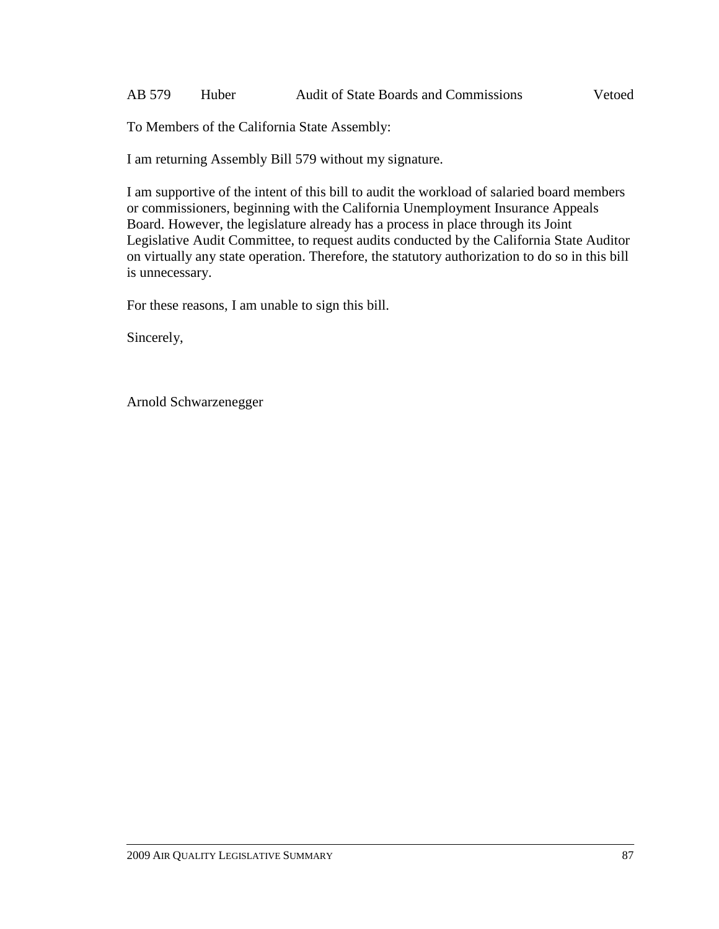I am returning Assembly Bill 579 without my signature.

I am supportive of the intent of this bill to audit the workload of salaried board members or commissioners, beginning with the California Unemployment Insurance Appeals Board. However, the legislature already has a process in place through its Joint Legislative Audit Committee, to request audits conducted by the California State Auditor on virtually any state operation. Therefore, the statutory authorization to do so in this bill is unnecessary.

For these reasons, I am unable to sign this bill.

Sincerely,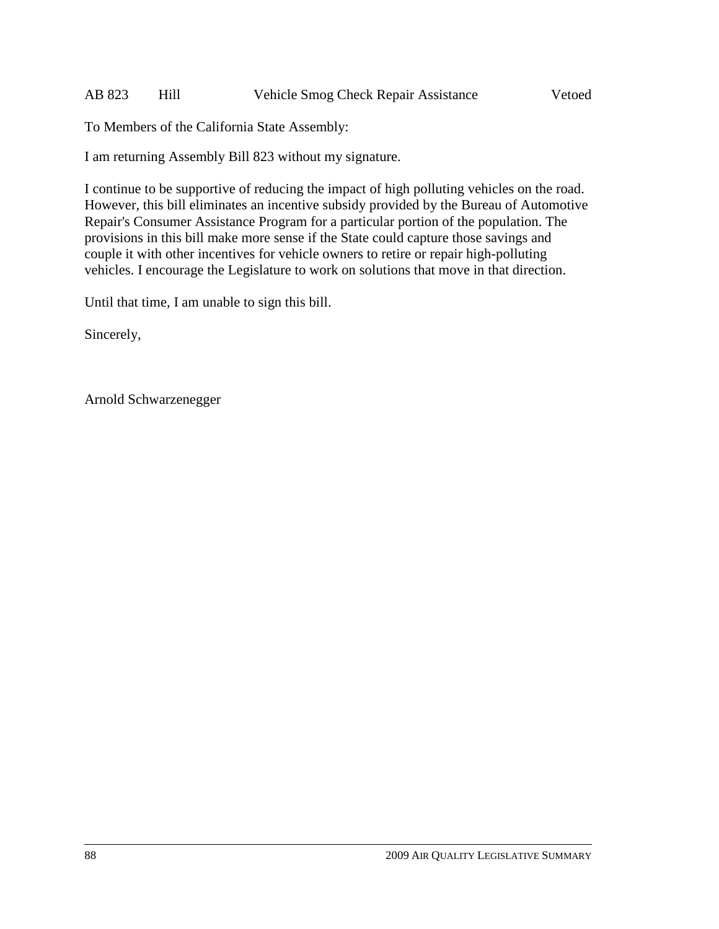I am returning Assembly Bill 823 without my signature.

I continue to be supportive of reducing the impact of high polluting vehicles on the road. However, this bill eliminates an incentive subsidy provided by the Bureau of Automotive Repair's Consumer Assistance Program for a particular portion of the population. The provisions in this bill make more sense if the State could capture those savings and couple it with other incentives for vehicle owners to retire or repair high-polluting vehicles. I encourage the Legislature to work on solutions that move in that direction.

Until that time, I am unable to sign this bill.

Sincerely,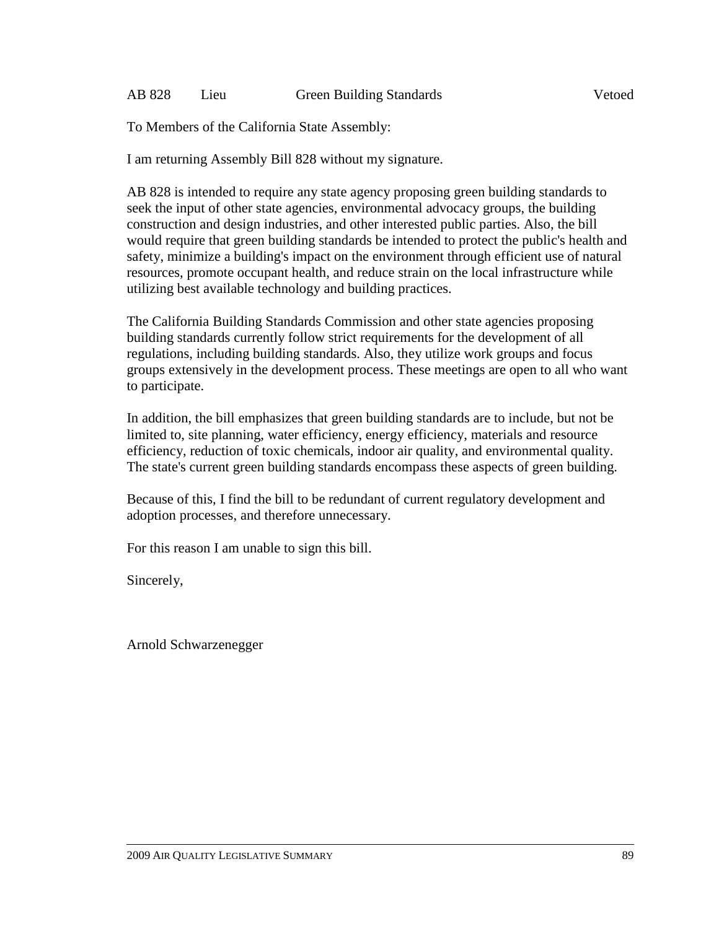I am returning Assembly Bill 828 without my signature.

AB 828 is intended to require any state agency proposing green building standards to seek the input of other state agencies, environmental advocacy groups, the building construction and design industries, and other interested public parties. Also, the bill would require that green building standards be intended to protect the public's health and safety, minimize a building's impact on the environment through efficient use of natural resources, promote occupant health, and reduce strain on the local infrastructure while utilizing best available technology and building practices.

The California Building Standards Commission and other state agencies proposing building standards currently follow strict requirements for the development of all regulations, including building standards. Also, they utilize work groups and focus groups extensively in the development process. These meetings are open to all who want to participate.

In addition, the bill emphasizes that green building standards are to include, but not be limited to, site planning, water efficiency, energy efficiency, materials and resource efficiency, reduction of toxic chemicals, indoor air quality, and environmental quality. The state's current green building standards encompass these aspects of green building.

Because of this, I find the bill to be redundant of current regulatory development and adoption processes, and therefore unnecessary.

For this reason I am unable to sign this bill.

Sincerely,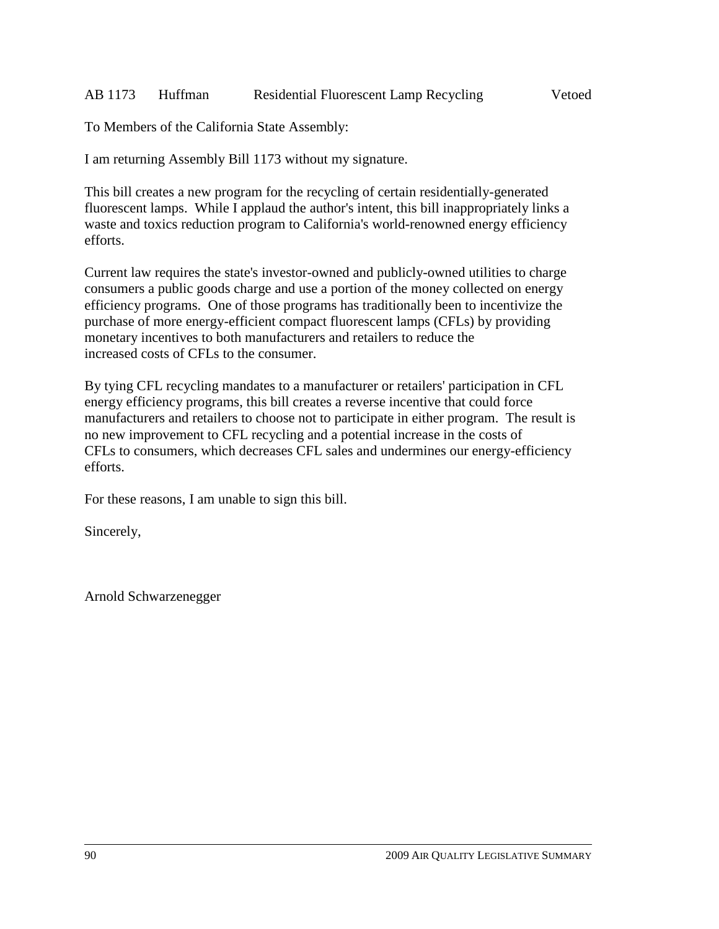### AB 1173 Huffman Residential Fluorescent Lamp Recycling Vetoed

To Members of the California State Assembly:

I am returning Assembly Bill 1173 without my signature.

This bill creates a new program for the recycling of certain residentially-generated fluorescent lamps. While I applaud the author's intent, this bill inappropriately links a waste and toxics reduction program to California's world-renowned energy efficiency efforts.

Current law requires the state's investor-owned and publicly-owned utilities to charge consumers a public goods charge and use a portion of the money collected on energy efficiency programs. One of those programs has traditionally been to incentivize the purchase of more energy-efficient compact fluorescent lamps (CFLs) by providing monetary incentives to both manufacturers and retailers to reduce the increased costs of CFLs to the consumer.

By tying CFL recycling mandates to a manufacturer or retailers' participation in CFL energy efficiency programs, this bill creates a reverse incentive that could force manufacturers and retailers to choose not to participate in either program. The result is no new improvement to CFL recycling and a potential increase in the costs of CFLs to consumers, which decreases CFL sales and undermines our energy-efficiency efforts.

For these reasons, I am unable to sign this bill.

Sincerely,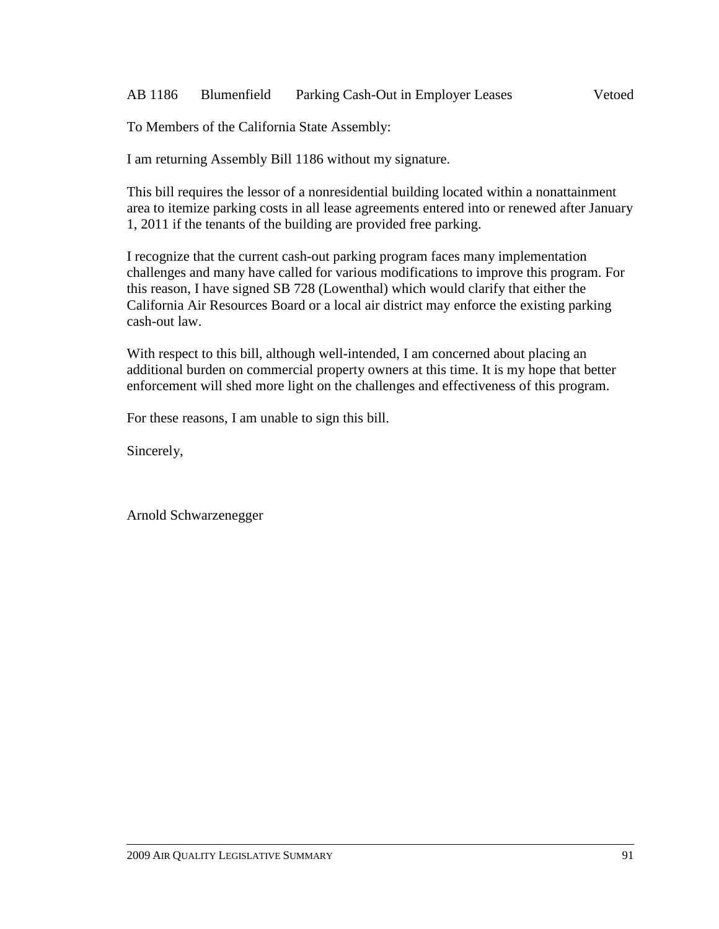### AB 1186 Blumenfield Parking Cash-Out in Employer Leases Vetoed

To Members of the California State Assembly:

I am returning Assembly Bill 1186 without my signature.

This bill requires the lessor of a nonresidential building located within a nonattainment area to itemize parking costs in all lease agreements entered into or renewed after January 1, 2011 if the tenants of the building are provided free parking.

I recognize that the current cash-out parking program faces many implementation challenges and many have called for various modifications to improve this program. For this reason, I have signed SB 728 (Lowenthal) which would clarify that either the California Air Resources Board or a local air district may enforce the existing parking cash-out law.

With respect to this bill, although well-intended, I am concerned about placing an additional burden on commercial property owners at this time. It is my hope that better enforcement will shed more light on the challenges and effectiveness of this program.

For these reasons, I am unable to sign this bill.

Sincerely,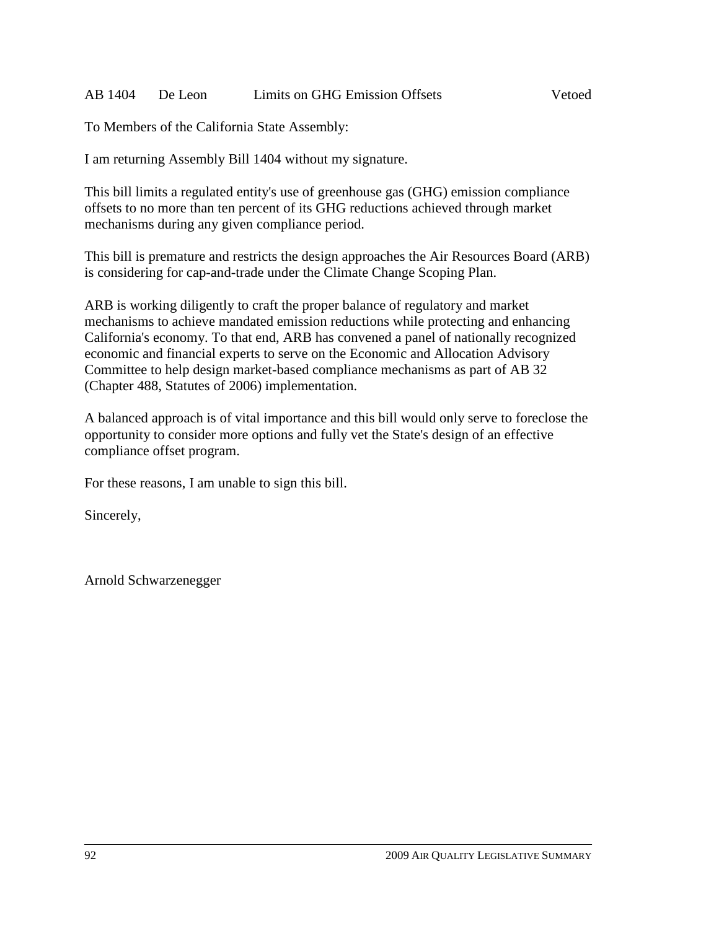### AB 1404 De Leon Limits on GHG Emission Offsets Vetoed

To Members of the California State Assembly:

I am returning Assembly Bill 1404 without my signature.

This bill limits a regulated entity's use of greenhouse gas (GHG) emission compliance offsets to no more than ten percent of its GHG reductions achieved through market mechanisms during any given compliance period.

This bill is premature and restricts the design approaches the Air Resources Board (ARB) is considering for cap-and-trade under the Climate Change Scoping Plan.

ARB is working diligently to craft the proper balance of regulatory and market mechanisms to achieve mandated emission reductions while protecting and enhancing California's economy. To that end, ARB has convened a panel of nationally recognized economic and financial experts to serve on the Economic and Allocation Advisory Committee to help design market-based compliance mechanisms as part of AB 32 (Chapter 488, Statutes of 2006) implementation.

A balanced approach is of vital importance and this bill would only serve to foreclose the opportunity to consider more options and fully vet the State's design of an effective compliance offset program.

For these reasons, I am unable to sign this bill.

Sincerely,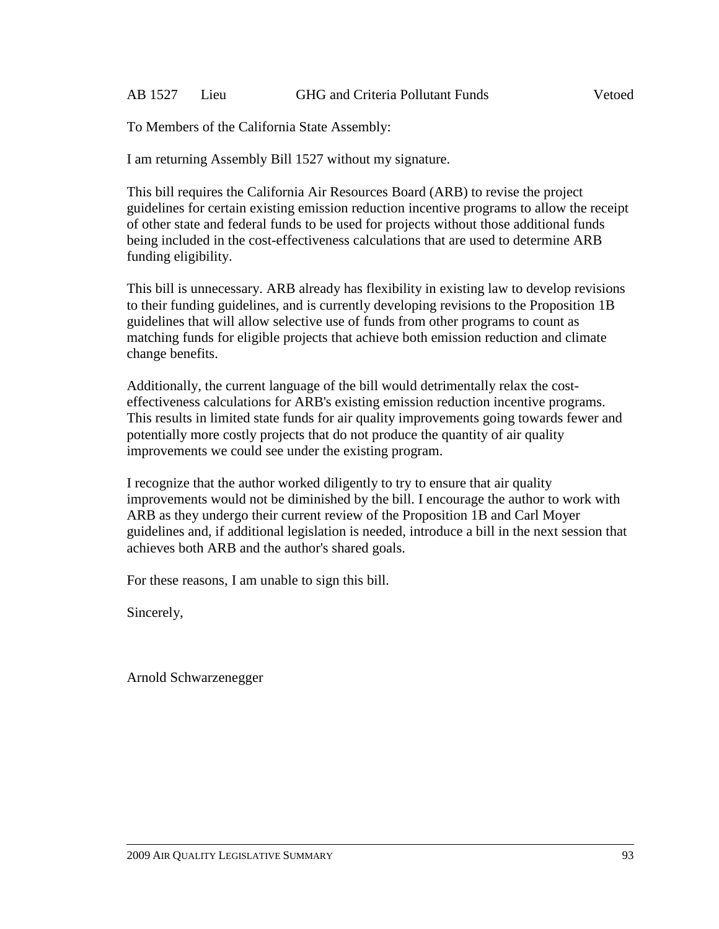I am returning Assembly Bill 1527 without my signature.

This bill requires the California Air Resources Board (ARB) to revise the project guidelines for certain existing emission reduction incentive programs to allow the receipt of other state and federal funds to be used for projects without those additional funds being included in the cost-effectiveness calculations that are used to determine ARB funding eligibility.

This bill is unnecessary. ARB already has flexibility in existing law to develop revisions to their funding guidelines, and is currently developing revisions to the Proposition 1B guidelines that will allow selective use of funds from other programs to count as matching funds for eligible projects that achieve both emission reduction and climate change benefits.

Additionally, the current language of the bill would detrimentally relax the costeffectiveness calculations for ARB's existing emission reduction incentive programs. This results in limited state funds for air quality improvements going towards fewer and potentially more costly projects that do not produce the quantity of air quality improvements we could see under the existing program.

I recognize that the author worked diligently to try to ensure that air quality improvements would not be diminished by the bill. I encourage the author to work with ARB as they undergo their current review of the Proposition 1B and Carl Moyer guidelines and, if additional legislation is needed, introduce a bill in the next session that achieves both ARB and the author's shared goals.

For these reasons, I am unable to sign this bill.

Sincerely,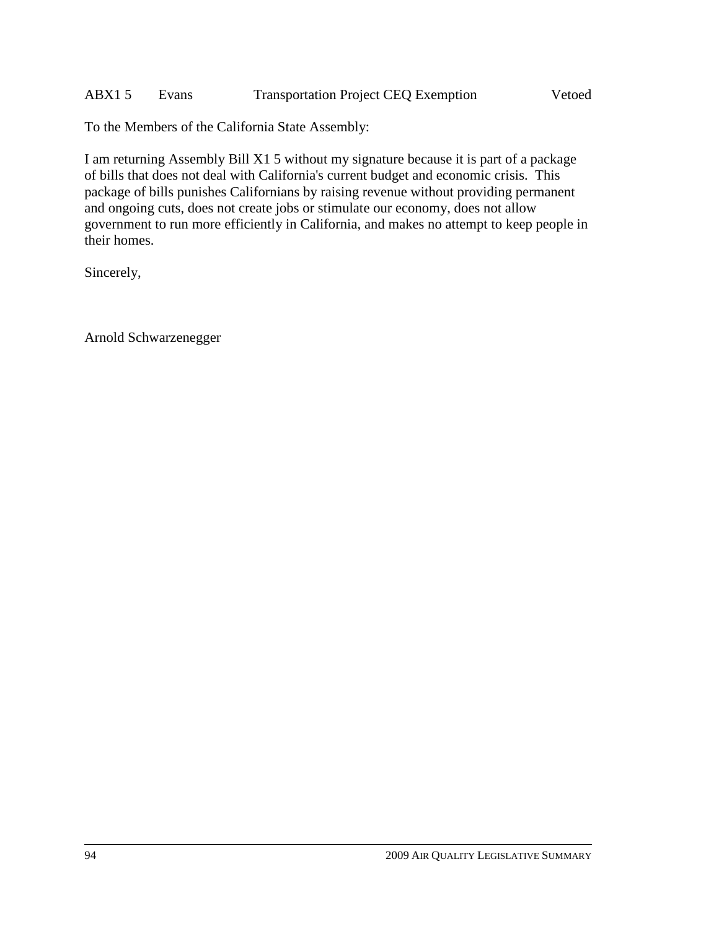### ABX1 5 Evans Transportation Project CEQ Exemption Vetoed

To the Members of the California State Assembly:

I am returning Assembly Bill X1 5 without my signature because it is part of a package of bills that does not deal with California's current budget and economic crisis. This package of bills punishes Californians by raising revenue without providing permanent and ongoing cuts, does not create jobs or stimulate our economy, does not allow government to run more efficiently in California, and makes no attempt to keep people in their homes.

Sincerely,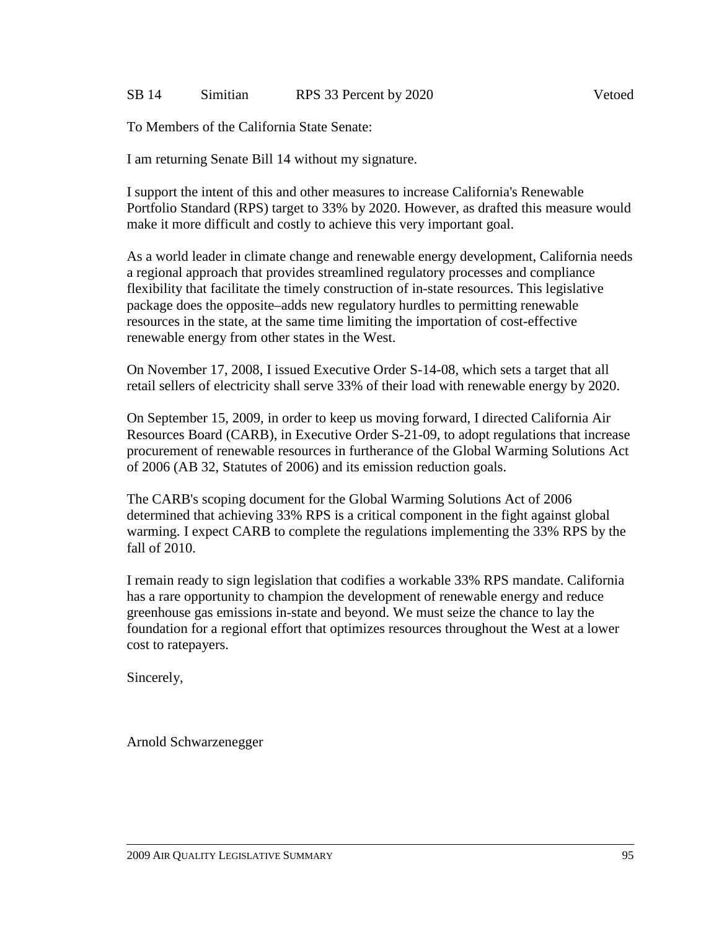#### SB 14 Simitian RPS 33 Percent by 2020

To Members of the California State Senate:

I am returning Senate Bill 14 without my signature.

I support the intent of this and other measures to increase California's Renewable Portfolio Standard (RPS) target to 33% by 2020. However, as drafted this measure would make it more difficult and costly to achieve this very important goal.

As a world leader in climate change and renewable energy development, California needs a regional approach that provides streamlined regulatory processes and compliance flexibility that facilitate the timely construction of in-state resources. This legislative package does the opposite–adds new regulatory hurdles to permitting renewable resources in the state, at the same time limiting the importation of cost-effective renewable energy from other states in the West.

On November 17, 2008, I issued Executive Order S-14-08, which sets a target that all retail sellers of electricity shall serve 33% of their load with renewable energy by 2020.

On September 15, 2009, in order to keep us moving forward, I directed California Air Resources Board (CARB), in Executive Order S-21-09, to adopt regulations that increase procurement of renewable resources in furtherance of the Global Warming Solutions Act of 2006 (AB 32, Statutes of 2006) and its emission reduction goals.

The CARB's scoping document for the Global Warming Solutions Act of 2006 determined that achieving 33% RPS is a critical component in the fight against global warming. I expect CARB to complete the regulations implementing the 33% RPS by the fall of 2010.

I remain ready to sign legislation that codifies a workable 33% RPS mandate. California has a rare opportunity to champion the development of renewable energy and reduce greenhouse gas emissions in-state and beyond. We must seize the chance to lay the foundation for a regional effort that optimizes resources throughout the West at a lower cost to ratepayers.

Sincerely,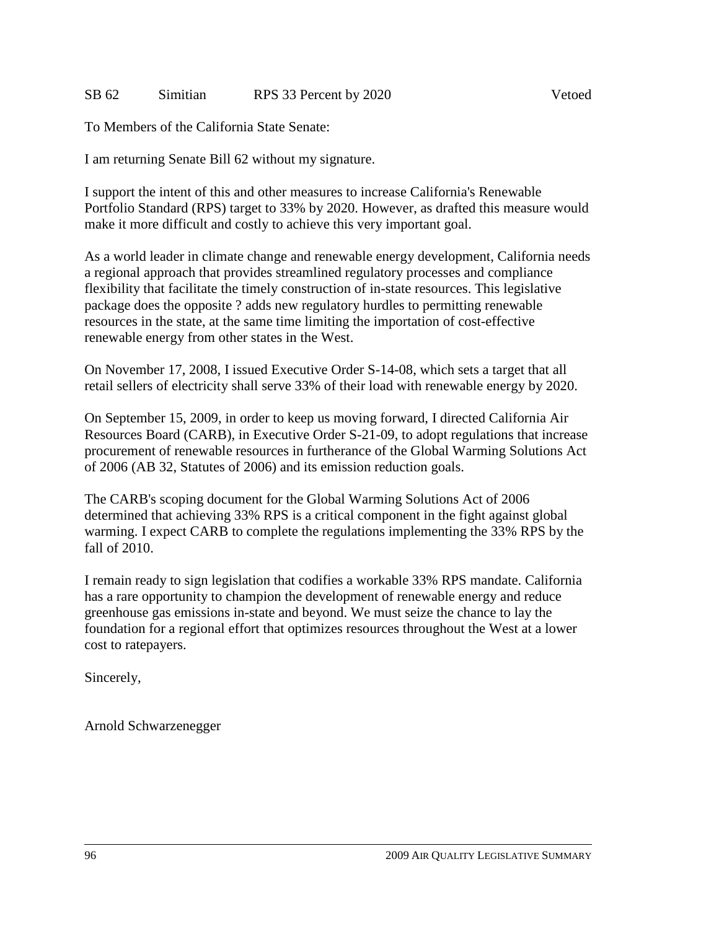### SB 62 Simitian RPS 33 Percent by 2020

To Members of the California State Senate:

I am returning Senate Bill 62 without my signature.

I support the intent of this and other measures to increase California's Renewable Portfolio Standard (RPS) target to 33% by 2020. However, as drafted this measure would make it more difficult and costly to achieve this very important goal.

As a world leader in climate change and renewable energy development, California needs a regional approach that provides streamlined regulatory processes and compliance flexibility that facilitate the timely construction of in-state resources. This legislative package does the opposite ? adds new regulatory hurdles to permitting renewable resources in the state, at the same time limiting the importation of cost-effective renewable energy from other states in the West.

On November 17, 2008, I issued Executive Order S-14-08, which sets a target that all retail sellers of electricity shall serve 33% of their load with renewable energy by 2020.

On September 15, 2009, in order to keep us moving forward, I directed California Air Resources Board (CARB), in Executive Order S-21-09, to adopt regulations that increase procurement of renewable resources in furtherance of the Global Warming Solutions Act of 2006 (AB 32, Statutes of 2006) and its emission reduction goals.

The CARB's scoping document for the Global Warming Solutions Act of 2006 determined that achieving 33% RPS is a critical component in the fight against global warming. I expect CARB to complete the regulations implementing the 33% RPS by the fall of 2010.

I remain ready to sign legislation that codifies a workable 33% RPS mandate. California has a rare opportunity to champion the development of renewable energy and reduce greenhouse gas emissions in-state and beyond. We must seize the chance to lay the foundation for a regional effort that optimizes resources throughout the West at a lower cost to ratepayers.

Sincerely,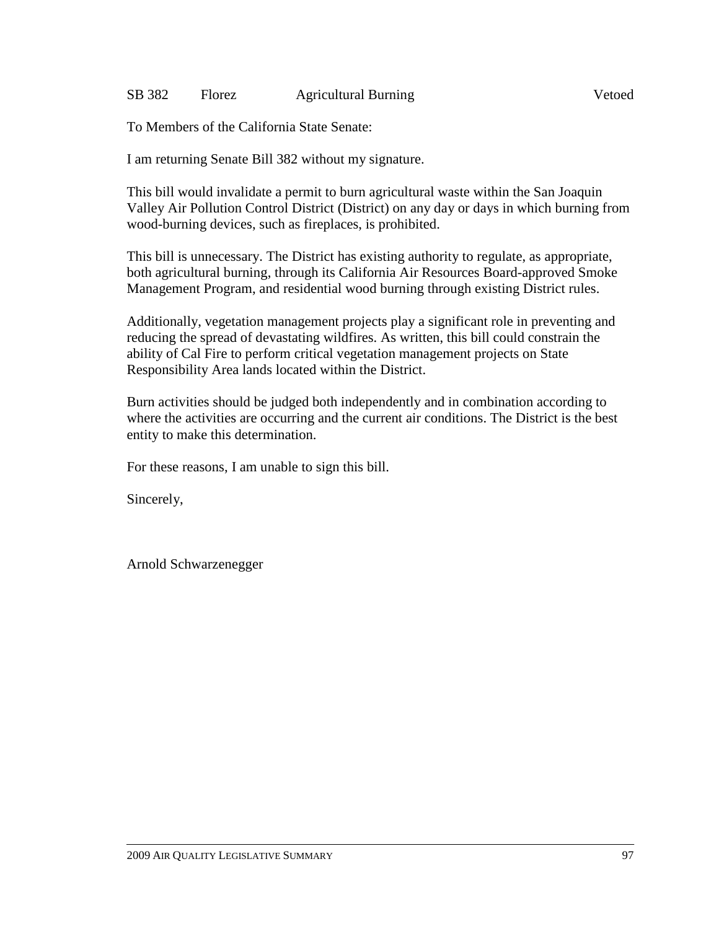### SB 382 Florez Agricultural Burning Vetoed

To Members of the California State Senate:

I am returning Senate Bill 382 without my signature.

This bill would invalidate a permit to burn agricultural waste within the San Joaquin Valley Air Pollution Control District (District) on any day or days in which burning from wood-burning devices, such as fireplaces, is prohibited.

This bill is unnecessary. The District has existing authority to regulate, as appropriate, both agricultural burning, through its California Air Resources Board-approved Smoke Management Program, and residential wood burning through existing District rules.

Additionally, vegetation management projects play a significant role in preventing and reducing the spread of devastating wildfires. As written, this bill could constrain the ability of Cal Fire to perform critical vegetation management projects on State Responsibility Area lands located within the District.

Burn activities should be judged both independently and in combination according to where the activities are occurring and the current air conditions. The District is the best entity to make this determination.

For these reasons, I am unable to sign this bill.

Sincerely,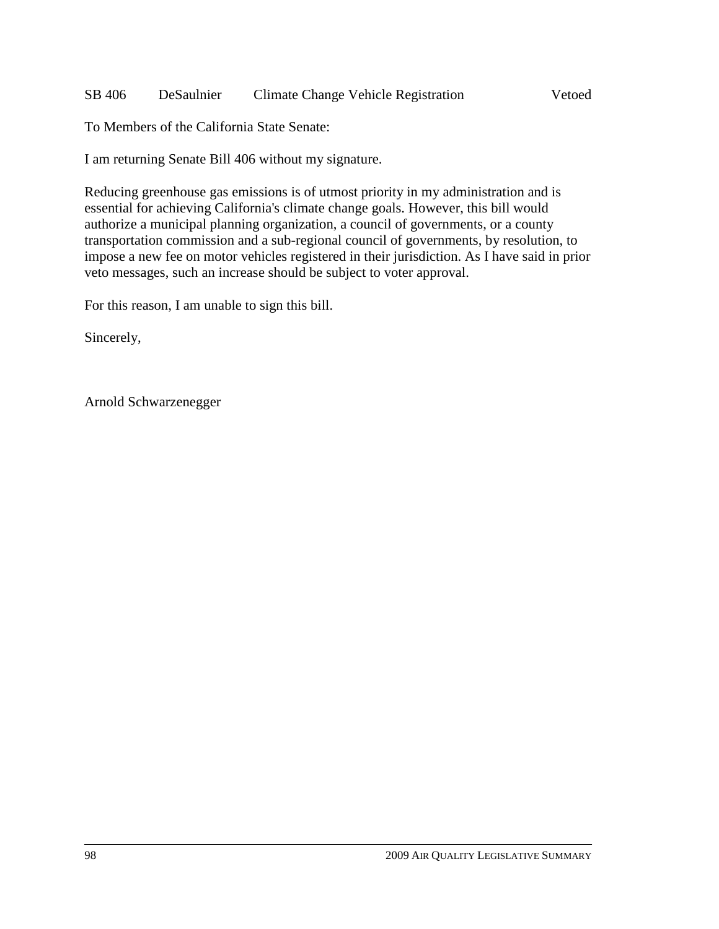### SB 406 DeSaulnier Climate Change Vehicle Registration Vetoed

To Members of the California State Senate:

I am returning Senate Bill 406 without my signature.

Reducing greenhouse gas emissions is of utmost priority in my administration and is essential for achieving California's climate change goals. However, this bill would authorize a municipal planning organization, a council of governments, or a county transportation commission and a sub-regional council of governments, by resolution, to impose a new fee on motor vehicles registered in their jurisdiction. As I have said in prior veto messages, such an increase should be subject to voter approval.

For this reason, I am unable to sign this bill.

Sincerely,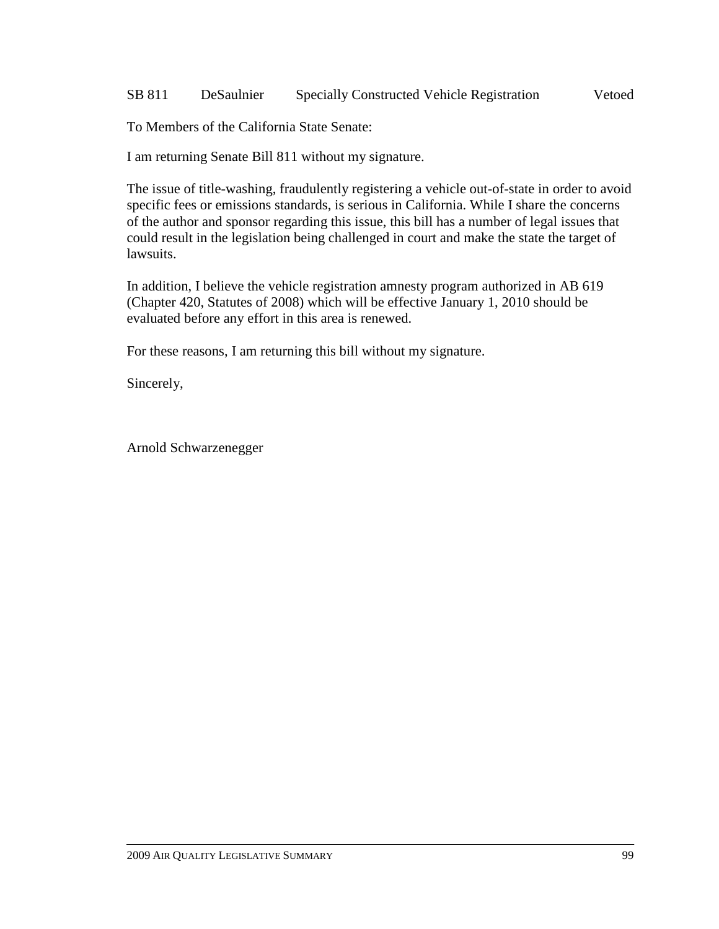### SB 811 DeSaulnier Specially Constructed Vehicle Registration Vetoed

To Members of the California State Senate:

I am returning Senate Bill 811 without my signature.

The issue of title-washing, fraudulently registering a vehicle out-of-state in order to avoid specific fees or emissions standards, is serious in California. While I share the concerns of the author and sponsor regarding this issue, this bill has a number of legal issues that could result in the legislation being challenged in court and make the state the target of lawsuits.

In addition, I believe the vehicle registration amnesty program authorized in AB 619 (Chapter 420, Statutes of 2008) which will be effective January 1, 2010 should be evaluated before any effort in this area is renewed.

For these reasons, I am returning this bill without my signature.

Sincerely,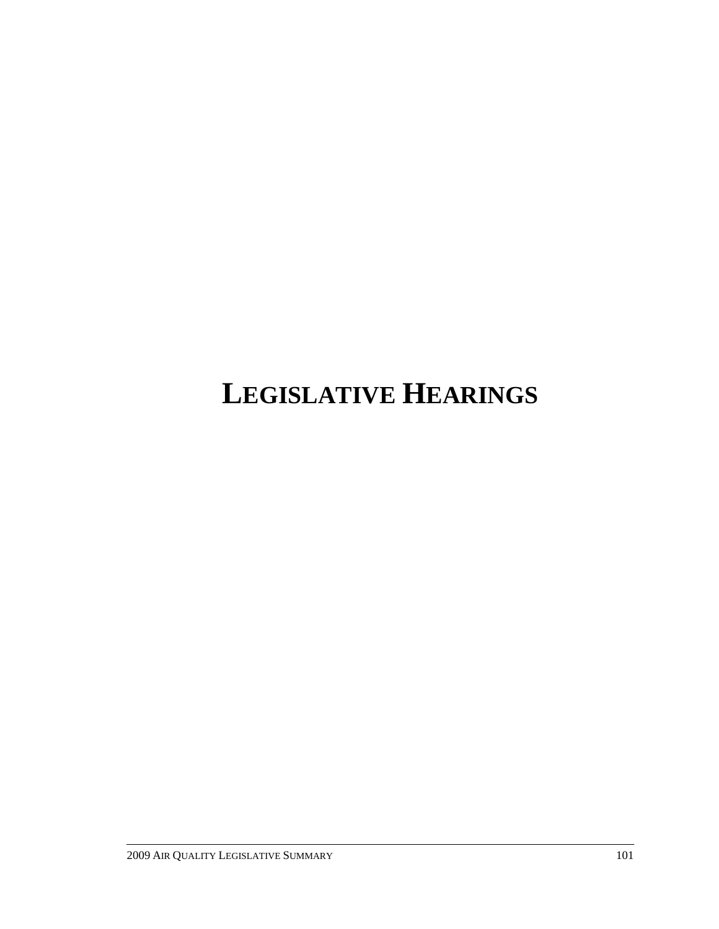# **LEGISLATIVE HEARINGS**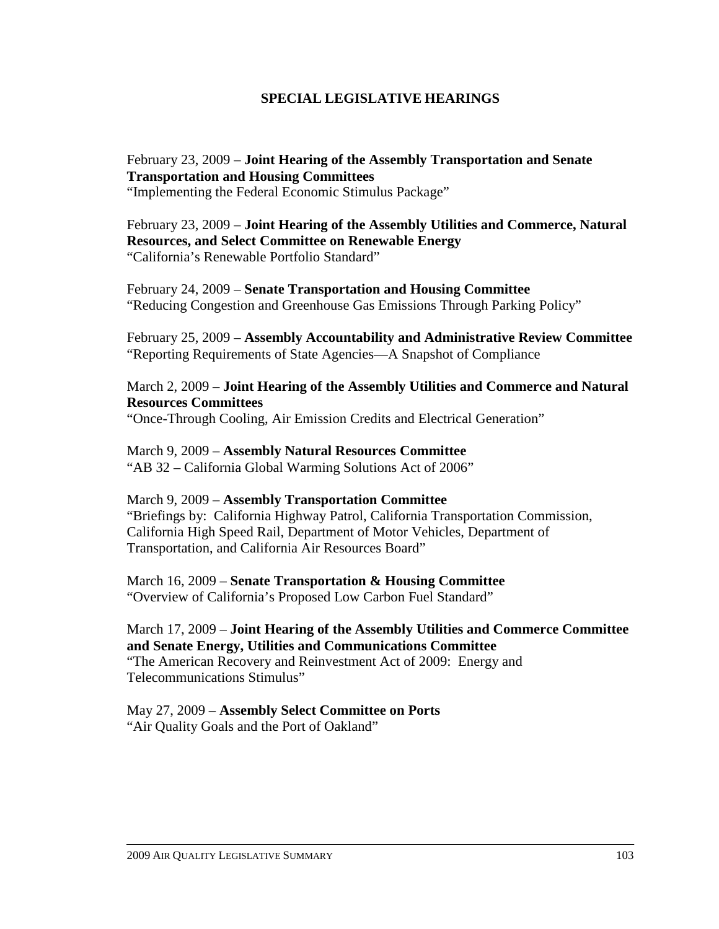#### **SPECIAL LEGISLATIVE HEARINGS**

#### February 23, 2009 – **Joint Hearing of the Assembly Transportation and Senate Transportation and Housing Committees**

"Implementing the Federal Economic Stimulus Package"

#### February 23, 2009 – **Joint Hearing of the Assembly Utilities and Commerce, Natural Resources, and Select Committee on Renewable Energy** "California's Renewable Portfolio Standard"

February 24, 2009 – **Senate Transportation and Housing Committee**  "Reducing Congestion and Greenhouse Gas Emissions Through Parking Policy"

February 25, 2009 – **Assembly Accountability and Administrative Review Committee**  "Reporting Requirements of State Agencies—A Snapshot of Compliance

March 2, 2009 – **Joint Hearing of the Assembly Utilities and Commerce and Natural Resources Committees**  "Once-Through Cooling, Air Emission Credits and Electrical Generation"

March 9, 2009 – **Assembly Natural Resources Committee**  "AB 32 – California Global Warming Solutions Act of 2006"

#### March 9, 2009 – **Assembly Transportation Committee**

"Briefings by: California Highway Patrol, California Transportation Commission, California High Speed Rail, Department of Motor Vehicles, Department of Transportation, and California Air Resources Board"

March 16, 2009 – **Senate Transportation & Housing Committee**  "Overview of California's Proposed Low Carbon Fuel Standard"

#### March 17, 2009 – **Joint Hearing of the Assembly Utilities and Commerce Committee and Senate Energy, Utilities and Communications Committee**  "The American Recovery and Reinvestment Act of 2009: Energy and Telecommunications Stimulus"

May 27, 2009 – **Assembly Select Committee on Ports**  "Air Quality Goals and the Port of Oakland"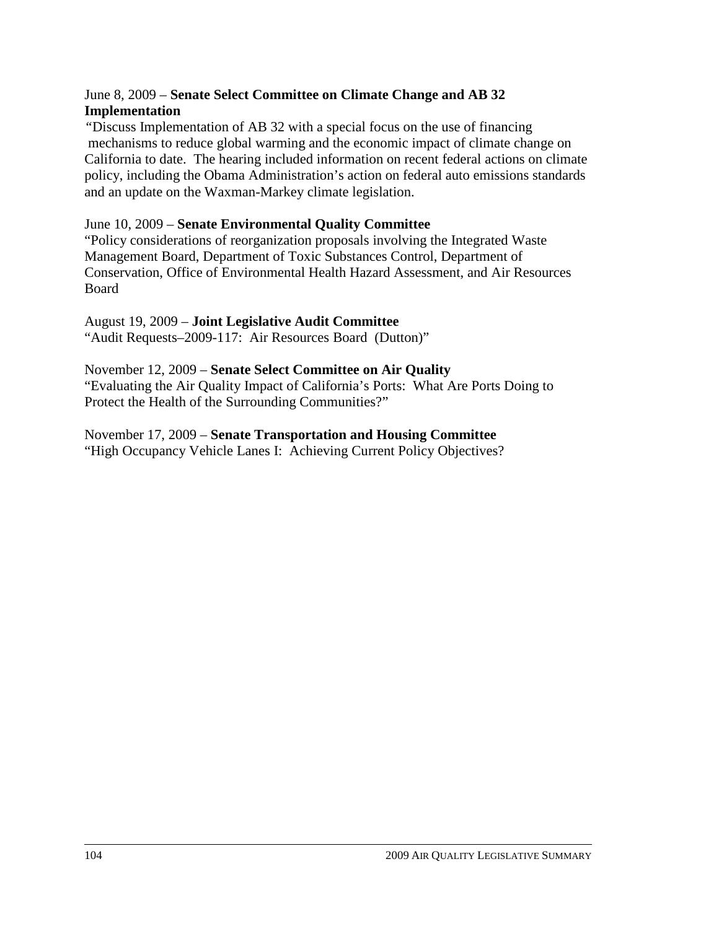#### June 8, 2009 – **Senate Select Committee on Climate Change and AB 32 Implementation**

*"*Discuss Implementation of AB 32 with a special focus on the use of financing mechanisms to reduce global warming and the economic impact of climate change on California to date. The hearing included information on recent federal actions on climate policy, including the Obama Administration's action on federal auto emissions standards and an update on the Waxman-Markey climate legislation.

#### June 10, 2009 – **Senate Environmental Quality Committee**

"Policy considerations of reorganization proposals involving the Integrated Waste Management Board, Department of Toxic Substances Control, Department of Conservation, Office of Environmental Health Hazard Assessment, and Air Resources Board

#### August 19, 2009 – **Joint Legislative Audit Committee**

"Audit Requests–2009-117: Air Resources Board (Dutton)"

#### November 12, 2009 – **Senate Select Committee on Air Quality**

"Evaluating the Air Quality Impact of California's Ports: What Are Ports Doing to Protect the Health of the Surrounding Communities?"

### November 17, 2009 – **Senate Transportation and Housing Committee**

"High Occupancy Vehicle Lanes I: Achieving Current Policy Objectives?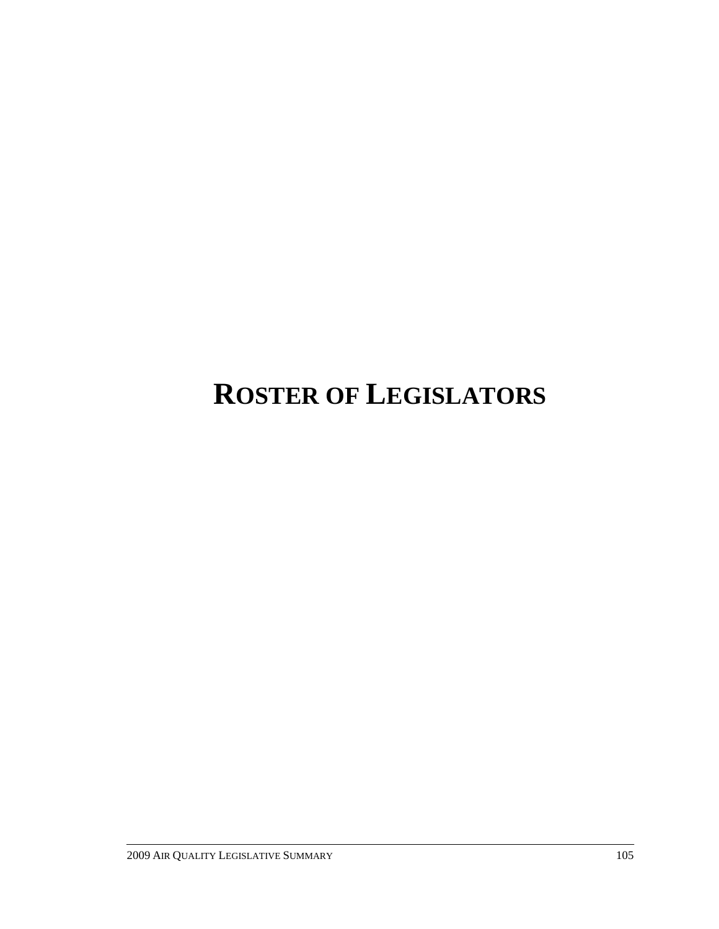# **ROSTER OF LEGISLATORS**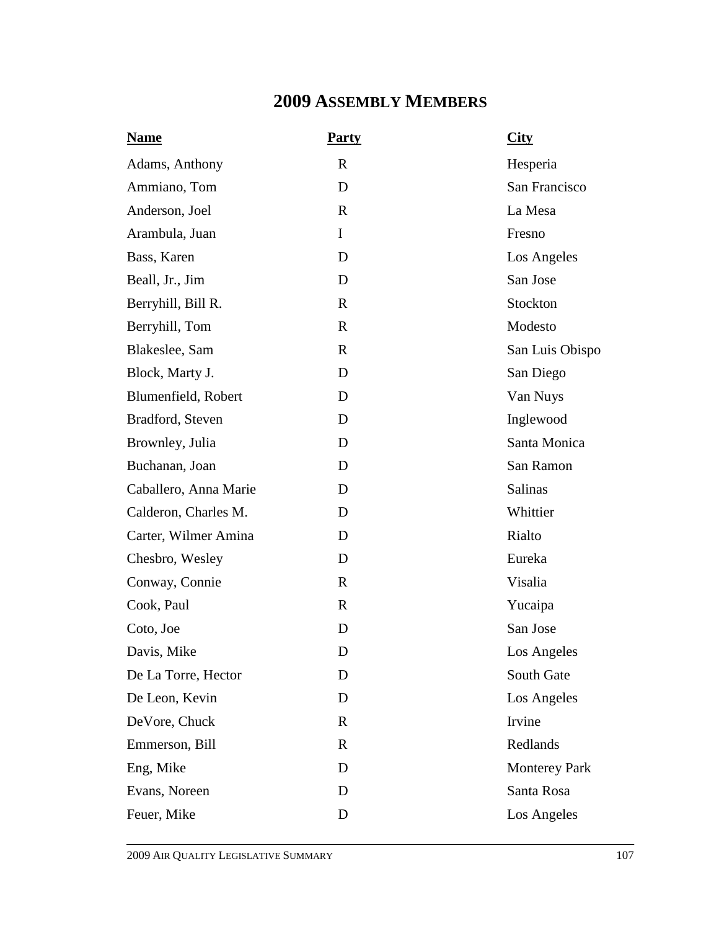## **2009 ASSEMBLY MEMBERS**

| <b>Name</b>           | <b>Party</b> | City                 |
|-----------------------|--------------|----------------------|
| Adams, Anthony        | $\mathbf R$  | Hesperia             |
| Ammiano, Tom          | D            | San Francisco        |
| Anderson, Joel        | $\mathbf R$  | La Mesa              |
| Arambula, Juan        | I            | Fresno               |
| Bass, Karen           | D            | Los Angeles          |
| Beall, Jr., Jim       | D            | San Jose             |
| Berryhill, Bill R.    | $\mathbb{R}$ | Stockton             |
| Berryhill, Tom        | $\mathbb{R}$ | Modesto              |
| Blakeslee, Sam        | $\mathbf R$  | San Luis Obispo      |
| Block, Marty J.       | D            | San Diego            |
| Blumenfield, Robert   | D            | Van Nuys             |
| Bradford, Steven      | D            | Inglewood            |
| Brownley, Julia       | D            | Santa Monica         |
| Buchanan, Joan        | D            | San Ramon            |
| Caballero, Anna Marie | D            | Salinas              |
| Calderon, Charles M.  | D            | Whittier             |
| Carter, Wilmer Amina  | D            | Rialto               |
| Chesbro, Wesley       | D            | Eureka               |
| Conway, Connie        | $\mathbf R$  | Visalia              |
| Cook, Paul            | $\mathbf R$  | Yucaipa              |
| Coto, Joe             | D            | San Jose             |
| Davis, Mike           | D            | Los Angeles          |
| De La Torre, Hector   | D            | South Gate           |
| De Leon, Kevin        | D            | Los Angeles          |
| DeVore, Chuck         | $\mathbf R$  | Irvine               |
| Emmerson, Bill        | $\mathbf R$  | Redlands             |
| Eng, Mike             | D            | <b>Monterey Park</b> |
| Evans, Noreen         | D            | Santa Rosa           |
| Feuer, Mike           | D            | Los Angeles          |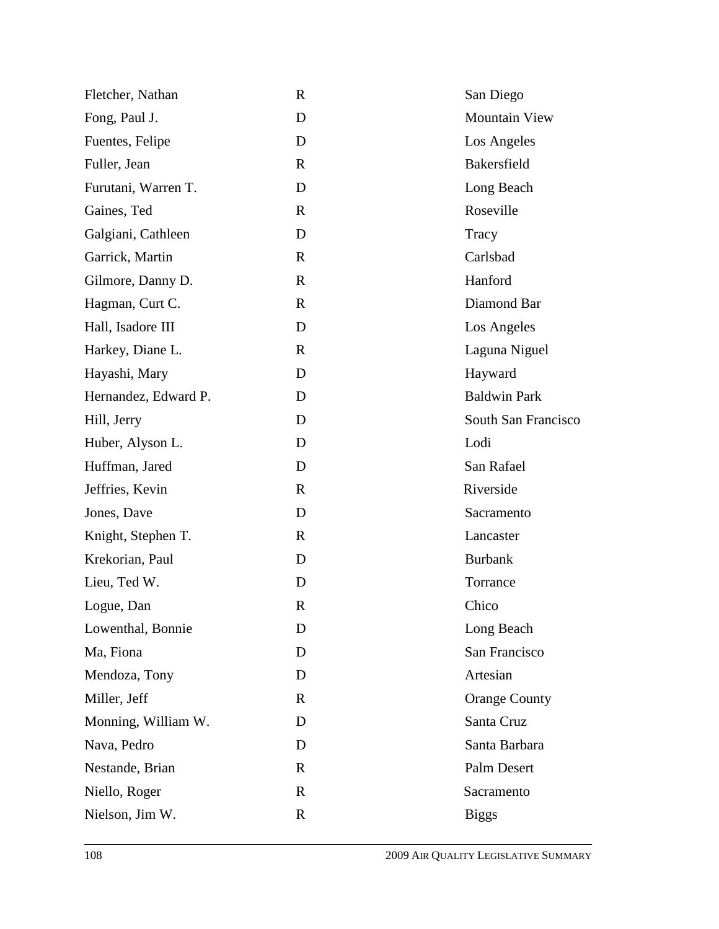| Fletcher, Nathan     | $\mathbf R$  | San Diego            |
|----------------------|--------------|----------------------|
| Fong, Paul J.        | D            | <b>Mountain View</b> |
| Fuentes, Felipe      | D            | Los Angeles          |
| Fuller, Jean         | $\mathbb{R}$ | Bakersfield          |
| Furutani, Warren T.  | D            | Long Beach           |
| Gaines, Ted          | $\mathbf R$  | Roseville            |
| Galgiani, Cathleen   | D            | Tracy                |
| Garrick, Martin      | $\mathbf R$  | Carlsbad             |
| Gilmore, Danny D.    | $\mathbf R$  | Hanford              |
| Hagman, Curt C.      | R            | Diamond Bar          |
| Hall, Isadore III    | D            | Los Angeles          |
| Harkey, Diane L.     | $\mathbf R$  | Laguna Niguel        |
| Hayashi, Mary        | D            | Hayward              |
| Hernandez, Edward P. | D            | <b>Baldwin Park</b>  |
| Hill, Jerry          | D            | South San Francisco  |
| Huber, Alyson L.     | D            | Lodi                 |
| Huffman, Jared       | D            | San Rafael           |
| Jeffries, Kevin      | $\mathbf{R}$ | Riverside            |
| Jones, Dave          | D            | Sacramento           |
| Knight, Stephen T.   | $\mathbf R$  | Lancaster            |
| Krekorian, Paul      | D            | <b>Burbank</b>       |
| Lieu, Ted W.         | D            | Torrance             |
| Logue, Dan           | R            | Chico                |
| Lowenthal, Bonnie    | D            | Long Beach           |
| Ma, Fiona            | D            | San Francisco        |
| Mendoza, Tony        | D            | Artesian             |
| Miller, Jeff         | $\mathbf R$  | <b>Orange County</b> |
| Monning, William W.  | D            | Santa Cruz           |
| Nava, Pedro          | D            | Santa Barbara        |
| Nestande, Brian      | R            | Palm Desert          |
| Niello, Roger        | $\mathbf R$  | Sacramento           |
| Nielson, Jim W.      | $\mathbf R$  | <b>Biggs</b>         |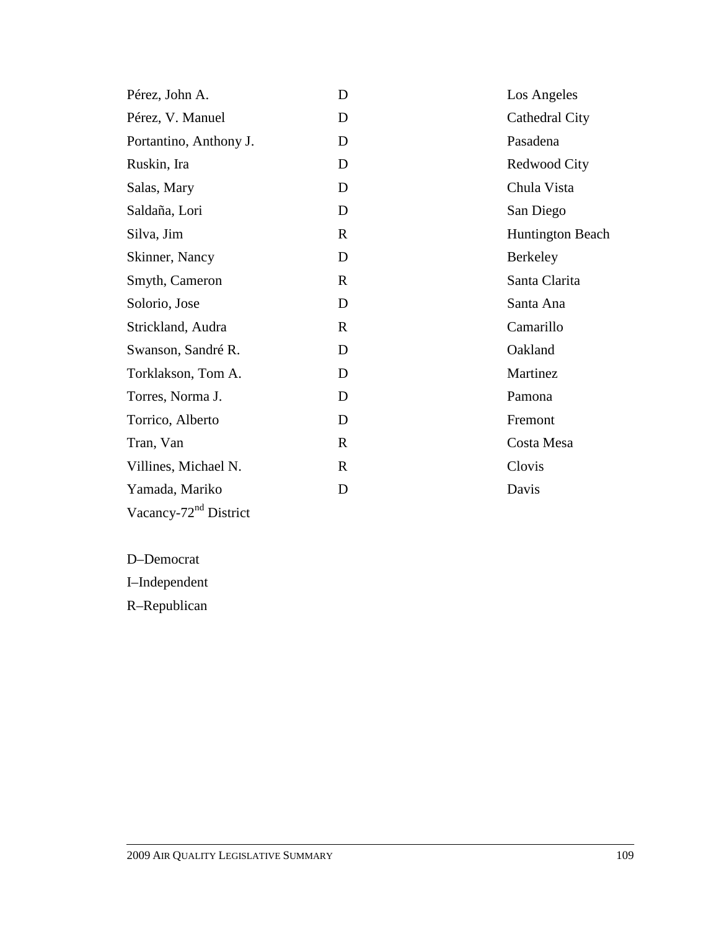| Pérez, John A.                    | D            | Los Angeles             |
|-----------------------------------|--------------|-------------------------|
| Pérez, V. Manuel                  | D            | Cathedral City          |
| Portantino, Anthony J.            | D            | Pasadena                |
| Ruskin, Ira                       | D            | Redwood City            |
| Salas, Mary                       | D            | Chula Vista             |
| Saldaña, Lori                     | D            | San Diego               |
| Silva, Jim                        | $\mathbf{R}$ | <b>Huntington Beach</b> |
| Skinner, Nancy                    | D            | <b>Berkeley</b>         |
| Smyth, Cameron                    | $\mathbf R$  | Santa Clarita           |
| Solorio, Jose                     | D            | Santa Ana               |
| Strickland, Audra                 | $\mathbf{R}$ | Camarillo               |
| Swanson, Sandré R.                | D            | Oakland                 |
| Torklakson, Tom A.                | D            | Martinez                |
| Torres, Norma J.                  | D            | Pamona                  |
| Torrico, Alberto                  | D            | Fremont                 |
| Tran, Van                         | R            | Costa Mesa              |
| Villines, Michael N.              | R            | Clovis                  |
| Yamada, Mariko                    | D            | Davis                   |
| Vacancy-72 <sup>nd</sup> District |              |                         |

D–Democrat

I–Independent

R–Republican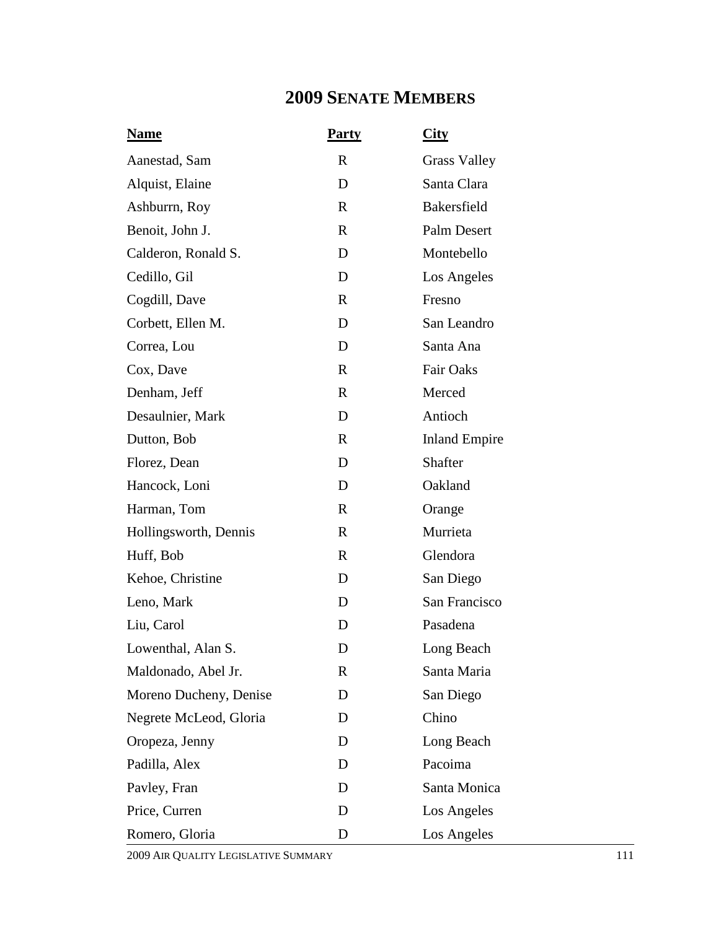## **2009 SENATE MEMBERS**

| <b>Name</b>            | <b>Party</b> | <u>City</u>          |
|------------------------|--------------|----------------------|
| Aanestad, Sam          | R            | <b>Grass Valley</b>  |
| Alquist, Elaine        | D            | Santa Clara          |
| Ashburrn, Roy          | $\mathbf{R}$ | Bakersfield          |
| Benoit, John J.        | $\mathbf R$  | Palm Desert          |
| Calderon, Ronald S.    | D            | Montebello           |
| Cedillo, Gil           | D            | Los Angeles          |
| Cogdill, Dave          | $\mathbf R$  | Fresno               |
| Corbett, Ellen M.      | D            | San Leandro          |
| Correa, Lou            | D            | Santa Ana            |
| Cox, Dave              | $\mathbf R$  | <b>Fair Oaks</b>     |
| Denham, Jeff           | $\mathbf{R}$ | Merced               |
| Desaulnier, Mark       | D            | Antioch              |
| Dutton, Bob            | $\mathbf{R}$ | <b>Inland Empire</b> |
| Florez, Dean           | D            | Shafter              |
| Hancock, Loni          | D            | Oakland              |
| Harman, Tom            | $\mathbf R$  | Orange               |
| Hollingsworth, Dennis  | $\mathbf R$  | Murrieta             |
| Huff, Bob              | R            | Glendora             |
| Kehoe, Christine       | D            | San Diego            |
| Leno, Mark             | D            | San Francisco        |
| Liu, Carol             | D            | Pasadena             |
| Lowenthal, Alan S.     | D            | Long Beach           |
| Maldonado, Abel Jr.    | R            | Santa Maria          |
| Moreno Ducheny, Denise | D            | San Diego            |
| Negrete McLeod, Gloria | D            | Chino                |
| Oropeza, Jenny         | D            | Long Beach           |
| Padilla, Alex          | D            | Pacoima              |
| Pavley, Fran           | D            | Santa Monica         |
| Price, Curren          | D            | Los Angeles          |
| Romero, Gloria         | D            | Los Angeles          |